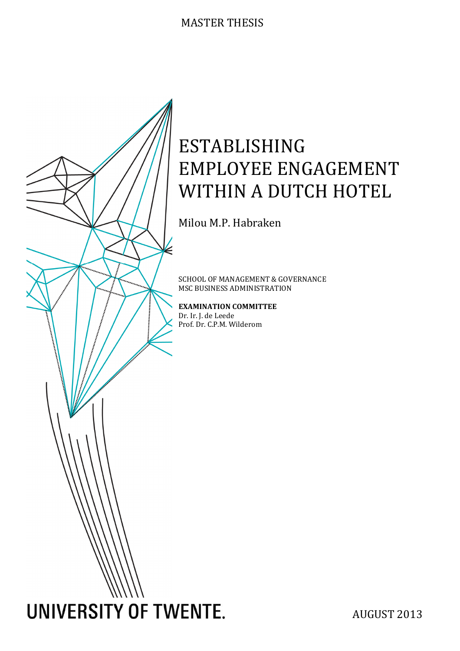# MASTER THESIS



# ESTABLISHING EMPLOYEE ENGAGEMENT WITHIN A DUTCH HOTEL

Milou M.P. Habraken

SCHOOL OF MANAGEMENT & GOVERNANCE MSC BUSINESS ADMINISTRATION

EXAMINATION COMMITTEE Dr. Ir. J. de Leede Prof. Dr. C.P.M. Wilderom

AUGUST 2013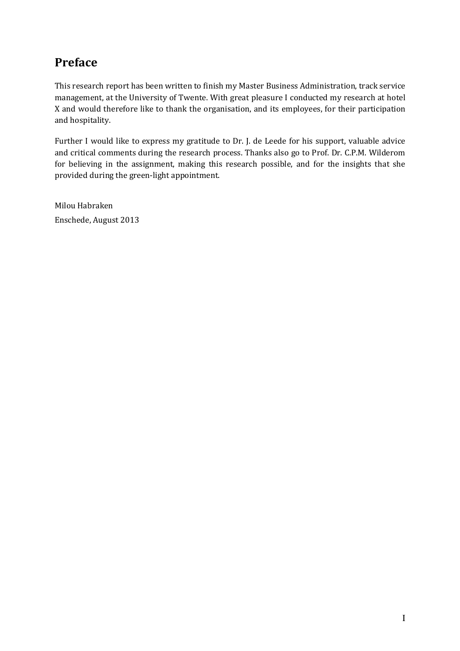# Preface

This research report has been written to finish my Master Business Administration, track service management, at the University of Twente. With great pleasure I conducted my research at hotel X and would therefore like to thank the organisation, and its employees, for their participation and hospitality.

Further I would like to express my gratitude to Dr. J. de Leede for his support, valuable advice and critical comments during the research process. Thanks also go to Prof. Dr. C.P.M. Wilderom for believing in the assignment, making this research possible, and for the insights that she provided during the green-light appointment.

Milou Habraken Enschede, August 2013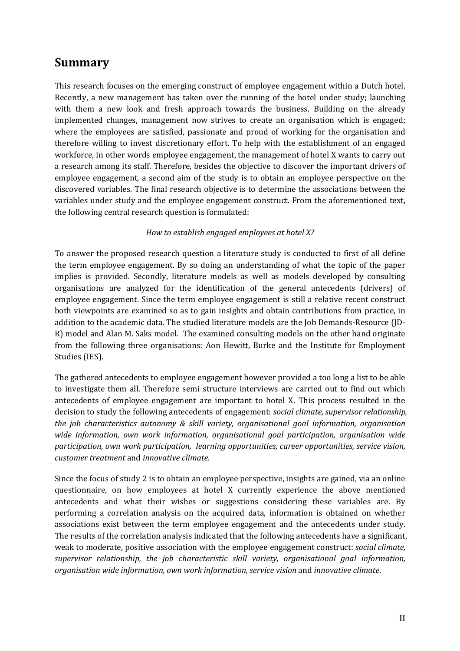# Summary

This research focuses on the emerging construct of employee engagement within a Dutch hotel. Recently, a new management has taken over the running of the hotel under study; launching with them a new look and fresh approach towards the business. Building on the already implemented changes, management now strives to create an organisation which is engaged; where the employees are satisfied, passionate and proud of working for the organisation and therefore willing to invest discretionary effort. To help with the establishment of an engaged workforce, in other words employee engagement, the management of hotel X wants to carry out a research among its staff. Therefore, besides the objective to discover the important drivers of employee engagement, a second aim of the study is to obtain an employee perspective on the discovered variables. The final research objective is to determine the associations between the variables under study and the employee engagement construct. From the aforementioned text, the following central research question is formulated:

## How to establish engaged employees at hotel X?

To answer the proposed research question a literature study is conducted to first of all define the term employee engagement. By so doing an understanding of what the topic of the paper implies is provided. Secondly, literature models as well as models developed by consulting organisations are analyzed for the identification of the general antecedents (drivers) of employee engagement. Since the term employee engagement is still a relative recent construct both viewpoints are examined so as to gain insights and obtain contributions from practice, in addition to the academic data. The studied literature models are the Job Demands-Resource (JD-R) model and Alan M. Saks model. The examined consulting models on the other hand originate from the following three organisations: Aon Hewitt, Burke and the Institute for Employment Studies (IES).

The gathered antecedents to employee engagement however provided a too long a list to be able to investigate them all. Therefore semi structure interviews are carried out to find out which antecedents of employee engagement are important to hotel X. This process resulted in the decision to study the following antecedents of engagement: social climate, supervisor relationship, the job characteristics autonomy & skill variety, organisational goal information, organisation wide information, own work information, organisational goal participation, organisation wide participation, own work participation, learning opportunities, career opportunities, service vision, customer treatment and innovative climate.

Since the focus of study 2 is to obtain an employee perspective, insights are gained, via an online questionnaire, on how employees at hotel X currently experience the above mentioned antecedents and what their wishes or suggestions considering these variables are. By performing a correlation analysis on the acquired data, information is obtained on whether associations exist between the term employee engagement and the antecedents under study. The results of the correlation analysis indicated that the following antecedents have a significant, weak to moderate, positive association with the employee engagement construct: social climate, supervisor relationship, the job characteristic skill variety, organisational goal information, organisation wide information, own work information, service vision and innovative climate.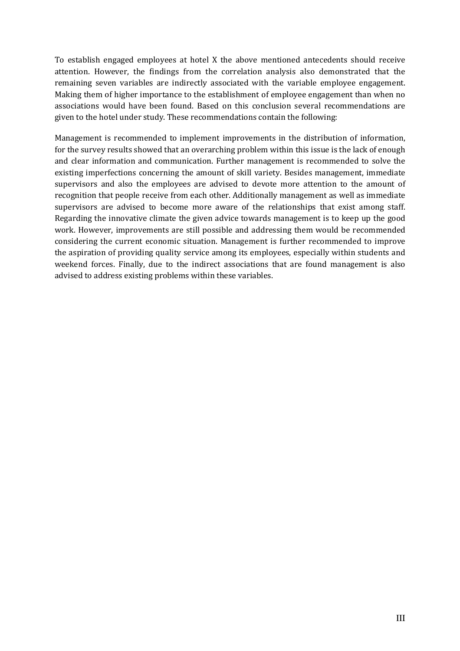To establish engaged employees at hotel X the above mentioned antecedents should receive attention. However, the findings from the correlation analysis also demonstrated that the remaining seven variables are indirectly associated with the variable employee engagement. Making them of higher importance to the establishment of employee engagement than when no associations would have been found. Based on this conclusion several recommendations are given to the hotel under study. These recommendations contain the following:

Management is recommended to implement improvements in the distribution of information, for the survey results showed that an overarching problem within this issue is the lack of enough and clear information and communication. Further management is recommended to solve the existing imperfections concerning the amount of skill variety. Besides management, immediate supervisors and also the employees are advised to devote more attention to the amount of recognition that people receive from each other. Additionally management as well as immediate supervisors are advised to become more aware of the relationships that exist among staff. Regarding the innovative climate the given advice towards management is to keep up the good work. However, improvements are still possible and addressing them would be recommended considering the current economic situation. Management is further recommended to improve the aspiration of providing quality service among its employees, especially within students and weekend forces. Finally, due to the indirect associations that are found management is also advised to address existing problems within these variables.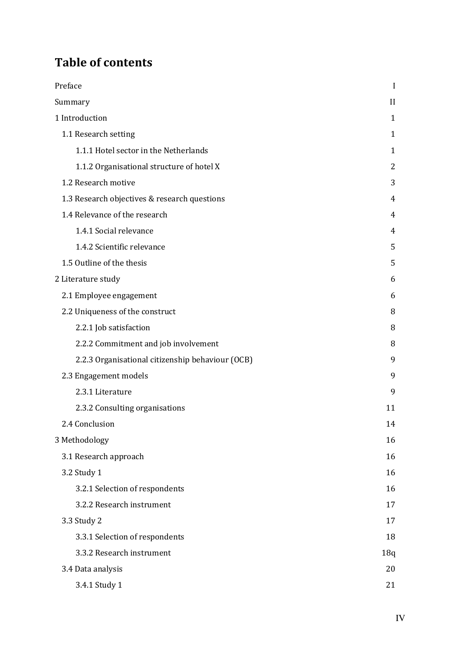# Table of contents

| Preface                                          | I              |
|--------------------------------------------------|----------------|
| Summary                                          | $\mathbf{I}$   |
| 1 Introduction                                   | $\mathbf{1}$   |
| 1.1 Research setting                             | $\mathbf{1}$   |
| 1.1.1 Hotel sector in the Netherlands            | 1              |
| 1.1.2 Organisational structure of hotel X        | $\overline{2}$ |
| 1.2 Research motive                              | 3              |
| 1.3 Research objectives & research questions     | 4              |
| 1.4 Relevance of the research                    | 4              |
| 1.4.1 Social relevance                           | 4              |
| 1.4.2 Scientific relevance                       | 5              |
| 1.5 Outline of the thesis                        | 5              |
| 2 Literature study                               | 6              |
| 2.1 Employee engagement                          | 6              |
| 2.2 Uniqueness of the construct                  | 8              |
| 2.2.1 Job satisfaction                           | 8              |
| 2.2.2 Commitment and job involvement             | 8              |
| 2.2.3 Organisational citizenship behaviour (OCB) | 9              |
| 2.3 Engagement models                            | 9              |
| 2.3.1 Literature                                 | 9              |
| 2.3.2 Consulting organisations                   | 11             |
| 2.4 Conclusion                                   | 14             |
| 3 Methodology                                    | 16             |
| 3.1 Research approach                            | 16             |
| 3.2 Study 1                                      | 16             |
| 3.2.1 Selection of respondents                   | 16             |
| 3.2.2 Research instrument                        | 17             |
| 3.3 Study 2                                      | 17             |
| 3.3.1 Selection of respondents                   | 18             |
| 3.3.2 Research instrument                        | 18q            |
| 3.4 Data analysis                                | 20             |
| 3.4.1 Study 1                                    | 21             |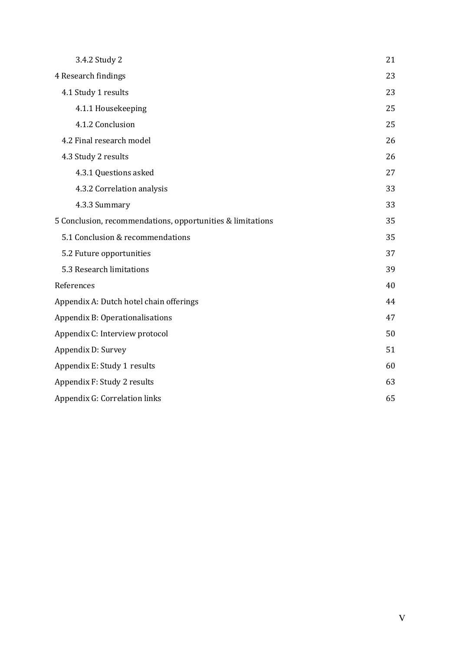| 3.4.2 Study 2                                              | 21 |
|------------------------------------------------------------|----|
| 4 Research findings                                        | 23 |
| 4.1 Study 1 results                                        | 23 |
| 4.1.1 Housekeeping                                         | 25 |
| 4.1.2 Conclusion                                           | 25 |
| 4.2 Final research model                                   | 26 |
| 4.3 Study 2 results                                        | 26 |
| 4.3.1 Questions asked                                      | 27 |
| 4.3.2 Correlation analysis                                 | 33 |
| 4.3.3 Summary                                              | 33 |
| 5 Conclusion, recommendations, opportunities & limitations | 35 |
| 5.1 Conclusion & recommendations                           | 35 |
| 5.2 Future opportunities                                   | 37 |
| 5.3 Research limitations                                   | 39 |
| References                                                 | 40 |
| Appendix A: Dutch hotel chain offerings                    | 44 |
| Appendix B: Operationalisations                            | 47 |
| Appendix C: Interview protocol                             | 50 |
| Appendix D: Survey                                         | 51 |
| Appendix E: Study 1 results                                | 60 |
| Appendix F: Study 2 results                                | 63 |
| Appendix G: Correlation links                              | 65 |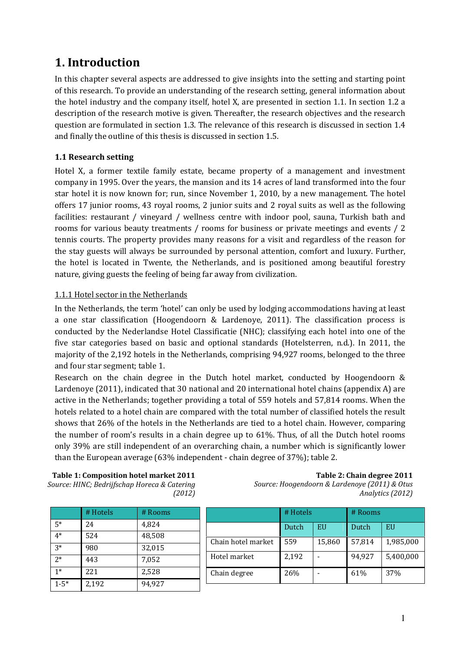# 1. Introduction

In this chapter several aspects are addressed to give insights into the setting and starting point of this research. To provide an understanding of the research setting, general information about the hotel industry and the company itself, hotel X, are presented in section 1.1. In section 1.2 a description of the research motive is given. Thereafter, the research objectives and the research question are formulated in section 1.3. The relevance of this research is discussed in section 1.4 and finally the outline of this thesis is discussed in section 1.5.

# 1.1 Research setting

Hotel X, a former textile family estate, became property of a management and investment company in 1995. Over the years, the mansion and its 14 acres of land transformed into the four star hotel it is now known for; run, since November 1, 2010, by a new management. The hotel offers 17 junior rooms, 43 royal rooms, 2 junior suits and 2 royal suits as well as the following facilities: restaurant / vineyard / wellness centre with indoor pool, sauna, Turkish bath and rooms for various beauty treatments / rooms for business or private meetings and events / 2 tennis courts. The property provides many reasons for a visit and regardless of the reason for the stay guests will always be surrounded by personal attention, comfort and luxury. Further, the hotel is located in Twente, the Netherlands, and is positioned among beautiful forestry nature, giving guests the feeling of being far away from civilization.

# 1.1.1 Hotel sector in the Netherlands

In the Netherlands, the term 'hotel' can only be used by lodging accommodations having at least a one star classification (Hoogendoorn & Lardenoye, 2011). The classification process is conducted by the Nederlandse Hotel Classificatie (NHC); classifying each hotel into one of the five star categories based on basic and optional standards (Hotelsterren, n.d.). In 2011, the majority of the 2,192 hotels in the Netherlands, comprising 94,927 rooms, belonged to the three and four star segment; table 1.

Research on the chain degree in the Dutch hotel market, conducted by Hoogendoorn & Lardenoye (2011), indicated that 30 national and 20 international hotel chains (appendix A) are active in the Netherlands; together providing a total of 559 hotels and 57,814 rooms. When the hotels related to a hotel chain are compared with the total number of classified hotels the result shows that 26% of the hotels in the Netherlands are tied to a hotel chain. However, comparing the number of room's results in a chain degree up to 61%. Thus, of all the Dutch hotel rooms only 39% are still independent of an overarching chain, a number which is significantly lower than the European average (63% independent - chain degree of 37%); table 2.

Table 1: Composition hotel market 2011 Source: HINC; Bedrijfschap Horeca & Catering (2012)

Table 2: Chain degree 2011 Source: Hoogendoorn & Lardenoye (2011) & Otus Analytics (2012)

|          | # Hotels | # Rooms |    |
|----------|----------|---------|----|
| $5*$     | 24       | 4,824   |    |
| $4*$     | 524      | 48,508  | Ch |
| $3*$     | 980      | 32,015  |    |
| $2*$     | 443      | 7,052   | Ho |
| $1*$     | 221      | 2,528   | Ch |
| $1 - 5*$ | 2,192    | 94,927  |    |

|                    | # Hotels |        | # Rooms |           |
|--------------------|----------|--------|---------|-----------|
|                    | Dutch    | EU     | Dutch   | EU        |
| Chain hotel market | 559      | 15,860 | 57,814  | 1,985,000 |
| Hotel market       | 2,192    |        | 94,927  | 5,400,000 |
| Chain degree       | 26%      |        | 61%     | 37%       |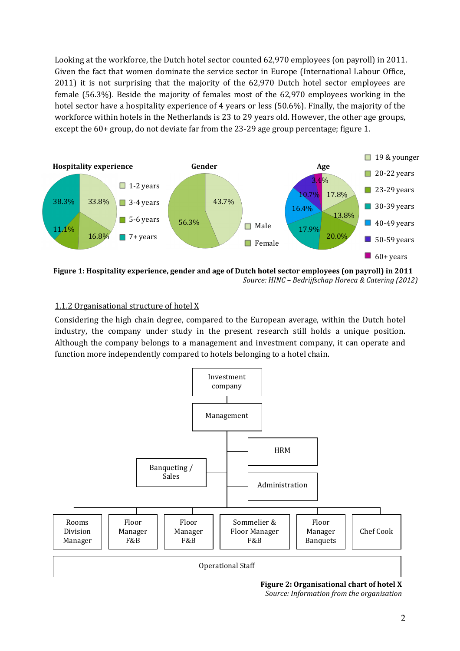Looking at the workforce, the Dutch hotel sector counted 62,970 employees (on payroll) in 2011. Given the fact that women dominate the service sector in Europe (International Labour Office, 2011) it is not surprising that the majority of the 62,970 Dutch hotel sector employees are female (56.3%). Beside the majority of females most of the 62,970 employees working in the hotel sector have a hospitality experience of 4 years or less (50.6%). Finally, the majority of the workforce within hotels in the Netherlands is 23 to 29 years old. However, the other age groups, except the 60+ group, do not deviate far from the 23-29 age group percentage; figure 1.



Figure 1: Hospitality experience, gender and age of Dutch hotel sector employees (on payroll) in 2011 Source: HINC – Bedrijfschap Horeca & Catering (2012)

# 1.1.2 Organisational structure of hotel X

Considering the high chain degree, compared to the European average, within the Dutch hotel industry, the company under study in the present research still holds a unique position. Although the company belongs to a management and investment company, it can operate and function more independently compared to hotels belonging to a hotel chain.



Figure 2: Organisational chart of hotel X Source: Information from the organisation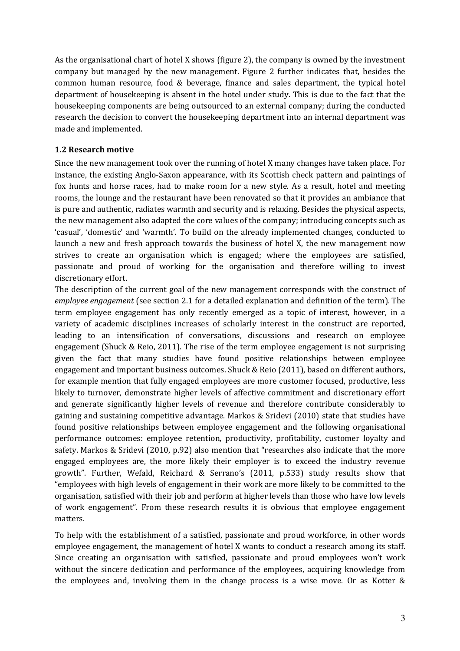As the organisational chart of hotel X shows (figure 2), the company is owned by the investment company but managed by the new management. Figure 2 further indicates that, besides the common human resource, food & beverage, finance and sales department, the typical hotel department of housekeeping is absent in the hotel under study. This is due to the fact that the housekeeping components are being outsourced to an external company; during the conducted research the decision to convert the housekeeping department into an internal department was made and implemented.

# 1.2 Research motive

Since the new management took over the running of hotel X many changes have taken place. For instance, the existing Anglo-Saxon appearance, with its Scottish check pattern and paintings of fox hunts and horse races, had to make room for a new style. As a result, hotel and meeting rooms, the lounge and the restaurant have been renovated so that it provides an ambiance that is pure and authentic, radiates warmth and security and is relaxing. Besides the physical aspects, the new management also adapted the core values of the company; introducing concepts such as 'casual', 'domestic' and 'warmth'. To build on the already implemented changes, conducted to launch a new and fresh approach towards the business of hotel X, the new management now strives to create an organisation which is engaged; where the employees are satisfied, passionate and proud of working for the organisation and therefore willing to invest discretionary effort.

The description of the current goal of the new management corresponds with the construct of employee engagement (see section 2.1 for a detailed explanation and definition of the term). The term employee engagement has only recently emerged as a topic of interest, however, in a variety of academic disciplines increases of scholarly interest in the construct are reported, leading to an intensification of conversations, discussions and research on employee engagement (Shuck & Reio, 2011). The rise of the term employee engagement is not surprising given the fact that many studies have found positive relationships between employee engagement and important business outcomes. Shuck & Reio (2011), based on different authors, for example mention that fully engaged employees are more customer focused, productive, less likely to turnover, demonstrate higher levels of affective commitment and discretionary effort and generate significantly higher levels of revenue and therefore contribute considerably to gaining and sustaining competitive advantage. Markos & Sridevi (2010) state that studies have found positive relationships between employee engagement and the following organisational performance outcomes: employee retention, productivity, profitability, customer loyalty and safety. Markos & Sridevi (2010, p.92) also mention that "researches also indicate that the more engaged employees are, the more likely their employer is to exceed the industry revenue growth". Further, Wefald, Reichard & Serrano's (2011, p.533) study results show that "employees with high levels of engagement in their work are more likely to be committed to the organisation, satisfied with their job and perform at higher levels than those who have low levels of work engagement". From these research results it is obvious that employee engagement matters.

To help with the establishment of a satisfied, passionate and proud workforce, in other words employee engagement, the management of hotel X wants to conduct a research among its staff. Since creating an organisation with satisfied, passionate and proud employees won't work without the sincere dedication and performance of the employees, acquiring knowledge from the employees and, involving them in the change process is a wise move. Or as Kotter &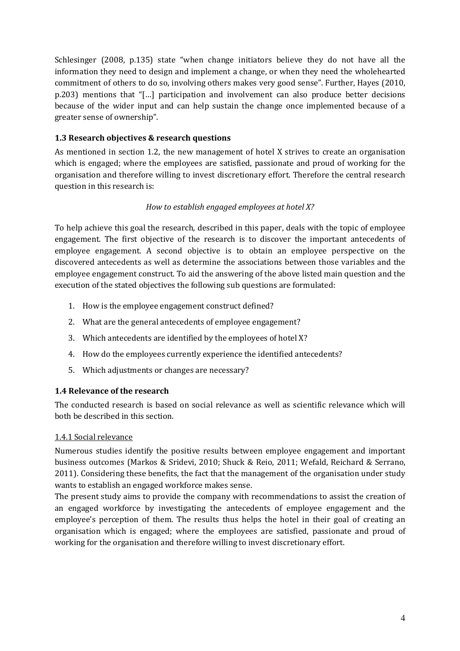Schlesinger (2008, p.135) state "when change initiators believe they do not have all the information they need to design and implement a change, or when they need the wholehearted commitment of others to do so, involving others makes very good sense". Further, Hayes (2010, p.203) mentions that "[…] participation and involvement can also produce better decisions because of the wider input and can help sustain the change once implemented because of a greater sense of ownership".

# 1.3 Research objectives & research questions

As mentioned in section 1.2, the new management of hotel X strives to create an organisation which is engaged; where the employees are satisfied, passionate and proud of working for the organisation and therefore willing to invest discretionary effort. Therefore the central research question in this research is:

# How to establish engaged employees at hotel X?

To help achieve this goal the research, described in this paper, deals with the topic of employee engagement. The first objective of the research is to discover the important antecedents of employee engagement. A second objective is to obtain an employee perspective on the discovered antecedents as well as determine the associations between those variables and the employee engagement construct. To aid the answering of the above listed main question and the execution of the stated objectives the following sub questions are formulated:

- 1. How is the employee engagement construct defined?
- 2. What are the general antecedents of employee engagement?
- 3. Which antecedents are identified by the employees of hotel X?
- 4. How do the employees currently experience the identified antecedents?
- 5. Which adjustments or changes are necessary?

# 1.4 Relevance of the research

The conducted research is based on social relevance as well as scientific relevance which will both be described in this section.

# 1.4.1 Social relevance

Numerous studies identify the positive results between employee engagement and important business outcomes (Markos & Sridevi, 2010; Shuck & Reio, 2011; Wefald, Reichard & Serrano, 2011). Considering these benefits, the fact that the management of the organisation under study wants to establish an engaged workforce makes sense.

The present study aims to provide the company with recommendations to assist the creation of an engaged workforce by investigating the antecedents of employee engagement and the employee's perception of them. The results thus helps the hotel in their goal of creating an organisation which is engaged; where the employees are satisfied, passionate and proud of working for the organisation and therefore willing to invest discretionary effort.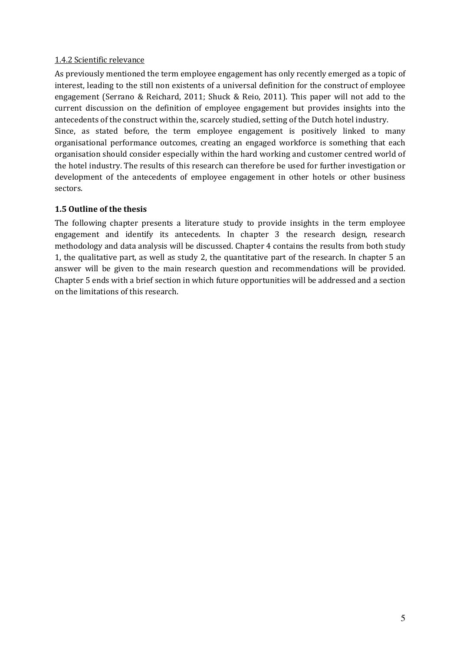# 1.4.2 Scientific relevance

As previously mentioned the term employee engagement has only recently emerged as a topic of interest, leading to the still non existents of a universal definition for the construct of employee engagement (Serrano & Reichard, 2011; Shuck & Reio, 2011). This paper will not add to the current discussion on the definition of employee engagement but provides insights into the antecedents of the construct within the, scarcely studied, setting of the Dutch hotel industry. Since, as stated before, the term employee engagement is positively linked to many organisational performance outcomes, creating an engaged workforce is something that each organisation should consider especially within the hard working and customer centred world of the hotel industry. The results of this research can therefore be used for further investigation or development of the antecedents of employee engagement in other hotels or other business sectors.

# 1.5 Outline of the thesis

The following chapter presents a literature study to provide insights in the term employee engagement and identify its antecedents. In chapter 3 the research design, research methodology and data analysis will be discussed. Chapter 4 contains the results from both study 1, the qualitative part, as well as study 2, the quantitative part of the research. In chapter 5 an answer will be given to the main research question and recommendations will be provided. Chapter 5 ends with a brief section in which future opportunities will be addressed and a section on the limitations of this research.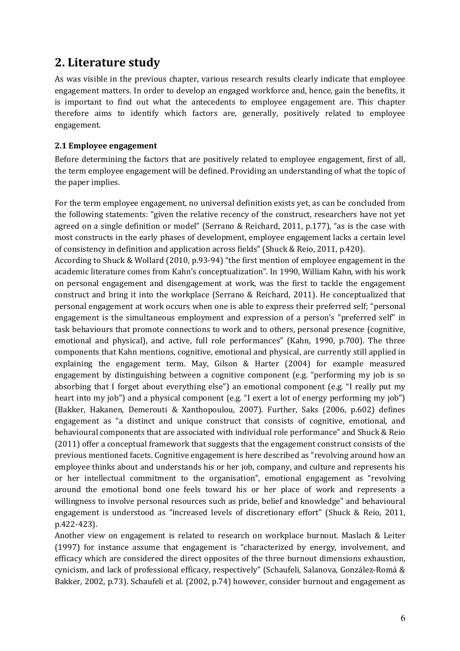# 2. Literature study

As was visible in the previous chapter, various research results clearly indicate that employee engagement matters. In order to develop an engaged workforce and, hence, gain the benefits, it is important to find out what the antecedents to employee engagement are. This chapter therefore aims to identify which factors are, generally, positively related to employee engagement.

## 2.1 Employee engagement

Before determining the factors that are positively related to employee engagement, first of all, the term employee engagement will be defined. Providing an understanding of what the topic of the paper implies.

For the term employee engagement, no universal definition exists yet, as can be concluded from the following statements: "given the relative recency of the construct, researchers have not yet agreed on a single definition or model" (Serrano & Reichard, 2011, p.177), "as is the case with most constructs in the early phases of development, employee engagement lacks a certain level of consistency in definition and application across fields" (Shuck & Reio, 2011, p.420).

According to Shuck & Wollard (2010, p.93-94) "the first mention of employee engagement in the academic literature comes from Kahn's conceptualization". In 1990, William Kahn, with his work on personal engagement and disengagement at work, was the first to tackle the engagement construct and bring it into the workplace (Serrano & Reichard, 2011). He conceptualized that personal engagement at work occurs when one is able to express their preferred self; "personal engagement is the simultaneous employment and expression of a person's "preferred self" in task behaviours that promote connections to work and to others, personal presence (cognitive, emotional and physical), and active, full role performances" (Kahn, 1990, p.700). The three components that Kahn mentions, cognitive, emotional and physical, are currently still applied in explaining the engagement term. May, Gilson & Harter (2004) for example measured engagement by distinguishing between a cognitive component (e.g. "performing my job is so absorbing that I forget about everything else") an emotional component (e.g. "I really put my heart into my job") and a physical component (e.g. "I exert a lot of energy performing my job") (Bakker, Hakanen, Demerouti & Xanthopoulou, 2007). Further, Saks (2006, p.602) defines engagement as "a distinct and unique construct that consists of cognitive, emotional, and behavioural components that are associated with individual role performance" and Shuck & Reio (2011) offer a conceptual framework that suggests that the engagement construct consists of the previous mentioned facets. Cognitive engagement is here described as "revolving around how an employee thinks about and understands his or her job, company, and culture and represents his or her intellectual commitment to the organisation", emotional engagement as "revolving around the emotional bond one feels toward his or her place of work and represents a willingness to involve personal resources such as pride, belief and knowledge" and behavioural engagement is understood as "increased levels of discretionary effort" (Shuck & Reio, 2011, p.422-423).

Another view on engagement is related to research on workplace burnout. Maslach & Leiter (1997) for instance assume that engagement is "characterized by energy, involvement, and efficacy which are considered the direct opposites of the three burnout dimensions exhaustion, cynicism, and lack of professional efficacy, respectively" (Schaufeli, Salanova, González-Romá & Bakker, 2002, p.73). Schaufeli et al. (2002, p.74) however, consider burnout and engagement as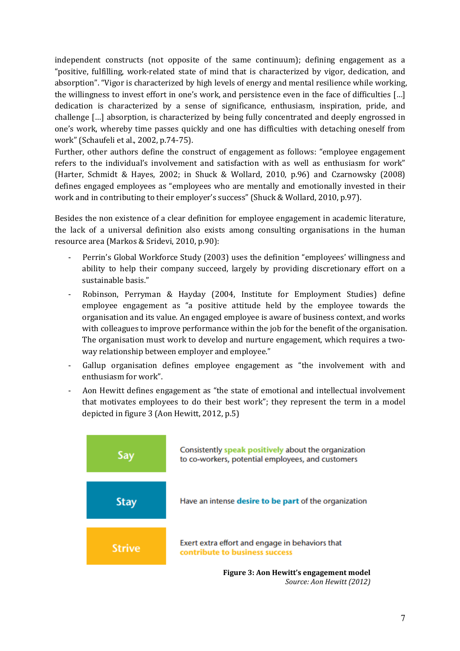independent constructs (not opposite of the same continuum); defining engagement as a "positive, fulfilling, work-related state of mind that is characterized by vigor, dedication, and absorption". "Vigor is characterized by high levels of energy and mental resilience while working, the willingness to invest effort in one's work, and persistence even in the face of difficulties […] dedication is characterized by a sense of significance, enthusiasm, inspiration, pride, and challenge […] absorption, is characterized by being fully concentrated and deeply engrossed in one's work, whereby time passes quickly and one has difficulties with detaching oneself from work" (Schaufeli et al., 2002, p.74-75).

Further, other authors define the construct of engagement as follows: "employee engagement refers to the individual's involvement and satisfaction with as well as enthusiasm for work" (Harter, Schmidt & Hayes, 2002; in Shuck & Wollard, 2010, p.96) and Czarnowsky (2008) defines engaged employees as "employees who are mentally and emotionally invested in their work and in contributing to their employer's success" (Shuck & Wollard, 2010, p.97).

Besides the non existence of a clear definition for employee engagement in academic literature, the lack of a universal definition also exists among consulting organisations in the human resource area (Markos & Sridevi, 2010, p.90):

- Perrin's Global Workforce Study (2003) uses the definition "employees' willingness and ability to help their company succeed, largely by providing discretionary effort on a sustainable basis."
- Robinson, Perryman & Hayday (2004, Institute for Employment Studies) define employee engagement as "a positive attitude held by the employee towards the organisation and its value. An engaged employee is aware of business context, and works with colleagues to improve performance within the job for the benefit of the organisation. The organisation must work to develop and nurture engagement, which requires a twoway relationship between employer and employee."
- Gallup organisation defines employee engagement as "the involvement with and enthusiasm for work".
- Aon Hewitt defines engagement as "the state of emotional and intellectual involvement that motivates employees to do their best work"; they represent the term in a model depicted in figure 3 (Aon Hewitt, 2012, p.5)



Source: Aon Hewitt (2012)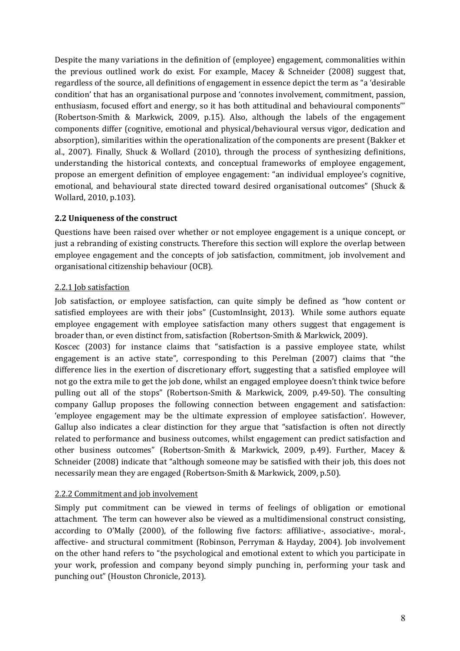Despite the many variations in the definition of (employee) engagement, commonalities within the previous outlined work do exist. For example, Macey & Schneider (2008) suggest that, regardless of the source, all definitions of engagement in essence depict the term as "a 'desirable condition' that has an organisational purpose and 'connotes involvement, commitment, passion, enthusiasm, focused effort and energy, so it has both attitudinal and behavioural components'" (Robertson-Smith & Markwick, 2009, p.15). Also, although the labels of the engagement components differ (cognitive, emotional and physical/behavioural versus vigor, dedication and absorption), similarities within the operationalization of the components are present (Bakker et al., 2007). Finally, Shuck & Wollard (2010), through the process of synthesizing definitions, understanding the historical contexts, and conceptual frameworks of employee engagement, propose an emergent definition of employee engagement: "an individual employee's cognitive, emotional, and behavioural state directed toward desired organisational outcomes" (Shuck & Wollard, 2010, p.103).

# 2.2 Uniqueness of the construct

Questions have been raised over whether or not employee engagement is a unique concept, or just a rebranding of existing constructs. Therefore this section will explore the overlap between employee engagement and the concepts of job satisfaction, commitment, job involvement and organisational citizenship behaviour (OCB).

# 2.2.1 Job satisfaction

Job satisfaction, or employee satisfaction, can quite simply be defined as "how content or satisfied employees are with their jobs" (CustomInsight, 2013). While some authors equate employee engagement with employee satisfaction many others suggest that engagement is broader than, or even distinct from, satisfaction (Robertson-Smith & Markwick, 2009).

Koscec (2003) for instance claims that "satisfaction is a passive employee state, whilst engagement is an active state", corresponding to this Perelman (2007) claims that "the difference lies in the exertion of discretionary effort, suggesting that a satisfied employee will not go the extra mile to get the job done, whilst an engaged employee doesn't think twice before pulling out all of the stops" (Robertson-Smith & Markwick, 2009, p.49-50). The consulting company Gallup proposes the following connection between engagement and satisfaction: 'employee engagement may be the ultimate expression of employee satisfaction'. However, Gallup also indicates a clear distinction for they argue that "satisfaction is often not directly related to performance and business outcomes, whilst engagement can predict satisfaction and other business outcomes" (Robertson-Smith & Markwick, 2009, p.49). Further, Macey & Schneider (2008) indicate that "although someone may be satisfied with their job, this does not necessarily mean they are engaged (Robertson-Smith & Markwick, 2009, p.50).

# 2.2.2 Commitment and job involvement

Simply put commitment can be viewed in terms of feelings of obligation or emotional attachment. The term can however also be viewed as a multidimensional construct consisting, according to O'Mally (2000), of the following five factors: affiliative-, associative-, moral-, affective- and structural commitment (Robinson, Perryman & Hayday, 2004). Job involvement on the other hand refers to "the psychological and emotional extent to which you participate in your work, profession and company beyond simply punching in, performing your task and punching out" (Houston Chronicle, 2013).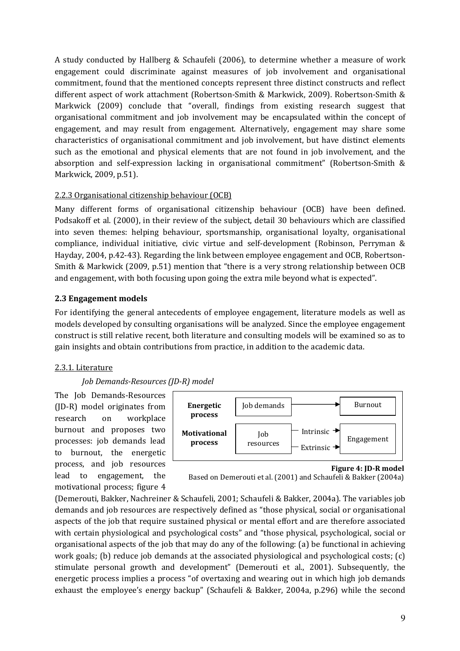A study conducted by Hallberg & Schaufeli (2006), to determine whether a measure of work engagement could discriminate against measures of job involvement and organisational commitment, found that the mentioned concepts represent three distinct constructs and reflect different aspect of work attachment (Robertson-Smith & Markwick, 2009). Robertson-Smith & Markwick (2009) conclude that "overall, findings from existing research suggest that organisational commitment and job involvement may be encapsulated within the concept of engagement, and may result from engagement. Alternatively, engagement may share some characteristics of organisational commitment and job involvement, but have distinct elements such as the emotional and physical elements that are not found in job involvement, and the absorption and self-expression lacking in organisational commitment" (Robertson-Smith & Markwick, 2009, p.51).

# 2.2.3 Organisational citizenship behaviour (OCB)

Many different forms of organisational citizenship behaviour (OCB) have been defined. Podsakoff et al. (2000), in their review of the subject, detail 30 behaviours which are classified into seven themes: helping behaviour, sportsmanship, organisational loyalty, organisational compliance, individual initiative, civic virtue and self-development (Robinson, Perryman & Hayday, 2004, p.42-43). Regarding the link between employee engagement and OCB, Robertson-Smith & Markwick (2009, p.51) mention that "there is a very strong relationship between OCB and engagement, with both focusing upon going the extra mile beyond what is expected".

# 2.3 Engagement models

For identifying the general antecedents of employee engagement, literature models as well as models developed by consulting organisations will be analyzed. Since the employee engagement construct is still relative recent, both literature and consulting models will be examined so as to gain insights and obtain contributions from practice, in addition to the academic data.

# 2.3.1. Literature

Job Demands-Resources (JD-R) model

The Job Demands-Resources (JD-R) model originates from research on workplace burnout and proposes two processes: job demands lead to burnout, the energetic process, and job resources lead to engagement, the motivational process; figure 4



Figure 4: JD-R model

(Demerouti, Bakker, Nachreiner & Schaufeli, 2001; Schaufeli & Bakker, 2004a). The variables job demands and job resources are respectively defined as "those physical, social or organisational aspects of the job that require sustained physical or mental effort and are therefore associated with certain physiological and psychological costs" and "those physical, psychological, social or organisational aspects of the job that may do any of the following: (a) be functional in achieving work goals; (b) reduce job demands at the associated physiological and psychological costs; (c) stimulate personal growth and development" (Demerouti et al., 2001). Subsequently, the energetic process implies a process "of overtaxing and wearing out in which high job demands exhaust the employee's energy backup" (Schaufeli & Bakker, 2004a, p.296) while the second

Based on Demerouti et al. (2001) and Schaufeli & Bakker (2004a)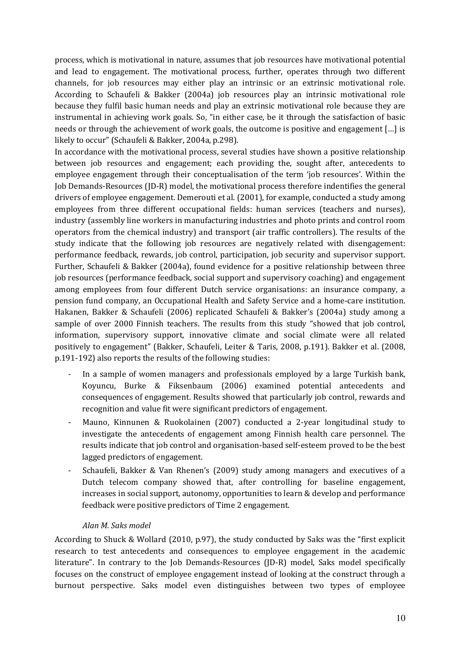process, which is motivational in nature, assumes that job resources have motivational potential and lead to engagement. The motivational process, further, operates through two different channels, for job resources may either play an intrinsic or an extrinsic motivational role. According to Schaufeli & Bakker (2004a) job resources play an intrinsic motivational role because they fulfil basic human needs and play an extrinsic motivational role because they are instrumental in achieving work goals. So, "in either case, be it through the satisfaction of basic needs or through the achievement of work goals, the outcome is positive and engagement […] is likely to occur" (Schaufeli & Bakker, 2004a, p.298).

In accordance with the motivational process, several studies have shown a positive relationship between job resources and engagement; each providing the, sought after, antecedents to employee engagement through their conceptualisation of the term 'job resources'. Within the Job Demands-Resources (JD-R) model, the motivational process therefore indentifies the general drivers of employee engagement. Demerouti et al. (2001), for example, conducted a study among employees from three different occupational fields: human services (teachers and nurses), industry (assembly line workers in manufacturing industries and photo prints and control room operators from the chemical industry) and transport (air traffic controllers). The results of the study indicate that the following job resources are negatively related with disengagement: performance feedback, rewards, job control, participation, job security and supervisor support. Further, Schaufeli & Bakker (2004a), found evidence for a positive relationship between three job resources (performance feedback, social support and supervisory coaching) and engagement among employees from four different Dutch service organisations: an insurance company, a pension fund company, an Occupational Health and Safety Service and a home-care institution. Hakanen, Bakker & Schaufeli (2006) replicated Schaufeli & Bakker's (2004a) study among a sample of over 2000 Finnish teachers. The results from this study "showed that job control, information, supervisory support, innovative climate and social climate were all related positively to engagement" (Bakker, Schaufeli, Leiter & Taris, 2008, p.191). Bakker et al. (2008, p.191-192) also reports the results of the following studies:

- In a sample of women managers and professionals employed by a large Turkish bank, Koyuncu, Burke & Fiksenbaum (2006) examined potential antecedents and consequences of engagement. Results showed that particularly job control, rewards and recognition and value fit were significant predictors of engagement.
- Mauno, Kinnunen & Ruokolainen (2007) conducted a 2-year longitudinal study to investigate the antecedents of engagement among Finnish health care personnel. The results indicate that job control and organisation-based self-esteem proved to be the best lagged predictors of engagement.
- Schaufeli, Bakker & Van Rhenen's (2009) study among managers and executives of a Dutch telecom company showed that, after controlling for baseline engagement, increases in social support, autonomy, opportunities to learn & develop and performance feedback were positive predictors of Time 2 engagement.

# Alan M. Saks model

According to Shuck & Wollard (2010, p.97), the study conducted by Saks was the "first explicit research to test antecedents and consequences to employee engagement in the academic literature". In contrary to the Job Demands-Resources (JD-R) model, Saks model specifically focuses on the construct of employee engagement instead of looking at the construct through a burnout perspective. Saks model even distinguishes between two types of employee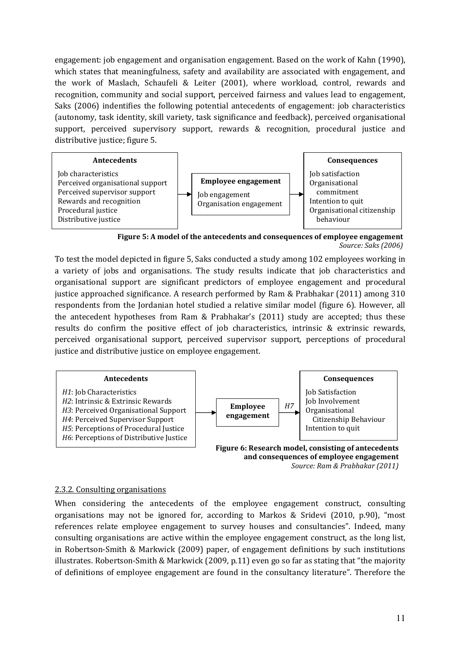engagement: job engagement and organisation engagement. Based on the work of Kahn (1990), which states that meaningfulness, safety and availability are associated with engagement, and the work of Maslach, Schaufeli & Leiter (2001), where workload, control, rewards and recognition, community and social support, perceived fairness and values lead to engagement, Saks (2006) indentifies the following potential antecedents of engagement: job characteristics (autonomy, task identity, skill variety, task significance and feedback), perceived organisational support, perceived supervisory support, rewards & recognition, procedural justice and distributive justice; figure 5.



Figure 5: A model of the antecedents and consequences of employee engagement Source: Saks (2006)

To test the model depicted in figure 5, Saks conducted a study among 102 employees working in a variety of jobs and organisations. The study results indicate that job characteristics and organisational support are significant predictors of employee engagement and procedural justice approached significance. A research performed by Ram & Prabhakar (2011) among 310 respondents from the Jordanian hotel studied a relative similar model (figure 6). However, all the antecedent hypotheses from Ram & Prabhakar's (2011) study are accepted; thus these results do confirm the positive effect of job characteristics, intrinsic & extrinsic rewards, perceived organisational support, perceived supervisor support, perceptions of procedural justice and distributive justice on employee engagement.



Source: Ram & Prabhakar (2011)

#### 2.3.2. Consulting organisations

When considering the antecedents of the employee engagement construct, consulting organisations may not be ignored for, according to Markos & Sridevi (2010, p.90), "most references relate employee engagement to survey houses and consultancies". Indeed, many consulting organisations are active within the employee engagement construct, as the long list, in Robertson-Smith & Markwick (2009) paper, of engagement definitions by such institutions illustrates. Robertson-Smith & Markwick (2009, p.11) even go so far as stating that "the majority of definitions of employee engagement are found in the consultancy literature". Therefore the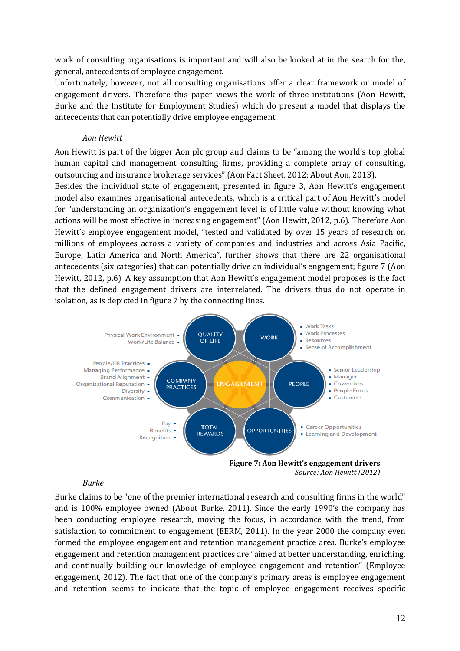work of consulting organisations is important and will also be looked at in the search for the, general, antecedents of employee engagement.

Unfortunately, however, not all consulting organisations offer a clear framework or model of engagement drivers. Therefore this paper views the work of three institutions (Aon Hewitt, Burke and the Institute for Employment Studies) which do present a model that displays the antecedents that can potentially drive employee engagement.

#### Aon Hewitt

Aon Hewitt is part of the bigger Aon plc group and claims to be "among the world's top global human capital and management consulting firms, providing a complete array of consulting, outsourcing and insurance brokerage services" (Aon Fact Sheet, 2012; About Aon, 2013).

Besides the individual state of engagement, presented in figure 3, Aon Hewitt's engagement model also examines organisational antecedents, which is a critical part of Aon Hewitt's model for "understanding an organization's engagement level is of little value without knowing what actions will be most effective in increasing engagement" (Aon Hewitt, 2012, p.6). Therefore Aon Hewitt's employee engagement model, "tested and validated by over 15 years of research on millions of employees across a variety of companies and industries and across Asia Pacific, Europe, Latin America and North America", further shows that there are 22 organisational antecedents (six categories) that can potentially drive an individual's engagement; figure 7 (Aon Hewitt, 2012, p.6). A key assumption that Aon Hewitt's engagement model proposes is the fact that the defined engagement drivers are interrelated. The drivers thus do not operate in isolation, as is depicted in figure 7 by the connecting lines.



#### Burke

Burke claims to be "one of the premier international research and consulting firms in the world" and is 100% employee owned (About Burke, 2011). Since the early 1990's the company has been conducting employee research, moving the focus, in accordance with the trend, from satisfaction to commitment to engagement (EERM, 2011). In the year 2000 the company even formed the employee engagement and retention management practice area. Burke's employee engagement and retention management practices are "aimed at better understanding, enriching, and continually building our knowledge of employee engagement and retention" (Employee engagement, 2012). The fact that one of the company's primary areas is employee engagement and retention seems to indicate that the topic of employee engagement receives specific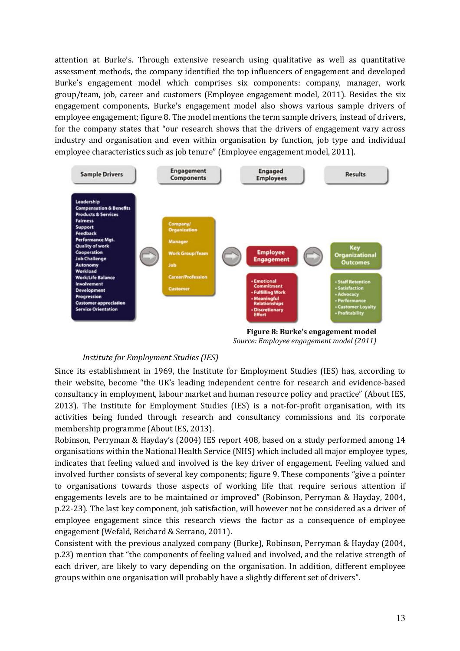attention at Burke's. Through extensive research using qualitative as well as quantitative assessment methods, the company identified the top influencers of engagement and developed Burke's engagement model which comprises six components: company, manager, work group/team, job, career and customers (Employee engagement model, 2011). Besides the six engagement components, Burke's engagement model also shows various sample drivers of employee engagement; figure 8. The model mentions the term sample drivers, instead of drivers, for the company states that "our research shows that the drivers of engagement vary across industry and organisation and even within organisation by function, job type and individual employee characteristics such as job tenure" (Employee engagement model, 2011).



Figure 8: Burke's engagement model Source: Employee engagement model (2011)

#### Institute for Employment Studies (IES)

Since its establishment in 1969, the Institute for Employment Studies (IES) has, according to their website, become "the UK's leading independent centre for research and evidence-based consultancy in employment, labour market and human resource policy and practice" (About IES, 2013). The Institute for Employment Studies (IES) is a not-for-profit organisation, with its activities being funded through research and consultancy commissions and its corporate membership programme (About IES, 2013).

Robinson, Perryman & Hayday's (2004) IES report 408, based on a study performed among 14 organisations within the National Health Service (NHS) which included all major employee types, indicates that feeling valued and involved is the key driver of engagement. Feeling valued and involved further consists of several key components; figure 9. These components "give a pointer to organisations towards those aspects of working life that require serious attention if engagements levels are to be maintained or improved" (Robinson, Perryman & Hayday, 2004, p.22-23). The last key component, job satisfaction, will however not be considered as a driver of employee engagement since this research views the factor as a consequence of employee engagement (Wefald, Reichard & Serrano, 2011).

Consistent with the previous analyzed company (Burke), Robinson, Perryman & Hayday (2004, p.23) mention that "the components of feeling valued and involved, and the relative strength of each driver, are likely to vary depending on the organisation. In addition, different employee groups within one organisation will probably have a slightly different set of drivers".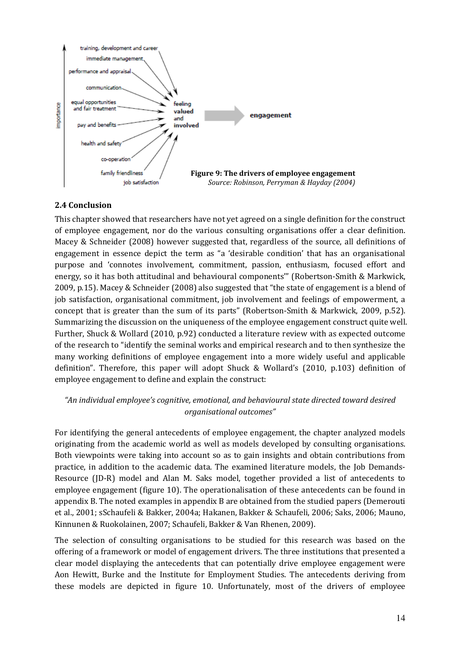

# 2.4 Conclusion

This chapter showed that researchers have not yet agreed on a single definition for the construct of employee engagement, nor do the various consulting organisations offer a clear definition. Macey & Schneider (2008) however suggested that, regardless of the source, all definitions of engagement in essence depict the term as "a 'desirable condition' that has an organisational purpose and 'connotes involvement, commitment, passion, enthusiasm, focused effort and energy, so it has both attitudinal and behavioural components'" (Robertson-Smith & Markwick, 2009, p.15). Macey & Schneider (2008) also suggested that "the state of engagement is a blend of job satisfaction, organisational commitment, job involvement and feelings of empowerment, a concept that is greater than the sum of its parts" (Robertson-Smith & Markwick, 2009, p.52). Summarizing the discussion on the uniqueness of the employee engagement construct quite well. Further, Shuck & Wollard (2010, p.92) conducted a literature review with as expected outcome of the research to "identify the seminal works and empirical research and to then synthesize the many working definitions of employee engagement into a more widely useful and applicable definition". Therefore, this paper will adopt Shuck & Wollard's (2010, p.103) definition of employee engagement to define and explain the construct:

# "An individual employee's cognitive, emotional, and behavioural state directed toward desired organisational outcomes"

For identifying the general antecedents of employee engagement, the chapter analyzed models originating from the academic world as well as models developed by consulting organisations. Both viewpoints were taking into account so as to gain insights and obtain contributions from practice, in addition to the academic data. The examined literature models, the Job Demands-Resource (JD-R) model and Alan M. Saks model, together provided a list of antecedents to employee engagement (figure 10). The operationalisation of these antecedents can be found in appendix B. The noted examples in appendix B are obtained from the studied papers (Demerouti et al., 2001; sSchaufeli & Bakker, 2004a; Hakanen, Bakker & Schaufeli, 2006; Saks, 2006; Mauno, Kinnunen & Ruokolainen, 2007; Schaufeli, Bakker & Van Rhenen, 2009).

The selection of consulting organisations to be studied for this research was based on the offering of a framework or model of engagement drivers. The three institutions that presented a clear model displaying the antecedents that can potentially drive employee engagement were Aon Hewitt, Burke and the Institute for Employment Studies. The antecedents deriving from these models are depicted in figure 10. Unfortunately, most of the drivers of employee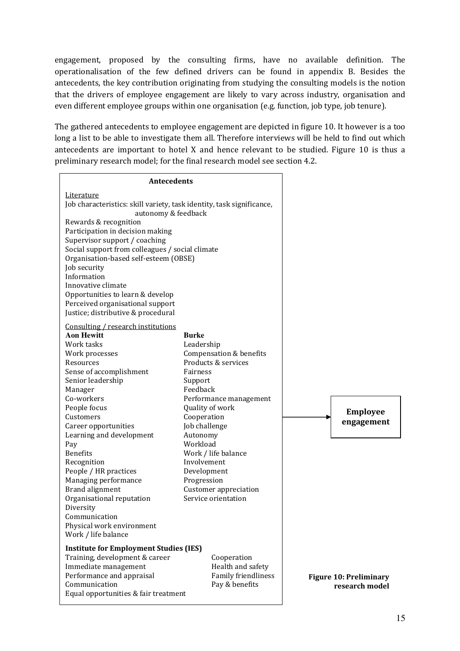engagement, proposed by the consulting firms, have no available definition. The operationalisation of the few defined drivers can be found in appendix B. Besides the antecedents, the key contribution originating from studying the consulting models is the notion that the drivers of employee engagement are likely to vary across industry, organisation and even different employee groups within one organisation (e.g. function, job type, job tenure).

The gathered antecedents to employee engagement are depicted in figure 10. It however is a too long a list to be able to investigate them all. Therefore interviews will be held to find out which antecedents are important to hotel X and hence relevant to be studied. Figure 10 is thus a preliminary research model; for the final research model see section 4.2.

| <b>Antecedents</b>                                                                                                                                                                                                                                                                                                                                                                                                                                                                         |                                                                                                                                                                                                                                                                                                                                                 |                                                 |
|--------------------------------------------------------------------------------------------------------------------------------------------------------------------------------------------------------------------------------------------------------------------------------------------------------------------------------------------------------------------------------------------------------------------------------------------------------------------------------------------|-------------------------------------------------------------------------------------------------------------------------------------------------------------------------------------------------------------------------------------------------------------------------------------------------------------------------------------------------|-------------------------------------------------|
| Literature<br>Job characteristics: skill variety, task identity, task significance,<br>autonomy & feedback<br>Rewards & recognition<br>Participation in decision making<br>Supervisor support / coaching<br>Social support from colleagues / social climate<br>Organisation-based self-esteem (OBSE)<br>Job security<br>Information<br>Innovative climate<br>Opportunities to learn & develop<br>Perceived organisational support<br>Justice; distributive & procedural                    |                                                                                                                                                                                                                                                                                                                                                 |                                                 |
| Consulting / research institutions<br><b>Aon Hewitt</b><br>Work tasks<br>Work processes<br>Resources<br>Sense of accomplishment<br>Senior leadership<br>Manager<br>Co-workers<br>People focus<br>Customers<br>Career opportunities<br>Learning and development<br>Pay<br><b>Benefits</b><br>Recognition<br>People / HR practices<br>Managing performance<br>Brand alignment<br>Organisational reputation<br>Diversity<br>Communication<br>Physical work environment<br>Work / life balance | <b>Burke</b><br>Leadership<br>Compensation & benefits<br>Products & services<br>Fairness<br>Support<br>Feedback<br>Performance management<br>Quality of work<br>Cooperation<br>Job challenge<br>Autonomy<br>Workload<br>Work / life balance<br>Involvement<br>Development<br>Progression<br><b>Customer</b> appreciation<br>Service orientation | <b>Employee</b><br>engagement                   |
| <b>Institute for Employment Studies (IES)</b><br>Training, development & career<br>Immediate management<br>Performance and appraisal<br>Communication<br>Equal opportunities & fair treatment                                                                                                                                                                                                                                                                                              | Cooperation<br>Health and safety<br>Family friendliness<br>Pay & benefits                                                                                                                                                                                                                                                                       | <b>Figure 10: Preliminary</b><br>research model |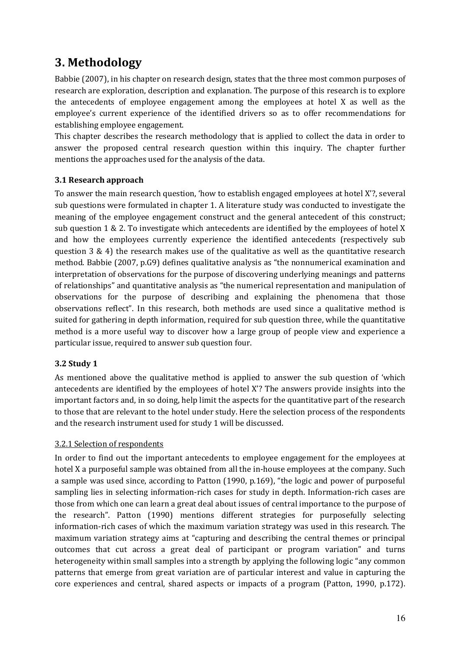# 3. Methodology

Babbie (2007), in his chapter on research design, states that the three most common purposes of research are exploration, description and explanation. The purpose of this research is to explore the antecedents of employee engagement among the employees at hotel X as well as the employee's current experience of the identified drivers so as to offer recommendations for establishing employee engagement.

This chapter describes the research methodology that is applied to collect the data in order to answer the proposed central research question within this inquiry. The chapter further mentions the approaches used for the analysis of the data.

# 3.1 Research approach

To answer the main research question, 'how to establish engaged employees at hotel X'?, several sub questions were formulated in chapter 1. A literature study was conducted to investigate the meaning of the employee engagement construct and the general antecedent of this construct; sub question 1 & 2. To investigate which antecedents are identified by the employees of hotel X and how the employees currently experience the identified antecedents (respectively sub question  $3 \& 4$ ) the research makes use of the qualitative as well as the quantitative research method. Babbie (2007, p.G9) defines qualitative analysis as "the nonnumerical examination and interpretation of observations for the purpose of discovering underlying meanings and patterns of relationships" and quantitative analysis as "the numerical representation and manipulation of observations for the purpose of describing and explaining the phenomena that those observations reflect". In this research, both methods are used since a qualitative method is suited for gathering in depth information, required for sub question three, while the quantitative method is a more useful way to discover how a large group of people view and experience a particular issue, required to answer sub question four.

# 3.2 Study 1

As mentioned above the qualitative method is applied to answer the sub question of 'which antecedents are identified by the employees of hotel X'? The answers provide insights into the important factors and, in so doing, help limit the aspects for the quantitative part of the research to those that are relevant to the hotel under study. Here the selection process of the respondents and the research instrument used for study 1 will be discussed.

# 3.2.1 Selection of respondents

In order to find out the important antecedents to employee engagement for the employees at hotel X a purposeful sample was obtained from all the in-house employees at the company. Such a sample was used since, according to Patton (1990, p.169), "the logic and power of purposeful sampling lies in selecting information-rich cases for study in depth. Information-rich cases are those from which one can learn a great deal about issues of central importance to the purpose of the research". Patton (1990) mentions different strategies for purposefully selecting information-rich cases of which the maximum variation strategy was used in this research. The maximum variation strategy aims at "capturing and describing the central themes or principal outcomes that cut across a great deal of participant or program variation" and turns heterogeneity within small samples into a strength by applying the following logic "any common patterns that emerge from great variation are of particular interest and value in capturing the core experiences and central, shared aspects or impacts of a program (Patton, 1990, p.172).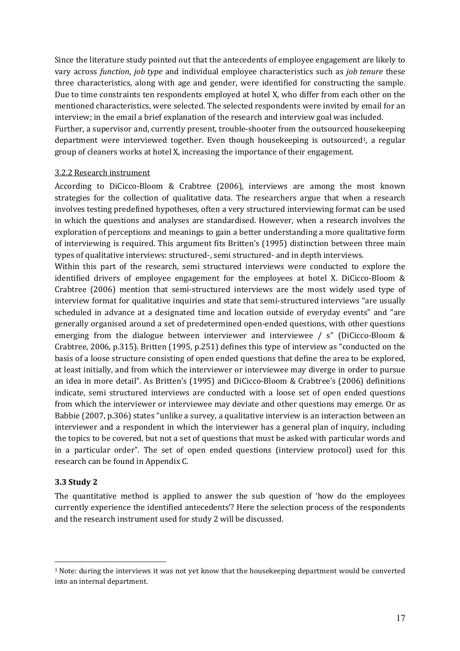Since the literature study pointed out that the antecedents of employee engagement are likely to vary across function, job type and individual employee characteristics such as job tenure these three characteristics, along with age and gender, were identified for constructing the sample. Due to time constraints ten respondents employed at hotel X, who differ from each other on the mentioned characteristics, were selected. The selected respondents were invited by email for an interview; in the email a brief explanation of the research and interview goal was included.

Further, a supervisor and, currently present, trouble-shooter from the outsourced housekeeping department were interviewed together. Even though housekeeping is outsourced<sup>1</sup>, a regular group of cleaners works at hotel X, increasing the importance of their engagement.

## 3.2.2 Research instrument

According to DiCicco-Bloom & Crabtree (2006), interviews are among the most known strategies for the collection of qualitative data. The researchers argue that when a research involves testing predefined hypotheses, often a very structured interviewing format can be used in which the questions and analyses are standardised. However, when a research involves the exploration of perceptions and meanings to gain a better understanding a more qualitative form of interviewing is required. This argument fits Britten's (1995) distinction between three main types of qualitative interviews: structured-, semi structured- and in depth interviews.

Within this part of the research, semi structured interviews were conducted to explore the identified drivers of employee engagement for the employees at hotel X. DiCicco-Bloom & Crabtree (2006) mention that semi-structured interviews are the most widely used type of interview format for qualitative inquiries and state that semi-structured interviews "are usually scheduled in advance at a designated time and location outside of everyday events" and "are generally organised around a set of predetermined open-ended questions, with other questions emerging from the dialogue between interviewer and interviewee / s" (DiCicco-Bloom & Crabtree, 2006, p.315). Britten (1995, p.251) defines this type of interview as "conducted on the basis of a loose structure consisting of open ended questions that define the area to be explored, at least initially, and from which the interviewer or interviewee may diverge in order to pursue an idea in more detail". As Britten's (1995) and DiCicco-Bloom & Crabtree's (2006) definitions indicate, semi structured interviews are conducted with a loose set of open ended questions from which the interviewer or interviewee may deviate and other questions may emerge. Or as Babbie (2007, p.306) states "unlike a survey, a qualitative interview is an interaction between an interviewer and a respondent in which the interviewer has a general plan of inquiry, including the topics to be covered, but not a set of questions that must be asked with particular words and in a particular order". The set of open ended questions (interview protocol) used for this research can be found in Appendix C.

# 3.3 Study 2

 $\overline{a}$ 

The quantitative method is applied to answer the sub question of 'how do the employees currently experience the identified antecedents'? Here the selection process of the respondents and the research instrument used for study 2 will be discussed.

<sup>1</sup> Note: during the interviews it was not yet know that the housekeeping department would be converted into an internal department.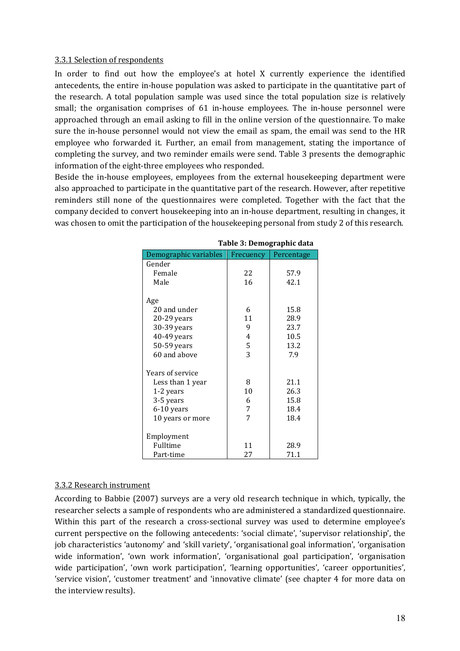#### 3.3.1 Selection of respondents

In order to find out how the employee's at hotel X currently experience the identified antecedents, the entire in-house population was asked to participate in the quantitative part of the research. A total population sample was used since the total population size is relatively small; the organisation comprises of 61 in-house employees. The in-house personnel were approached through an email asking to fill in the online version of the questionnaire. To make sure the in-house personnel would not view the email as spam, the email was send to the HR employee who forwarded it. Further, an email from management, stating the importance of completing the survey, and two reminder emails were send. Table 3 presents the demographic information of the eight-three employees who responded.

Beside the in-house employees, employees from the external housekeeping department were also approached to participate in the quantitative part of the research. However, after repetitive reminders still none of the questionnaires were completed. Together with the fact that the company decided to convert housekeeping into an in-house department, resulting in changes, it was chosen to omit the participation of the housekeeping personal from study 2 of this research.

|                       | rable 3: Demographic data |            |  |
|-----------------------|---------------------------|------------|--|
| Demographic variables | Frecuency                 | Percentage |  |
| Gender                |                           |            |  |
| Female                | 22                        | 57.9       |  |
| Male                  | 16                        | 42.1       |  |
| Age                   |                           |            |  |
| 20 and under          | 6                         | 15.8       |  |
| $20-29$ years         | 11                        | 28.9       |  |
| 30-39 years           | 9                         | 23.7       |  |
| 40-49 years           | 4                         | 10.5       |  |
| 50-59 years           | 5                         | 13.2       |  |
| 60 and above          | 3                         | 7.9        |  |
| Years of service      |                           |            |  |
| Less than 1 year      | 8                         | 21.1       |  |
| 1-2 years             | 10                        | 26.3       |  |
| 3-5 years             | 6                         | 15.8       |  |
| 6-10 years            | 7                         | 18.4       |  |
| 10 years or more      | 7                         | 18.4       |  |
| Employment            |                           |            |  |
| Fulltime              | 11                        | 28.9       |  |
| Part-time             | 27                        | 71.1       |  |
|                       |                           |            |  |

Table 3: Demographic data

## 3.3.2 Research instrument

According to Babbie (2007) surveys are a very old research technique in which, typically, the researcher selects a sample of respondents who are administered a standardized questionnaire. Within this part of the research a cross-sectional survey was used to determine employee's current perspective on the following antecedents: 'social climate', 'supervisor relationship', the job characteristics 'autonomy' and 'skill variety', 'organisational goal information', 'organisation wide information', 'own work information', 'organisational goal participation', 'organisation wide participation', 'own work participation', 'learning opportunities', 'career opportunities', 'service vision', 'customer treatment' and 'innovative climate' (see chapter 4 for more data on the interview results).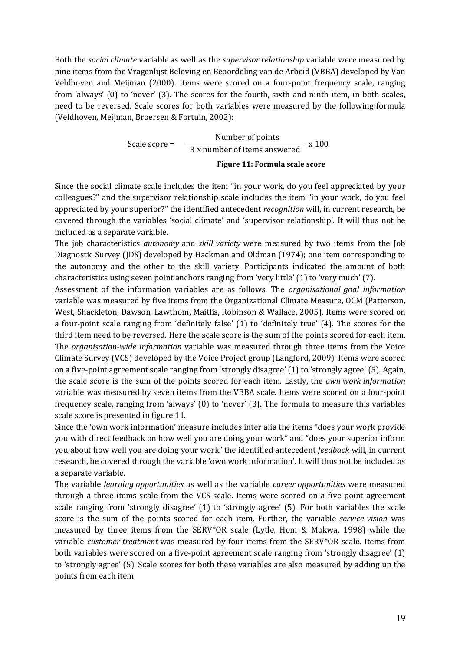Both the social climate variable as well as the supervisor relationship variable were measured by nine items from the Vragenlijst Beleving en Beoordeling van de Arbeid (VBBA) developed by Van Veldhoven and Meijman (2000). Items were scored on a four-point frequency scale, ranging from 'always' (0) to 'never' (3). The scores for the fourth, sixth and ninth item, in both scales, need to be reversed. Scale scores for both variables were measured by the following formula (Veldhoven, Meijman, Broersen & Fortuin, 2002):

> Scale score = Number of points  $\frac{1}{3 \text{ x number of items answered}}$  x 100 Figure 11: Formula scale score

Since the social climate scale includes the item "in your work, do you feel appreciated by your colleagues?" and the supervisor relationship scale includes the item "in your work, do you feel appreciated by your superior?" the identified antecedent recognition will, in current research, be covered through the variables 'social climate' and 'supervisor relationship'. It will thus not be included as a separate variable.

The job characteristics autonomy and skill variety were measured by two items from the Job Diagnostic Survey (JDS) developed by Hackman and Oldman (1974); one item corresponding to the autonomy and the other to the skill variety. Participants indicated the amount of both characteristics using seven point anchors ranging from 'very little' (1) to 'very much' (7).

Assessment of the information variables are as follows. The organisational goal information variable was measured by five items from the Organizational Climate Measure, OCM (Patterson, West, Shackleton, Dawson, Lawthom, Maitlis, Robinson & Wallace, 2005). Items were scored on a four-point scale ranging from 'definitely false' (1) to 'definitely true' (4). The scores for the third item need to be reversed. Here the scale score is the sum of the points scored for each item. The organisation-wide information variable was measured through three items from the Voice Climate Survey (VCS) developed by the Voice Project group (Langford, 2009). Items were scored on a five-point agreement scale ranging from 'strongly disagree' (1) to 'strongly agree' (5). Again, the scale score is the sum of the points scored for each item. Lastly, the own work information variable was measured by seven items from the VBBA scale. Items were scored on a four-point frequency scale, ranging from 'always' (0) to 'never' (3). The formula to measure this variables scale score is presented in figure 11.

Since the 'own work information' measure includes inter alia the items "does your work provide you with direct feedback on how well you are doing your work" and "does your superior inform you about how well you are doing your work" the identified antecedent *feedback* will, in current research, be covered through the variable 'own work information'. It will thus not be included as a separate variable.

The variable *learning opportunities* as well as the variable *career opportunities* were measured through a three items scale from the VCS scale. Items were scored on a five-point agreement scale ranging from 'strongly disagree' (1) to 'strongly agree' (5). For both variables the scale score is the sum of the points scored for each item. Further, the variable service vision was measured by three items from the SERV\*OR scale (Lytle, Hom & Mokwa, 1998) while the variable customer treatment was measured by four items from the SERV\*OR scale. Items from both variables were scored on a five-point agreement scale ranging from 'strongly disagree' (1) to 'strongly agree' (5). Scale scores for both these variables are also measured by adding up the points from each item.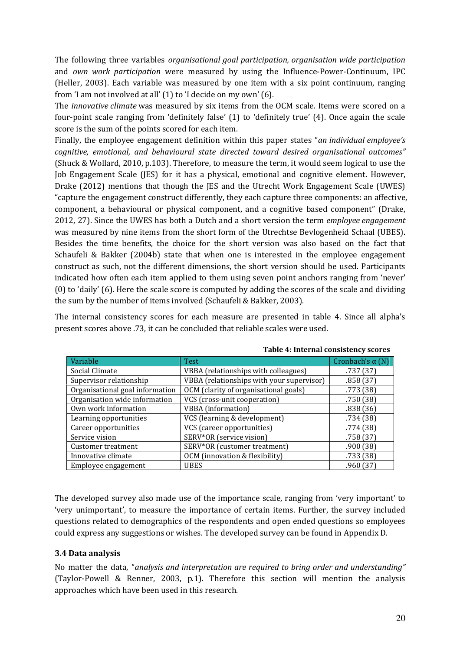The following three variables organisational goal participation, organisation wide participation and own work participation were measured by using the Influence-Power-Continuum, IPC (Heller, 2003). Each variable was measured by one item with a six point continuum, ranging from 'I am not involved at all' (1) to 'I decide on my own' (6).

The innovative climate was measured by six items from the OCM scale. Items were scored on a four-point scale ranging from 'definitely false' (1) to 'definitely true' (4). Once again the scale score is the sum of the points scored for each item.

Finally, the employee engagement definition within this paper states "an individual employee's cognitive, emotional, and behavioural state directed toward desired organisational outcomes" (Shuck & Wollard, 2010, p.103). Therefore, to measure the term, it would seem logical to use the Job Engagement Scale (JES) for it has a physical, emotional and cognitive element. However, Drake (2012) mentions that though the JES and the Utrecht Work Engagement Scale (UWES) "capture the engagement construct differently, they each capture three components: an affective, component, a behavioural or physical component, and a cognitive based component" (Drake, 2012, 27). Since the UWES has both a Dutch and a short version the term *employee engagement* was measured by nine items from the short form of the Utrechtse Bevlogenheid Schaal (UBES). Besides the time benefits, the choice for the short version was also based on the fact that Schaufeli & Bakker (2004b) state that when one is interested in the employee engagement construct as such, not the different dimensions, the short version should be used. Participants indicated how often each item applied to them using seven point anchors ranging from 'never' (0) to 'daily' (6). Here the scale score is computed by adding the scores of the scale and dividing the sum by the number of items involved (Schaufeli & Bakker, 2003).

The internal consistency scores for each measure are presented in table 4. Since all alpha's present scores above .73, it can be concluded that reliable scales were used.

| Variable                        | <b>Test</b>                               | Cronbach's $\alpha$ (N) |
|---------------------------------|-------------------------------------------|-------------------------|
| Social Climate                  | VBBA (relationships with colleagues)      | .737 (37)               |
| Supervisor relationship         | VBBA (relationships with your supervisor) | .858(37)                |
| Organisational goal information | OCM (clarity of organisational goals)     | .773(38)                |
| Organisation wide information   | VCS (cross-unit cooperation)              | .750(38)                |
| Own work information            | <b>VBBA</b> (information)                 | .838(36)                |
| Learning opportunities          | VCS (learning & development)              | .734(38)                |
| Career opportunities            | VCS (career opportunities)                | .774(38)                |
| Service vision                  | SERV*OR (service vision)                  | .758(37)                |
| Customer treatment              | SERV*OR (customer treatment)              | .900(38)                |
| Innovative climate              | OCM (innovation & flexibility)            | .733(38)                |
| Employee engagement             | <b>UBES</b>                               | .960(37)                |

Table 4: Internal consistency scores

The developed survey also made use of the importance scale, ranging from 'very important' to 'very unimportant', to measure the importance of certain items. Further, the survey included questions related to demographics of the respondents and open ended questions so employees could express any suggestions or wishes. The developed survey can be found in Appendix D.

# 3.4 Data analysis

No matter the data, "analysis and interpretation are required to bring order and understanding" (Taylor-Powell & Renner, 2003, p.1). Therefore this section will mention the analysis approaches which have been used in this research.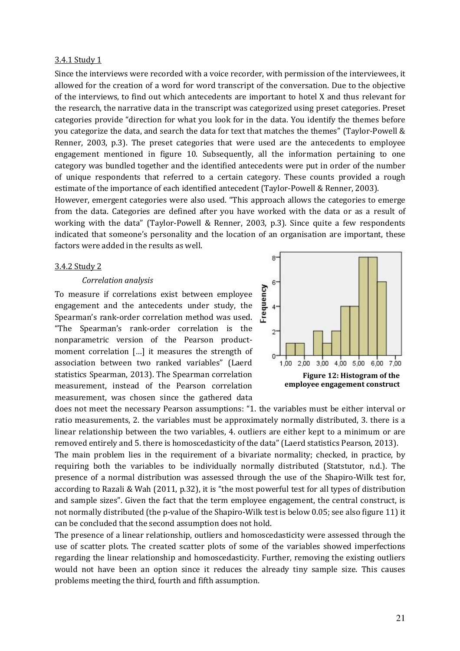#### 3.4.1 Study 1

Since the interviews were recorded with a voice recorder, with permission of the interviewees, it allowed for the creation of a word for word transcript of the conversation. Due to the objective of the interviews, to find out which antecedents are important to hotel X and thus relevant for the research, the narrative data in the transcript was categorized using preset categories. Preset categories provide "direction for what you look for in the data. You identify the themes before you categorize the data, and search the data for text that matches the themes" (Taylor-Powell & Renner, 2003, p.3). The preset categories that were used are the antecedents to employee engagement mentioned in figure 10. Subsequently, all the information pertaining to one category was bundled together and the identified antecedents were put in order of the number of unique respondents that referred to a certain category. These counts provided a rough estimate of the importance of each identified antecedent (Taylor-Powell & Renner, 2003).

However, emergent categories were also used. "This approach allows the categories to emerge from the data. Categories are defined after you have worked with the data or as a result of working with the data" (Taylor-Powell & Renner, 2003, p.3). Since quite a few respondents indicated that someone's personality and the location of an organisation are important, these factors were added in the results as well.

#### 3.4.2 Study 2

#### Correlation analysis

To measure if correlations exist between employee engagement and the antecedents under study, the Spearman's rank-order correlation method was used. "The Spearman's rank-order correlation is the nonparametric version of the Pearson productmoment correlation […] it measures the strength of association between two ranked variables" (Laerd statistics Spearman, 2013). The Spearman correlation measurement, instead of the Pearson correlation measurement, was chosen since the gathered data



does not meet the necessary Pearson assumptions: "1. the variables must be either interval or ratio measurements, 2. the variables must be approximately normally distributed, 3. there is a linear relationship between the two variables, 4. outliers are either kept to a minimum or are removed entirely and 5. there is homoscedasticity of the data" (Laerd statistics Pearson, 2013).

The main problem lies in the requirement of a bivariate normality; checked, in practice, by requiring both the variables to be individually normally distributed (Statstutor, n.d.). The presence of a normal distribution was assessed through the use of the Shapiro-Wilk test for, according to Razali & Wah (2011, p.32), it is "the most powerful test for all types of distribution and sample sizes". Given the fact that the term employee engagement, the central construct, is not normally distributed (the p-value of the Shapiro-Wilk test is below 0.05; see also figure 11) it can be concluded that the second assumption does not hold.

The presence of a linear relationship, outliers and homoscedasticity were assessed through the use of scatter plots. The created scatter plots of some of the variables showed imperfections regarding the linear relationship and homoscedasticity. Further, removing the existing outliers would not have been an option since it reduces the already tiny sample size. This causes problems meeting the third, fourth and fifth assumption.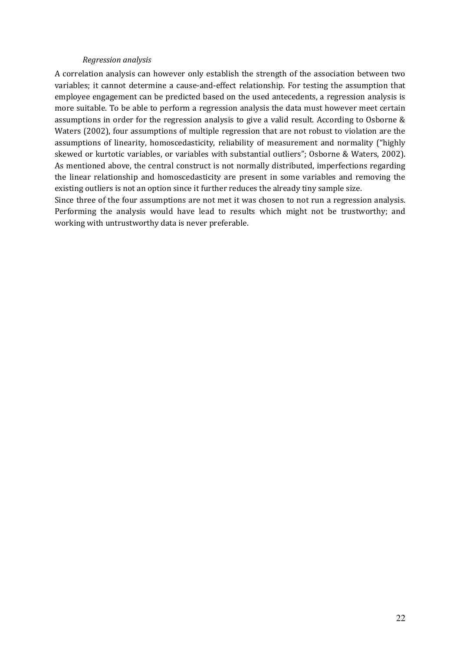#### Regression analysis

A correlation analysis can however only establish the strength of the association between two variables; it cannot determine a cause-and-effect relationship. For testing the assumption that employee engagement can be predicted based on the used antecedents, a regression analysis is more suitable. To be able to perform a regression analysis the data must however meet certain assumptions in order for the regression analysis to give a valid result. According to Osborne & Waters (2002), four assumptions of multiple regression that are not robust to violation are the assumptions of linearity, homoscedasticity, reliability of measurement and normality ("highly skewed or kurtotic variables, or variables with substantial outliers"; Osborne & Waters, 2002). As mentioned above, the central construct is not normally distributed, imperfections regarding the linear relationship and homoscedasticity are present in some variables and removing the existing outliers is not an option since it further reduces the already tiny sample size.

Since three of the four assumptions are not met it was chosen to not run a regression analysis. Performing the analysis would have lead to results which might not be trustworthy; and working with untrustworthy data is never preferable.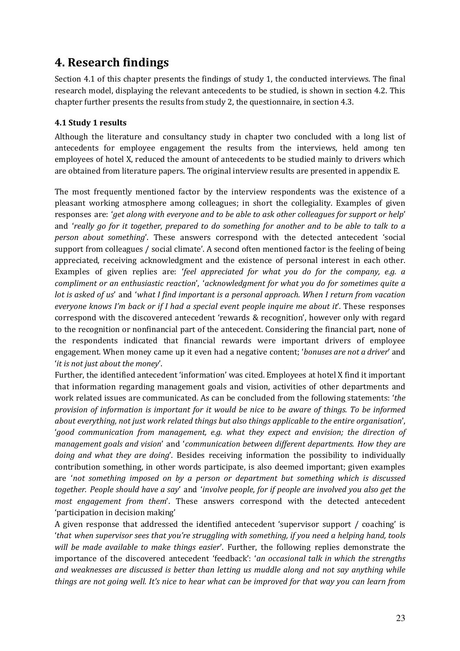# 4. Research findings

Section 4.1 of this chapter presents the findings of study 1, the conducted interviews. The final research model, displaying the relevant antecedents to be studied, is shown in section 4.2. This chapter further presents the results from study 2, the questionnaire, in section 4.3.

# 4.1 Study 1 results

Although the literature and consultancy study in chapter two concluded with a long list of antecedents for employee engagement the results from the interviews, held among ten employees of hotel X, reduced the amount of antecedents to be studied mainly to drivers which are obtained from literature papers. The original interview results are presented in appendix E.

The most frequently mentioned factor by the interview respondents was the existence of a pleasant working atmosphere among colleagues; in short the collegiality. Examples of given responses are: 'get along with everyone and to be able to ask other colleagues for support or help' and 'really go for it together, prepared to do something for another and to be able to talk to a person about something'. These answers correspond with the detected antecedent 'social support from colleagues / social climate'. A second often mentioned factor is the feeling of being appreciated, receiving acknowledgment and the existence of personal interest in each other. Examples of given replies are: 'feel appreciated for what you do for the company, e.g. a compliment or an enthusiastic reaction', 'acknowledgment for what you do for sometimes quite a lot is asked of us' and 'what I find important is a personal approach. When I return from vacation everyone knows I'm back or if I had a special event people inquire me about it'. These responses correspond with the discovered antecedent 'rewards & recognition', however only with regard to the recognition or nonfinancial part of the antecedent. Considering the financial part, none of the respondents indicated that financial rewards were important drivers of employee engagement. When money came up it even had a negative content; 'bonuses are not a driver' and 'it is not just about the money'.

Further, the identified antecedent 'information' was cited. Employees at hotel X find it important that information regarding management goals and vision, activities of other departments and work related issues are communicated. As can be concluded from the following statements: 'the provision of information is important for it would be nice to be aware of things. To be informed about everything, not just work related things but also things applicable to the entire organisation', 'good communication from management, e.g. what they expect and envision; the direction of management goals and vision' and 'communication between different departments. How they are doing and what they are doing'. Besides receiving information the possibility to individually contribution something, in other words participate, is also deemed important; given examples are 'not something imposed on by a person or department but something which is discussed together. People should have a say' and 'involve people, for if people are involved you also get the most engagement from them'. These answers correspond with the detected antecedent 'participation in decision making'

A given response that addressed the identified antecedent 'supervisor support / coaching' is 'that when supervisor sees that you're struggling with something, if you need a helping hand, tools will be made available to make things easier'. Further, the following replies demonstrate the importance of the discovered antecedent 'feedback': 'an occasional talk in which the strengths and weaknesses are discussed is better than letting us muddle along and not say anything while things are not going well. It's nice to hear what can be improved for that way you can learn from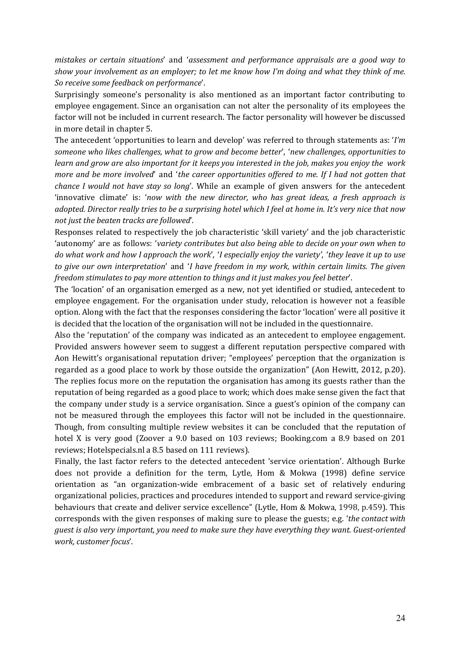mistakes or certain situations' and 'assessment and performance appraisals are a good way to show your involvement as an employer; to let me know how I'm doing and what they think of me. So receive some feedback on performance'.

Surprisingly someone's personality is also mentioned as an important factor contributing to employee engagement. Since an organisation can not alter the personality of its employees the factor will not be included in current research. The factor personality will however be discussed in more detail in chapter 5.

The antecedent 'opportunities to learn and develop' was referred to through statements as: 'I'm someone who likes challenges, what to grow and become better', 'new challenges, opportunities to learn and grow are also important for it keeps you interested in the job, makes you enjoy the work more and be more involved' and 'the career opportunities offered to me. If I had not gotten that chance I would not have stay so long'. While an example of given answers for the antecedent 'innovative climate' is: 'now with the new director, who has great ideas, a fresh approach is adopted. Director really tries to be a surprising hotel which I feel at home in. It's very nice that now not just the beaten tracks are followed'.

Responses related to respectively the job characteristic 'skill variety' and the job characteristic 'autonomy' are as follows: 'variety contributes but also being able to decide on your own when to do what work and how I approach the work', 'I especially enjoy the variety', 'they leave it up to use to give our own interpretation' and 'I have freedom in my work, within certain limits. The given freedom stimulates to pay more attention to things and it just makes you feel better'.

The 'location' of an organisation emerged as a new, not yet identified or studied, antecedent to employee engagement. For the organisation under study, relocation is however not a feasible option. Along with the fact that the responses considering the factor 'location' were all positive it is decided that the location of the organisation will not be included in the questionnaire.

Also the 'reputation' of the company was indicated as an antecedent to employee engagement. Provided answers however seem to suggest a different reputation perspective compared with Aon Hewitt's organisational reputation driver; "employees' perception that the organization is regarded as a good place to work by those outside the organization" (Aon Hewitt, 2012, p.20). The replies focus more on the reputation the organisation has among its guests rather than the reputation of being regarded as a good place to work; which does make sense given the fact that the company under study is a service organisation. Since a guest's opinion of the company can not be measured through the employees this factor will not be included in the questionnaire. Though, from consulting multiple review websites it can be concluded that the reputation of hotel X is very good (Zoover a 9.0 based on 103 reviews; Booking.com a 8.9 based on 201 reviews; Hotelspecials.nl a 8.5 based on 111 reviews).

Finally, the last factor refers to the detected antecedent 'service orientation'. Although Burke does not provide a definition for the term, Lytle, Hom & Mokwa (1998) define service orientation as "an organization-wide embracement of a basic set of relatively enduring organizational policies, practices and procedures intended to support and reward service-giving behaviours that create and deliver service excellence" (Lytle, Hom & Mokwa, 1998, p.459). This corresponds with the given responses of making sure to please the guests; e.g. 'the contact with guest is also very important, you need to make sure they have everything they want. Guest-oriented work, customer focus'.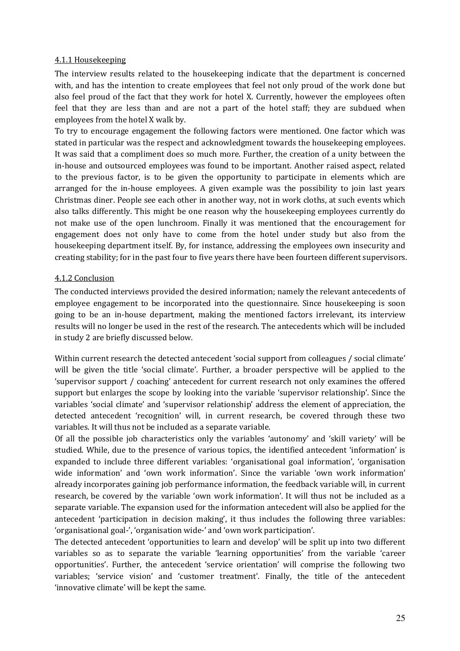# 4.1.1 Housekeeping

The interview results related to the housekeeping indicate that the department is concerned with, and has the intention to create employees that feel not only proud of the work done but also feel proud of the fact that they work for hotel X. Currently, however the employees often feel that they are less than and are not a part of the hotel staff; they are subdued when employees from the hotel X walk by.

To try to encourage engagement the following factors were mentioned. One factor which was stated in particular was the respect and acknowledgment towards the housekeeping employees. It was said that a compliment does so much more. Further, the creation of a unity between the in-house and outsourced employees was found to be important. Another raised aspect, related to the previous factor, is to be given the opportunity to participate in elements which are arranged for the in-house employees. A given example was the possibility to join last years Christmas diner. People see each other in another way, not in work cloths, at such events which also talks differently. This might be one reason why the housekeeping employees currently do not make use of the open lunchroom. Finally it was mentioned that the encouragement for engagement does not only have to come from the hotel under study but also from the housekeeping department itself. By, for instance, addressing the employees own insecurity and creating stability; for in the past four to five years there have been fourteen different supervisors.

## 4.1.2 Conclusion

The conducted interviews provided the desired information; namely the relevant antecedents of employee engagement to be incorporated into the questionnaire. Since housekeeping is soon going to be an in-house department, making the mentioned factors irrelevant, its interview results will no longer be used in the rest of the research. The antecedents which will be included in study 2 are briefly discussed below.

Within current research the detected antecedent 'social support from colleagues / social climate' will be given the title 'social climate'. Further, a broader perspective will be applied to the 'supervisor support / coaching' antecedent for current research not only examines the offered support but enlarges the scope by looking into the variable 'supervisor relationship'. Since the variables 'social climate' and 'supervisor relationship' address the element of appreciation, the detected antecedent 'recognition' will, in current research, be covered through these two variables. It will thus not be included as a separate variable.

Of all the possible job characteristics only the variables 'autonomy' and 'skill variety' will be studied. While, due to the presence of various topics, the identified antecedent 'information' is expanded to include three different variables: 'organisational goal information', 'organisation wide information' and 'own work information'. Since the variable 'own work information' already incorporates gaining job performance information, the feedback variable will, in current research, be covered by the variable 'own work information'. It will thus not be included as a separate variable. The expansion used for the information antecedent will also be applied for the antecedent 'participation in decision making', it thus includes the following three variables: 'organisational goal-', 'organisation wide-' and 'own work participation'.

The detected antecedent 'opportunities to learn and develop' will be split up into two different variables so as to separate the variable 'learning opportunities' from the variable 'career opportunities'. Further, the antecedent 'service orientation' will comprise the following two variables; 'service vision' and 'customer treatment'. Finally, the title of the antecedent 'innovative climate' will be kept the same.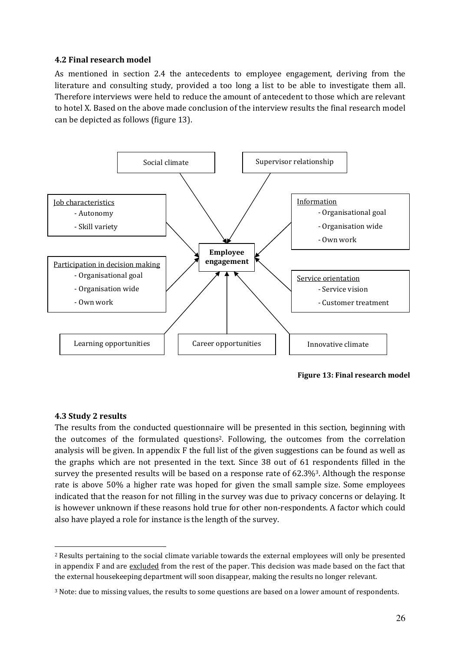## 4.2 Final research model

As mentioned in section 2.4 the antecedents to employee engagement, deriving from the literature and consulting study, provided a too long a list to be able to investigate them all. Therefore interviews were held to reduce the amount of antecedent to those which are relevant to hotel X. Based on the above made conclusion of the interview results the final research model can be depicted as follows (figure 13).



Figure 13: Final research model

# 4.3 Study 2 results

The results from the conducted questionnaire will be presented in this section, beginning with the outcomes of the formulated questions2. Following, the outcomes from the correlation analysis will be given. In appendix F the full list of the given suggestions can be found as well as the graphs which are not presented in the text. Since 38 out of 61 respondents filled in the survey the presented results will be based on a response rate of 62.3%3. Although the response rate is above 50% a higher rate was hoped for given the small sample size. Some employees indicated that the reason for not filling in the survey was due to privacy concerns or delaying. It is however unknown if these reasons hold true for other non-respondents. A factor which could also have played a role for instance is the length of the survey.

 $\overline{a}$ <sup>2</sup> Results pertaining to the social climate variable towards the external employees will only be presented in appendix F and are excluded from the rest of the paper. This decision was made based on the fact that the external housekeeping department will soon disappear, making the results no longer relevant.

<sup>3</sup> Note: due to missing values, the results to some questions are based on a lower amount of respondents.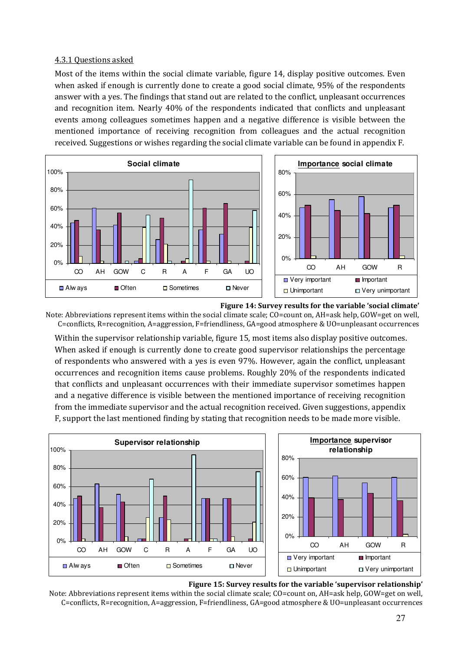## 4.3.1 Questions asked

Most of the items within the social climate variable, figure 14, display positive outcomes. Even when asked if enough is currently done to create a good social climate, 95% of the respondents answer with a yes. The findings that stand out are related to the conflict, unpleasant occurrences and recognition item. Nearly 40% of the respondents indicated that conflicts and unpleasant events among colleagues sometimes happen and a negative difference is visible between the mentioned importance of receiving recognition from colleagues and the actual recognition received. Suggestions or wishes regarding the social climate variable can be found in appendix F.



Figure 14: Survey results for the variable 'social climate' Note: Abbreviations represent items within the social climate scale; CO=count on, AH=ask help, GOW=get on well, C=conflicts, R=recognition, A=aggression, F=friendliness, GA=good atmosphere & UO=unpleasant occurrences

Within the supervisor relationship variable, figure 15, most items also display positive outcomes. When asked if enough is currently done to create good supervisor relationships the percentage of respondents who answered with a yes is even 97%. However, again the conflict, unpleasant occurrences and recognition items cause problems. Roughly 20% of the respondents indicated that conflicts and unpleasant occurrences with their immediate supervisor sometimes happen and a negative difference is visible between the mentioned importance of receiving recognition from the immediate supervisor and the actual recognition received. Given suggestions, appendix F, support the last mentioned finding by stating that recognition needs to be made more visible.



#### Figure 15: Survey results for the variable 'supervisor relationship'

Note: Abbreviations represent items within the social climate scale; CO=count on, AH=ask help, GOW=get on well, C=conflicts, R=recognition, A=aggression, F=friendliness, GA=good atmosphere & UO=unpleasant occurrences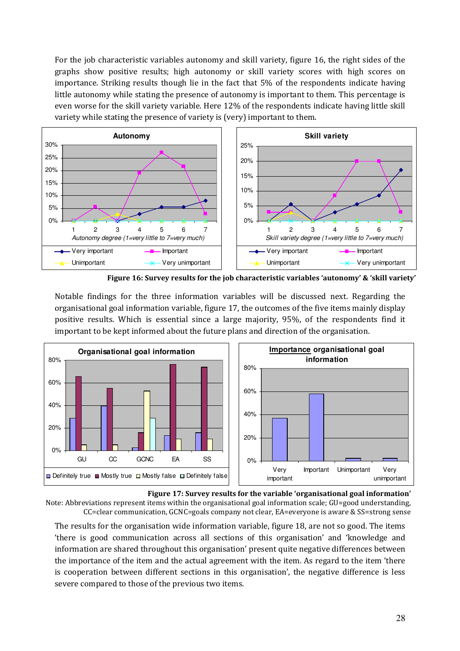For the job characteristic variables autonomy and skill variety, figure 16, the right sides of the graphs show positive results; high autonomy or skill variety scores with high scores on importance. Striking results though lie in the fact that 5% of the respondents indicate having little autonomy while stating the presence of autonomy is important to them. This percentage is even worse for the skill variety variable. Here 12% of the respondents indicate having little skill variety while stating the presence of variety is (very) important to them.



Figure 16: Survey results for the job characteristic variables 'autonomy' & 'skill variety'

Notable findings for the three information variables will be discussed next. Regarding the organisational goal information variable, figure 17, the outcomes of the five items mainly display positive results. Which is essential since a large majority, 95%, of the respondents find it important to be kept informed about the future plans and direction of the organisation.



Figure 17: Survey results for the variable 'organisational goal information' Note: Abbreviations represent items within the organisational goal information scale; GU=good understanding, CC=clear communication, GCNC=goals company not clear, EA=everyone is aware & SS=strong sense

The results for the organisation wide information variable, figure 18, are not so good. The items 'there is good communication across all sections of this organisation' and 'knowledge and information are shared throughout this organisation' present quite negative differences between the importance of the item and the actual agreement with the item. As regard to the item 'there is cooperation between different sections in this organisation', the negative difference is less severe compared to those of the previous two items.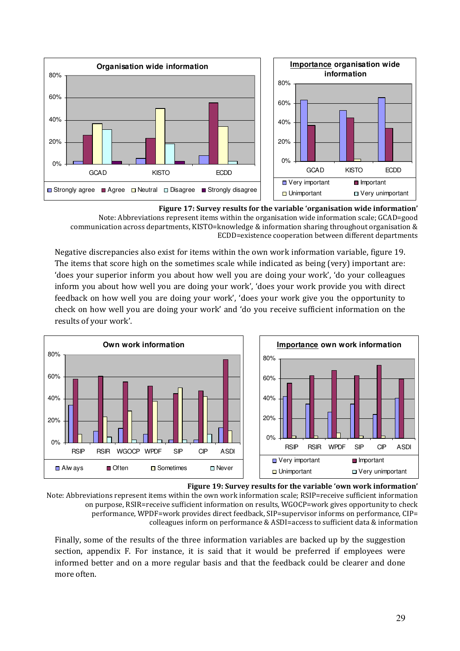

Figure 17: Survey results for the variable 'organisation wide information' Note: Abbreviations represent items within the organisation wide information scale; GCAD=good communication across departments, KISTO=knowledge & information sharing throughout organisation & ECDD=existence cooperation between different departments

Negative discrepancies also exist for items within the own work information variable, figure 19. The items that score high on the sometimes scale while indicated as being (very) important are: 'does your superior inform you about how well you are doing your work', 'do your colleagues inform you about how well you are doing your work', 'does your work provide you with direct feedback on how well you are doing your work', 'does your work give you the opportunity to check on how well you are doing your work' and 'do you receive sufficient information on the results of your work'.



Figure 19: Survey results for the variable 'own work information' Note: Abbreviations represent items within the own work information scale; RSIP=receive sufficient information on purpose, RSIR=receive sufficient information on results, WGOCP=work gives opportunity to check performance, WPDF=work provides direct feedback, SIP=supervisor informs on performance, CIP= colleagues inform on performance & ASDI=access to sufficient data & information

Finally, some of the results of the three information variables are backed up by the suggestion section, appendix F. For instance, it is said that it would be preferred if employees were informed better and on a more regular basis and that the feedback could be clearer and done more often.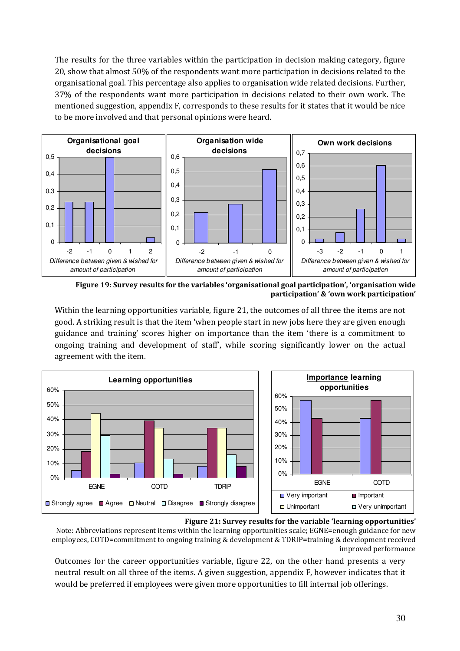The results for the three variables within the participation in decision making category, figure 20, show that almost 50% of the respondents want more participation in decisions related to the organisational goal. This percentage also applies to organisation wide related decisions. Further, 37% of the respondents want more participation in decisions related to their own work. The mentioned suggestion, appendix F, corresponds to these results for it states that it would be nice to be more involved and that personal opinions were heard.



Figure 19: Survey results for the variables 'organisational goal participation', 'organisation wide participation' & 'own work participation'

Within the learning opportunities variable, figure 21, the outcomes of all three the items are not good. A striking result is that the item 'when people start in new jobs here they are given enough guidance and training' scores higher on importance than the item 'there is a commitment to ongoing training and development of staff', while scoring significantly lower on the actual agreement with the item.





Note: Abbreviations represent items within the learning opportunities scale; EGNE=enough guidance for new employees, COTD=commitment to ongoing training & development & TDRIP=training & development received improved performance

Outcomes for the career opportunities variable, figure 22, on the other hand presents a very neutral result on all three of the items. A given suggestion, appendix F, however indicates that it would be preferred if employees were given more opportunities to fill internal job offerings.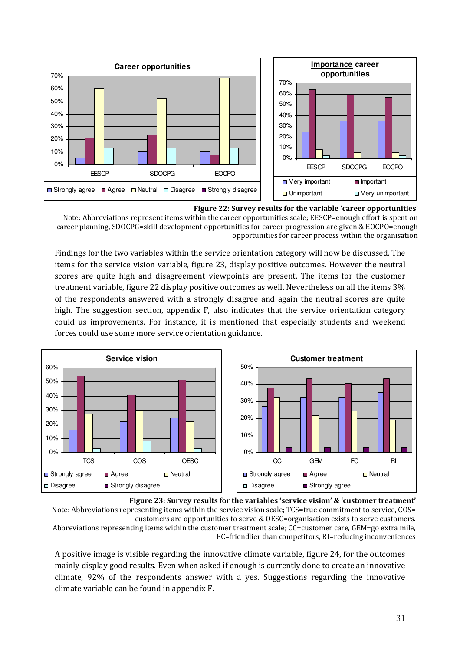

Figure 22: Survey results for the variable 'career opportunities' Note: Abbreviations represent items within the career opportunities scale; EESCP=enough effort is spent on career planning, SDOCPG=skill development opportunities for career progression are given & EOCPO=enough opportunities for career process within the organisation

Findings for the two variables within the service orientation category will now be discussed. The items for the service vision variable, figure 23, display positive outcomes. However the neutral scores are quite high and disagreement viewpoints are present. The items for the customer treatment variable, figure 22 display positive outcomes as well. Nevertheless on all the items 3% of the respondents answered with a strongly disagree and again the neutral scores are quite high. The suggestion section, appendix F, also indicates that the service orientation category could us improvements. For instance, it is mentioned that especially students and weekend forces could use some more service orientation guidance.



Figure 23: Survey results for the variables 'service vision' & 'customer treatment' Note: Abbreviations representing items within the service vision scale; TCS=true commitment to service, COS= customers are opportunities to serve & OESC=organisation exists to serve customers. Abbreviations representing items within the customer treatment scale; CC=customer care, GEM=go extra mile, FC=friendlier than competitors, RI=reducing inconveniences

A positive image is visible regarding the innovative climate variable, figure 24, for the outcomes mainly display good results. Even when asked if enough is currently done to create an innovative climate, 92% of the respondents answer with a yes. Suggestions regarding the innovative climate variable can be found in appendix F.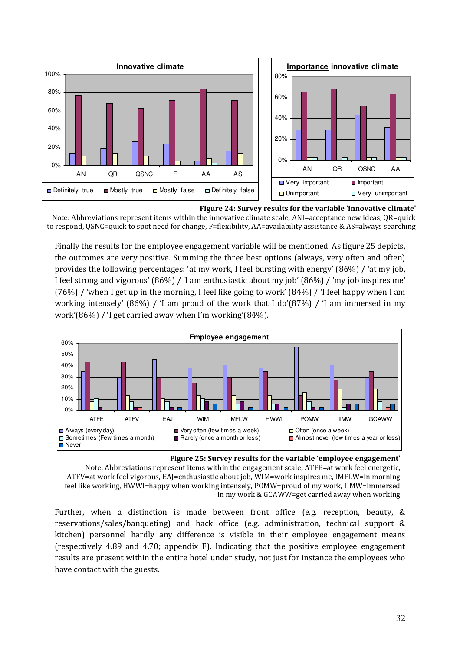



Finally the results for the employee engagement variable will be mentioned. As figure 25 depicts, the outcomes are very positive. Summing the three best options (always, very often and often) provides the following percentages: 'at my work, I feel bursting with energy' (86%) / 'at my job, I feel strong and vigorous' (86%) / 'I am enthusiastic about my job' (86%) / 'my job inspires me'  $(76%)$  / 'when I get up in the morning, I feel like going to work'  $(84%)$  / 'I feel happy when I am working intensely' (86%) / 'I am proud of the work that I do'(87%) / 'I am immersed in my work'(86%) / 'I get carried away when I'm working'(84%).



Figure 25: Survey results for the variable 'employee engagement' Note: Abbreviations represent items within the engagement scale; ATFE=at work feel energetic,

ATFV=at work feel vigorous, EAJ=enthusiastic about job, WIM=work inspires me, IMFLW=in morning feel like working, HWWI=happy when working intensely, POMW=proud of my work, IIMW=immersed in my work & GCAWW=get carried away when working

Further, when a distinction is made between front office (e.g. reception, beauty, & reservations/sales/banqueting) and back office (e.g. administration, technical support & kitchen) personnel hardly any difference is visible in their employee engagement means (respectively 4.89 and 4.70; appendix F). Indicating that the positive employee engagement results are present within the entire hotel under study, not just for instance the employees who have contact with the guests.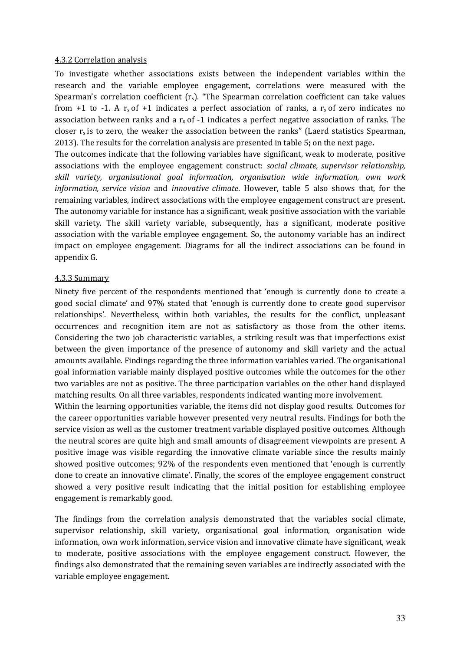#### 4.3.2 Correlation analysis

To investigate whether associations exists between the independent variables within the research and the variable employee engagement, correlations were measured with the Spearman's correlation coefficient  $(r_s)$ . "The Spearman correlation coefficient can take values from +1 to -1. A  $r_s$  of +1 indicates a perfect association of ranks, a  $r_s$  of zero indicates no association between ranks and a  $r_s$  of -1 indicates a perfect negative association of ranks. The closer  $r_s$  is to zero, the weaker the association between the ranks" (Laerd statistics Spearman, 2013). The results for the correlation analysis are presented in table 5; on the next page.

The outcomes indicate that the following variables have significant, weak to moderate, positive associations with the employee engagement construct: social climate, supervisor relationship, skill variety, organisational goal information, organisation wide information, own work information, service vision and innovative climate. However, table 5 also shows that, for the remaining variables, indirect associations with the employee engagement construct are present. The autonomy variable for instance has a significant, weak positive association with the variable skill variety. The skill variety variable, subsequently, has a significant, moderate positive association with the variable employee engagement. So, the autonomy variable has an indirect impact on employee engagement. Diagrams for all the indirect associations can be found in appendix G.

#### 4.3.3 Summary

Ninety five percent of the respondents mentioned that 'enough is currently done to create a good social climate' and 97% stated that 'enough is currently done to create good supervisor relationships'. Nevertheless, within both variables, the results for the conflict, unpleasant occurrences and recognition item are not as satisfactory as those from the other items. Considering the two job characteristic variables, a striking result was that imperfections exist between the given importance of the presence of autonomy and skill variety and the actual amounts available. Findings regarding the three information variables varied. The organisational goal information variable mainly displayed positive outcomes while the outcomes for the other two variables are not as positive. The three participation variables on the other hand displayed matching results. On all three variables, respondents indicated wanting more involvement.

Within the learning opportunities variable, the items did not display good results. Outcomes for the career opportunities variable however presented very neutral results. Findings for both the service vision as well as the customer treatment variable displayed positive outcomes. Although the neutral scores are quite high and small amounts of disagreement viewpoints are present. A positive image was visible regarding the innovative climate variable since the results mainly showed positive outcomes; 92% of the respondents even mentioned that 'enough is currently done to create an innovative climate'. Finally, the scores of the employee engagement construct showed a very positive result indicating that the initial position for establishing employee engagement is remarkably good.

The findings from the correlation analysis demonstrated that the variables social climate, supervisor relationship, skill variety, organisational goal information, organisation wide information, own work information, service vision and innovative climate have significant, weak to moderate, positive associations with the employee engagement construct. However, the findings also demonstrated that the remaining seven variables are indirectly associated with the variable employee engagement.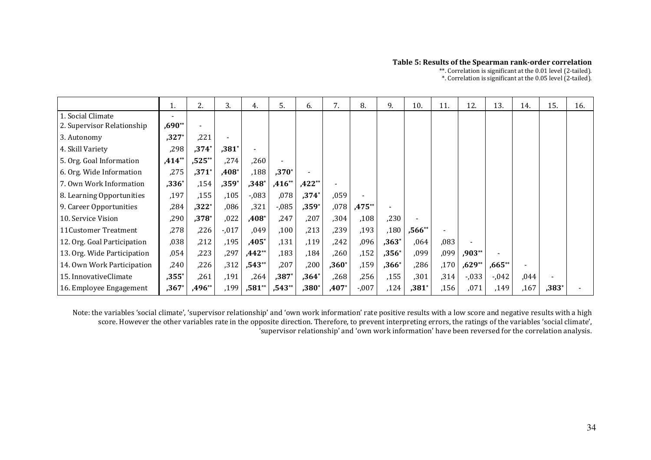#### Table 5: Results of the Spearman rank-order correlation

\*\*. Correlation is significant at the 0.01 level (2-tailed). \*. Correlation is significant at the 0.05 level (2-tailed).

|                             |          | 2.       | 3.       | 4.       | 5.       | 6.       | 7.      | 8.       | 9.             | 10.      | 11.   | 12.      | 13.      | 14.  | 15.     | 16. |
|-----------------------------|----------|----------|----------|----------|----------|----------|---------|----------|----------------|----------|-------|----------|----------|------|---------|-----|
| 1. Social Climate           |          |          |          |          |          |          |         |          |                |          |       |          |          |      |         |     |
| 2. Supervisor Relationship  | $,690**$ |          |          |          |          |          |         |          |                |          |       |          |          |      |         |     |
| 3. Autonomy                 | $,327*$  | ,221     |          |          |          |          |         |          |                |          |       |          |          |      |         |     |
| 4. Skill Variety            | ,298     | $,374*$  | $,381^*$ |          |          |          |         |          |                |          |       |          |          |      |         |     |
| 5. Org. Goal Information    | $,414**$ | $,525**$ | ,274     | ,260     |          |          |         |          |                |          |       |          |          |      |         |     |
| 6. Org. Wide Information    | ,275     | $,371*$  | $,408*$  | ,188     | $,370*$  |          |         |          |                |          |       |          |          |      |         |     |
| 7. Own Work Information     | $,336*$  | .154     | $,359*$  | $,348^*$ | $,416**$ | $,422**$ |         |          |                |          |       |          |          |      |         |     |
| 8. Learning Opportunities   | ,197     | ,155     | ,105     | $-0.083$ | ,078     | $,374*$  | ,059    |          |                |          |       |          |          |      |         |     |
| 9. Career Opportunities     | ,284     | $,322*$  | ,086     | ,321     | $-0.085$ | $,359*$  | ,078    | $,475**$ | $\blacksquare$ |          |       |          |          |      |         |     |
| 10. Service Vision          | ,290     | $,378*$  | ,022     | $,408*$  | ,247     | ,207     | ,304    | ,108     | ,230           |          |       |          |          |      |         |     |
| 11Customer Treatment        | ,278     | ,226     | $-0.017$ | ,049     | ,100     | ,213     | ,239    | ,193     | ,180           | $,566**$ |       |          |          |      |         |     |
| 12. Org. Goal Participation | ,038     | ,212     | ,195     | $,405*$  | ,131     | ,119     | ,242    | ,096     | $,363*$        | ,064     | ,083  |          |          |      |         |     |
| 13. Org. Wide Participation | ,054     | ,223     | ,297     | $,442**$ | ,183     | ,184     | ,260    | ,152     | $,356*$        | ,099     | ,099  | $,903**$ |          |      |         |     |
| 14. Own Work Participation  | ,240     | ,226     | , 312    | $,543**$ | ,207     | ,200     | $,360*$ | ,159     | $,366*$        | ,286     | ,170  | $,629**$ | $,665**$ |      |         |     |
| 15. InnovativeClimate       | $,355*$  | ,261     | ,191     | ,264     | $,387*$  | $,364*$  | ,268    | ,256     | ,155           | ,301     | , 314 | $-0.033$ | $-0.042$ | ,044 |         |     |
| 16. Employee Engagement     | $,367*$  | ,496**   | ,199     | $,581**$ | $,543**$ | $,380*$  | $,407*$ | $-0.007$ | ,124           | $,381^*$ | ,156  | ,071     | ,149     | ,167 | $,383*$ |     |

Note: the variables 'social climate', 'supervisor relationship' and 'own work information' rate positive results with a low score and negative results with a high score. However the other variables rate in the opposite direction. Therefore, to prevent interpreting errors, the ratings of the variables 'social climate', 'supervisor relationship' and 'own work information' have been reversed for the correlation analysis.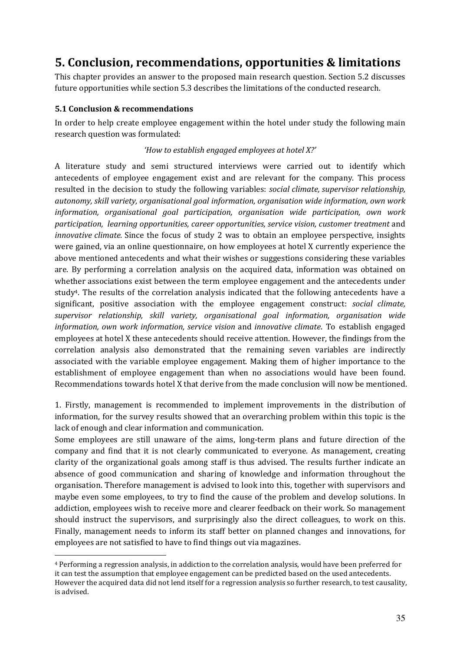## 5. Conclusion, recommendations, opportunities & limitations

This chapter provides an answer to the proposed main research question. Section 5.2 discusses future opportunities while section 5.3 describes the limitations of the conducted research.

### 5.1 Conclusion & recommendations

 $\overline{a}$ 

In order to help create employee engagement within the hotel under study the following main research question was formulated:

### 'How to establish engaged employees at hotel X?'

A literature study and semi structured interviews were carried out to identify which antecedents of employee engagement exist and are relevant for the company. This process resulted in the decision to study the following variables: social climate, supervisor relationship, autonomy, skill variety, organisational goal information, organisation wide information, own work information, organisational goal participation, organisation wide participation, own work participation, learning opportunities, career opportunities, service vision, customer treatment and innovative climate. Since the focus of study 2 was to obtain an employee perspective, insights were gained, via an online questionnaire, on how employees at hotel X currently experience the above mentioned antecedents and what their wishes or suggestions considering these variables are. By performing a correlation analysis on the acquired data, information was obtained on whether associations exist between the term employee engagement and the antecedents under study4. The results of the correlation analysis indicated that the following antecedents have a significant, positive association with the employee engagement construct: *social climate*, supervisor relationship, skill variety, organisational goal information, organisation wide information, own work information, service vision and innovative climate. To establish engaged employees at hotel X these antecedents should receive attention. However, the findings from the correlation analysis also demonstrated that the remaining seven variables are indirectly associated with the variable employee engagement. Making them of higher importance to the establishment of employee engagement than when no associations would have been found. Recommendations towards hotel X that derive from the made conclusion will now be mentioned.

1. Firstly, management is recommended to implement improvements in the distribution of information, for the survey results showed that an overarching problem within this topic is the lack of enough and clear information and communication.

Some employees are still unaware of the aims, long-term plans and future direction of the company and find that it is not clearly communicated to everyone. As management, creating clarity of the organizational goals among staff is thus advised. The results further indicate an absence of good communication and sharing of knowledge and information throughout the organisation. Therefore management is advised to look into this, together with supervisors and maybe even some employees, to try to find the cause of the problem and develop solutions. In addiction, employees wish to receive more and clearer feedback on their work. So management should instruct the supervisors, and surprisingly also the direct colleagues, to work on this. Finally, management needs to inform its staff better on planned changes and innovations, for employees are not satisfied to have to find things out via magazines.

<sup>4</sup> Performing a regression analysis, in addiction to the correlation analysis, would have been preferred for it can test the assumption that employee engagement can be predicted based on the used antecedents. However the acquired data did not lend itself for a regression analysis so further research, to test causality, is advised.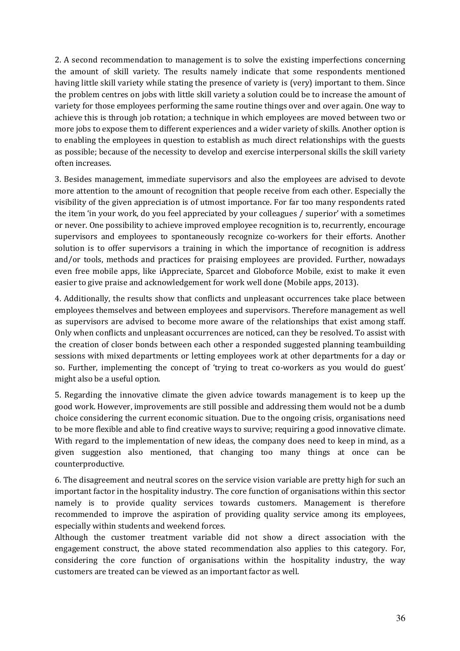2. A second recommendation to management is to solve the existing imperfections concerning the amount of skill variety. The results namely indicate that some respondents mentioned having little skill variety while stating the presence of variety is (very) important to them. Since the problem centres on jobs with little skill variety a solution could be to increase the amount of variety for those employees performing the same routine things over and over again. One way to achieve this is through job rotation; a technique in which employees are moved between two or more jobs to expose them to different experiences and a wider variety of skills. Another option is to enabling the employees in question to establish as much direct relationships with the guests as possible; because of the necessity to develop and exercise interpersonal skills the skill variety often increases.

3. Besides management, immediate supervisors and also the employees are advised to devote more attention to the amount of recognition that people receive from each other. Especially the visibility of the given appreciation is of utmost importance. For far too many respondents rated the item 'in your work, do you feel appreciated by your colleagues / superior' with a sometimes or never. One possibility to achieve improved employee recognition is to, recurrently, encourage supervisors and employees to spontaneously recognize co-workers for their efforts. Another solution is to offer supervisors a training in which the importance of recognition is address and/or tools, methods and practices for praising employees are provided. Further, nowadays even free mobile apps, like iAppreciate, Sparcet and Globoforce Mobile, exist to make it even easier to give praise and acknowledgement for work well done (Mobile apps, 2013).

4. Additionally, the results show that conflicts and unpleasant occurrences take place between employees themselves and between employees and supervisors. Therefore management as well as supervisors are advised to become more aware of the relationships that exist among staff. Only when conflicts and unpleasant occurrences are noticed, can they be resolved. To assist with the creation of closer bonds between each other a responded suggested planning teambuilding sessions with mixed departments or letting employees work at other departments for a day or so. Further, implementing the concept of 'trying to treat co-workers as you would do guest' might also be a useful option.

5. Regarding the innovative climate the given advice towards management is to keep up the good work. However, improvements are still possible and addressing them would not be a dumb choice considering the current economic situation. Due to the ongoing crisis, organisations need to be more flexible and able to find creative ways to survive; requiring a good innovative climate. With regard to the implementation of new ideas, the company does need to keep in mind, as a given suggestion also mentioned, that changing too many things at once can be counterproductive.

6. The disagreement and neutral scores on the service vision variable are pretty high for such an important factor in the hospitality industry. The core function of organisations within this sector namely is to provide quality services towards customers. Management is therefore recommended to improve the aspiration of providing quality service among its employees, especially within students and weekend forces.

Although the customer treatment variable did not show a direct association with the engagement construct, the above stated recommendation also applies to this category. For, considering the core function of organisations within the hospitality industry, the way customers are treated can be viewed as an important factor as well.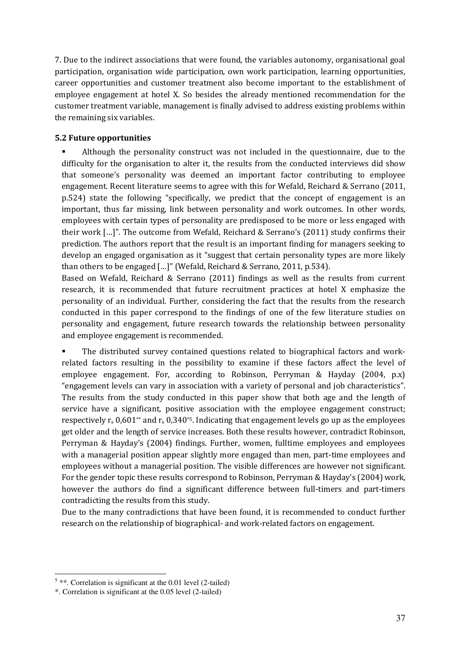7. Due to the indirect associations that were found, the variables autonomy, organisational goal participation, organisation wide participation, own work participation, learning opportunities, career opportunities and customer treatment also become important to the establishment of employee engagement at hotel X. So besides the already mentioned recommendation for the customer treatment variable, management is finally advised to address existing problems within the remaining six variables.

#### 5.2 Future opportunities

 Although the personality construct was not included in the questionnaire, due to the difficulty for the organisation to alter it, the results from the conducted interviews did show that someone's personality was deemed an important factor contributing to employee engagement. Recent literature seems to agree with this for Wefald, Reichard & Serrano (2011, p.524) state the following "specifically, we predict that the concept of engagement is an important, thus far missing, link between personality and work outcomes. In other words, employees with certain types of personality are predisposed to be more or less engaged with their work […]". The outcome from Wefald, Reichard & Serrano's (2011) study confirms their prediction. The authors report that the result is an important finding for managers seeking to develop an engaged organisation as it "suggest that certain personality types are more likely than others to be engaged […]" (Wefald, Reichard & Serrano, 2011, p.534).

Based on Wefald, Reichard & Serrano (2011) findings as well as the results from current research, it is recommended that future recruitment practices at hotel X emphasize the personality of an individual. Further, considering the fact that the results from the research conducted in this paper correspond to the findings of one of the few literature studies on personality and engagement, future research towards the relationship between personality and employee engagement is recommended.

 The distributed survey contained questions related to biographical factors and workrelated factors resulting in the possibility to examine if these factors affect the level of employee engagement. For, according to Robinson, Perryman & Hayday (2004, p.x) "engagement levels can vary in association with a variety of personal and job characteristics". The results from the study conducted in this paper show that both age and the length of service have a significant, positive association with the employee engagement construct; respectively  $r_s$  0,601\*\* and  $r_s$  0,340<sup>\*5</sup>. Indicating that engagement levels go up as the employees get older and the length of service increases. Both these results however, contradict Robinson, Perryman & Hayday's (2004) findings. Further, women, fulltime employees and employees with a managerial position appear slightly more engaged than men, part-time employees and employees without a managerial position. The visible differences are however not significant. For the gender topic these results correspond to Robinson, Perryman & Hayday's (2004) work, however the authors do find a significant difference between full-timers and part-timers contradicting the results from this study.

Due to the many contradictions that have been found, it is recommended to conduct further research on the relationship of biographical- and work-related factors on engagement.

 $\overline{a}$ 

 $5$  \*\*. Correlation is significant at the 0.01 level (2-tailed)

<sup>\*.</sup> Correlation is significant at the 0.05 level (2-tailed)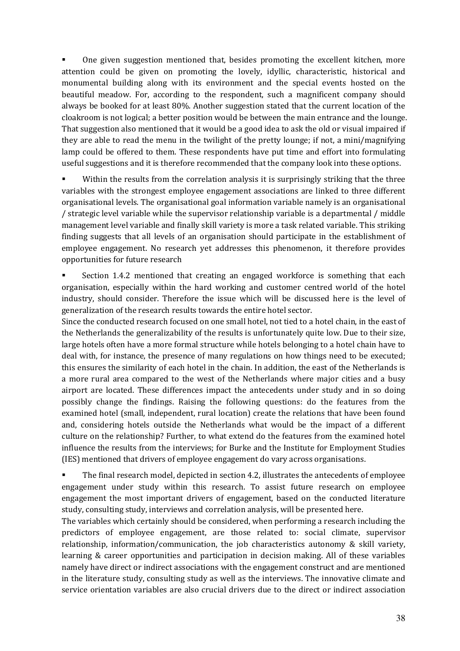One given suggestion mentioned that, besides promoting the excellent kitchen, more attention could be given on promoting the lovely, idyllic, characteristic, historical and monumental building along with its environment and the special events hosted on the beautiful meadow. For, according to the respondent, such a magnificent company should always be booked for at least 80%. Another suggestion stated that the current location of the cloakroom is not logical; a better position would be between the main entrance and the lounge. That suggestion also mentioned that it would be a good idea to ask the old or visual impaired if they are able to read the menu in the twilight of the pretty lounge; if not, a mini/magnifying lamp could be offered to them. These respondents have put time and effort into formulating useful suggestions and it is therefore recommended that the company look into these options.

 Within the results from the correlation analysis it is surprisingly striking that the three variables with the strongest employee engagement associations are linked to three different organisational levels. The organisational goal information variable namely is an organisational / strategic level variable while the supervisor relationship variable is a departmental / middle management level variable and finally skill variety is more a task related variable. This striking finding suggests that all levels of an organisation should participate in the establishment of employee engagement. No research yet addresses this phenomenon, it therefore provides opportunities for future research

 Section 1.4.2 mentioned that creating an engaged workforce is something that each organisation, especially within the hard working and customer centred world of the hotel industry, should consider. Therefore the issue which will be discussed here is the level of generalization of the research results towards the entire hotel sector.

Since the conducted research focused on one small hotel, not tied to a hotel chain, in the east of the Netherlands the generalizability of the results is unfortunately quite low. Due to their size, large hotels often have a more formal structure while hotels belonging to a hotel chain have to deal with, for instance, the presence of many regulations on how things need to be executed; this ensures the similarity of each hotel in the chain. In addition, the east of the Netherlands is a more rural area compared to the west of the Netherlands where major cities and a busy airport are located. These differences impact the antecedents under study and in so doing possibly change the findings. Raising the following questions: do the features from the examined hotel (small, independent, rural location) create the relations that have been found and, considering hotels outside the Netherlands what would be the impact of a different culture on the relationship? Further, to what extend do the features from the examined hotel influence the results from the interviews; for Burke and the Institute for Employment Studies (IES) mentioned that drivers of employee engagement do vary across organisations.

 The final research model, depicted in section 4.2, illustrates the antecedents of employee engagement under study within this research. To assist future research on employee engagement the most important drivers of engagement, based on the conducted literature study, consulting study, interviews and correlation analysis, will be presented here.

The variables which certainly should be considered, when performing a research including the predictors of employee engagement, are those related to: social climate, supervisor relationship, information/communication, the job characteristics autonomy & skill variety, learning & career opportunities and participation in decision making. All of these variables namely have direct or indirect associations with the engagement construct and are mentioned in the literature study, consulting study as well as the interviews. The innovative climate and service orientation variables are also crucial drivers due to the direct or indirect association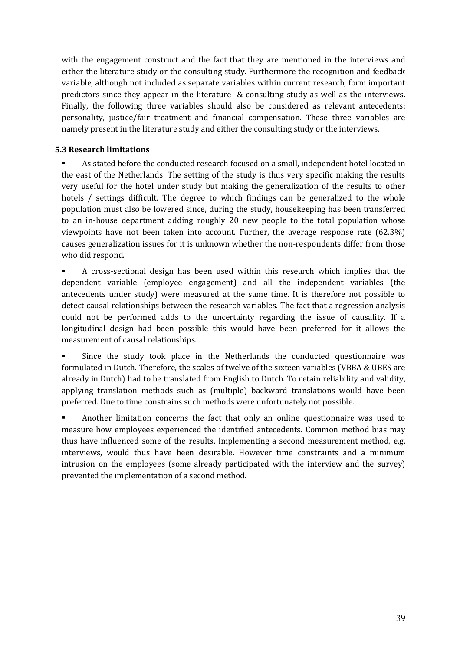with the engagement construct and the fact that they are mentioned in the interviews and either the literature study or the consulting study. Furthermore the recognition and feedback variable, although not included as separate variables within current research, form important predictors since they appear in the literature- & consulting study as well as the interviews. Finally, the following three variables should also be considered as relevant antecedents: personality, justice/fair treatment and financial compensation. These three variables are namely present in the literature study and either the consulting study or the interviews.

### 5.3 Research limitations

 As stated before the conducted research focused on a small, independent hotel located in the east of the Netherlands. The setting of the study is thus very specific making the results very useful for the hotel under study but making the generalization of the results to other hotels / settings difficult. The degree to which findings can be generalized to the whole population must also be lowered since, during the study, housekeeping has been transferred to an in-house department adding roughly 20 new people to the total population whose viewpoints have not been taken into account. Further, the average response rate (62.3%) causes generalization issues for it is unknown whether the non-respondents differ from those who did respond.

 A cross-sectional design has been used within this research which implies that the dependent variable (employee engagement) and all the independent variables (the antecedents under study) were measured at the same time. It is therefore not possible to detect causal relationships between the research variables. The fact that a regression analysis could not be performed adds to the uncertainty regarding the issue of causality. If a longitudinal design had been possible this would have been preferred for it allows the measurement of causal relationships.

 Since the study took place in the Netherlands the conducted questionnaire was formulated in Dutch. Therefore, the scales of twelve of the sixteen variables (VBBA & UBES are already in Dutch) had to be translated from English to Dutch. To retain reliability and validity, applying translation methods such as (multiple) backward translations would have been preferred. Due to time constrains such methods were unfortunately not possible.

 Another limitation concerns the fact that only an online questionnaire was used to measure how employees experienced the identified antecedents. Common method bias may thus have influenced some of the results. Implementing a second measurement method, e.g. interviews, would thus have been desirable. However time constraints and a minimum intrusion on the employees (some already participated with the interview and the survey) prevented the implementation of a second method.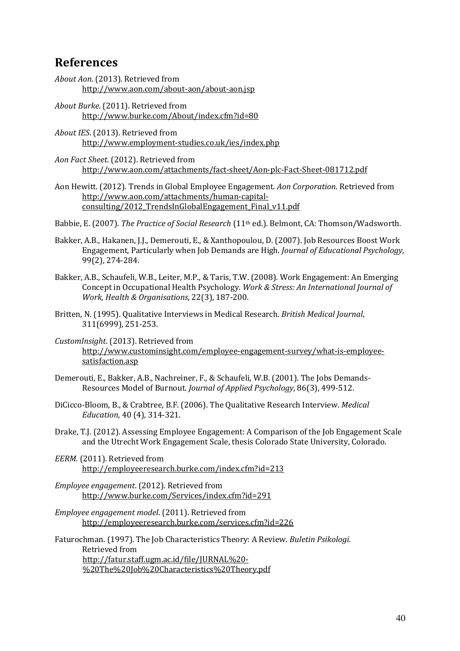## References

- About Aon. (2013). Retrieved from http://www.aon.com/about-aon/about-aon.jsp
- About Burke. (2011). Retrieved from http://www.burke.com/About/index.cfm?id=80
- About IES. (2013). Retrieved from http://www.employment-studies.co.uk/ies/index.php
- Aon Fact Sheet. (2012). Retrieved from http://www.aon.com/attachments/fact-sheet/Aon-plc-Fact-Sheet-081712.pdf
- Aon Hewitt. (2012). Trends in Global Employee Engagement. Aon Corporation. Retrieved from http://www.aon.com/attachments/human-capitalconsulting/2012\_TrendsInGlobalEngagement\_Final\_v11.pdf

Babbie, E. (2007). The Practice of Social Research (11<sup>th</sup> ed.). Belmont, CA: Thomson/Wadsworth.

- Bakker, A.B., Hakanen, J.J., Demerouti, E., & Xanthopoulou, D. (2007). Job Resources Boost Work Engagement, Particularly when Job Demands are High. Journal of Educational Psychology, 99(2), 274-284.
- Bakker, A.B., Schaufeli, W.B., Leiter, M.P., & Taris, T.W. (2008). Work Engagement: An Emerging Concept in Occupational Health Psychology. Work & Stress: An International Journal of Work, Health & Organisations, 22(3), 187-200.
- Britten, N. (1995). Qualitative Interviews in Medical Research. British Medical Journal, 311(6999), 251-253.
- CustomInsight. (2013). Retrieved from http://www.custominsight.com/employee-engagement-survey/what-is-employeesatisfaction.asp
- Demerouti, E., Bakker, A.B., Nachreiner, F., & Schaufeli, W.B. (2001). The Jobs Demands-Resources Model of Burnout. Journal of Applied Psychology, 86(3), 499-512.
- DiCicco-Bloom, B., & Crabtree, B.F. (2006). The Qualitative Research Interview. Medical Education, 40 (4), 314-321.
- Drake, T.J. (2012). Assessing Employee Engagement: A Comparison of the Job Engagement Scale and the Utrecht Work Engagement Scale, thesis Colorado State University, Colorado.
- EERM. (2011). Retrieved from http://employeeresearch.burke.com/index.cfm?id=213
- Employee engagement. (2012). Retrieved from http://www.burke.com/Services/index.cfm?id=291
- Employee engagement model. (2011). Retrieved from http://employeeresearch.burke.com/services.cfm?id=226

Faturochman. (1997). The Job Characteristics Theory: A Review. Buletin Psikologi. Retrieved from http://fatur.staff.ugm.ac.id/file/JURNAL%20- %20The%20Job%20Characteristics%20Theory.pdf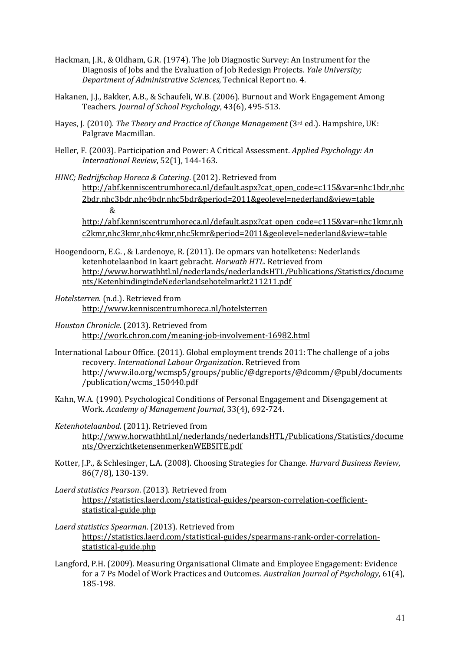- Hackman, J.R., & Oldham, G.R. (1974). The Job Diagnostic Survey: An Instrument for the Diagnosis of Jobs and the Evaluation of Job Redesign Projects. Yale University; Department of Administrative Sciences, Technical Report no. 4.
- Hakanen, J.J., Bakker, A.B., & Schaufeli, W.B. (2006). Burnout and Work Engagement Among Teachers. Journal of School Psychology, 43(6), 495-513.
- Hayes, J. (2010). The Theory and Practice of Change Management (3rd ed.). Hampshire, UK: Palgrave Macmillan.
- Heller, F. (2003). Participation and Power: A Critical Assessment. Applied Psychology: An International Review, 52(1), 144-163.
- HINC; Bedrijfschap Horeca & Catering. (2012). Retrieved from http://abf.kenniscentrumhoreca.nl/default.aspx?cat\_open\_code=c115&var=nhc1bdr,nhc 2bdr,nhc3bdr,nhc4bdr,nhc5bdr&period=2011&geolevel=nederland&view=table &

http://abf.kenniscentrumhoreca.nl/default.aspx?cat\_open\_code=c115&var=nhc1kmr,nh c2kmr,nhc3kmr,nhc4kmr,nhc5kmr&period=2011&geolevel=nederland&view=table

- Hoogendoorn, E.G. , & Lardenoye, R. (2011). De opmars van hotelketens: Nederlands ketenhotelaanbod in kaart gebracht. Horwath HTL. Retrieved from http://www.horwathhtl.nl/nederlands/nederlandsHTL/Publications/Statistics/docume nts/KetenbindingindeNederlandsehotelmarkt211211.pdf
- Hotelsterren. (n.d.). Retrieved from http://www.kenniscentrumhoreca.nl/hotelsterren
- Houston Chronicle. (2013). Retrieved from http://work.chron.com/meaning-job-involvement-16982.html
- International Labour Office. (2011). Global employment trends 2011: The challenge of a jobs recovery. International Labour Organization. Retrieved from http://www.ilo.org/wcmsp5/groups/public/@dgreports/@dcomm/@publ/documents /publication/wcms\_150440.pdf
- Kahn, W.A. (1990). Psychological Conditions of Personal Engagement and Disengagement at Work. Academy of Management Journal, 33(4), 692-724.
- Ketenhotelaanbod. (2011). Retrieved from http://www.horwathhtl.nl/nederlands/nederlandsHTL/Publications/Statistics/docume nts/OverzichtketensenmerkenWEBSITE.pdf
- Kotter, J.P., & Schlesinger, L.A. (2008). Choosing Strategies for Change. Harvard Business Review, 86(7/8), 130-139.
- Laerd statistics Pearson. (2013). Retrieved from https://statistics.laerd.com/statistical-guides/pearson-correlation-coefficientstatistical-guide.php
- Laerd statistics Spearman. (2013). Retrieved from https://statistics.laerd.com/statistical-guides/spearmans-rank-order-correlationstatistical-guide.php
- Langford, P.H. (2009). Measuring Organisational Climate and Employee Engagement: Evidence for a 7 Ps Model of Work Practices and Outcomes. Australian Journal of Psychology, 61(4), 185-198.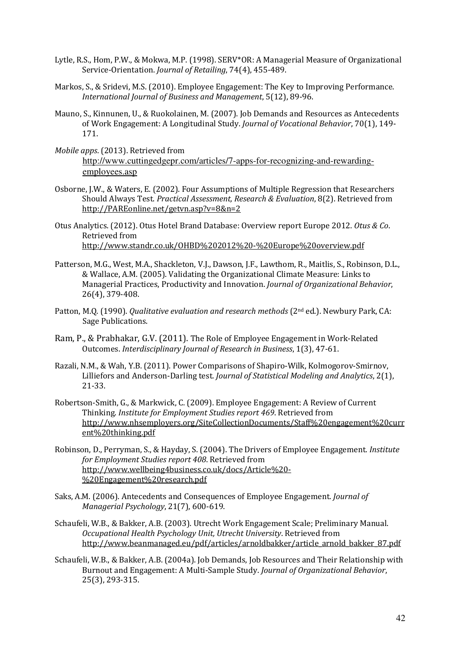- Lytle, R.S., Hom, P.W., & Mokwa, M.P. (1998). SERV\*OR: A Managerial Measure of Organizational Service-Orientation. Journal of Retailing, 74(4), 455-489.
- Markos, S., & Sridevi, M.S. (2010). Employee Engagement: The Key to Improving Performance. International Journal of Business and Management, 5(12), 89-96.
- Mauno, S., Kinnunen, U., & Ruokolainen, M. (2007). Job Demands and Resources as Antecedents of Work Engagement: A Longitudinal Study. Journal of Vocational Behavior, 70(1), 149- 171.
- Mobile apps. (2013). Retrieved from http://www.cuttingedgepr.com/articles/7-apps-for-recognizing-and-rewardingemployees.asp
- Osborne, J.W., & Waters, E. (2002). Four Assumptions of Multiple Regression that Researchers Should Always Test. Practical Assessment, Research & Evaluation, 8(2). Retrieved from http://PAREonline.net/getvn.asp?v=8&n=2
- Otus Analytics. (2012). Otus Hotel Brand Database: Overview report Europe 2012. Otus & Co. Retrieved from http://www.standr.co.uk/OHBD%202012%20-%20Europe%20overview.pdf
- Patterson, M.G., West, M.A., Shackleton, V.J., Dawson, J.F., Lawthom, R., Maitlis, S., Robinson, D.L., & Wallace, A.M. (2005). Validating the Organizational Climate Measure: Links to Managerial Practices, Productivity and Innovation. Journal of Organizational Behavior, 26(4), 379-408.
- Patton, M.O. (1990). *Qualitative evaluation and research methods* (2<sup>nd</sup> ed.). Newbury Park, CA: Sage Publications.
- Ram, P., & Prabhakar, G.V. (2011). The Role of Employee Engagement in Work-Related Outcomes. Interdisciplinary Journal of Research in Business, 1(3), 47-61.
- Razali, N.M., & Wah, Y.B. (2011). Power Comparisons of Shapiro-Wilk, Kolmogorov-Smirnov, Lilliefors and Anderson-Darling test. Journal of Statistical Modeling and Analytics, 2(1), 21-33.
- Robertson-Smith, G., & Markwick, C. (2009). Employee Engagement: A Review of Current Thinking. Institute for Employment Studies report 469. Retrieved from http://www.nhsemployers.org/SiteCollectionDocuments/Staff%20engagement%20curr ent%20thinking.pdf
- Robinson, D., Perryman, S., & Hayday, S. (2004). The Drivers of Employee Engagement. Institute for Employment Studies report 408. Retrieved from http://www.wellbeing4business.co.uk/docs/Article%20- %20Engagement%20research.pdf
- Saks, A.M. (2006). Antecedents and Consequences of Employee Engagement. Journal of Managerial Psychology, 21(7), 600-619.
- Schaufeli, W.B., & Bakker, A.B. (2003). Utrecht Work Engagement Scale; Preliminary Manual. Occupational Health Psychology Unit, Utrecht University. Retrieved from http://www.beanmanaged.eu/pdf/articles/arnoldbakker/article\_arnold\_bakker\_87.pdf
- Schaufeli, W.B., & Bakker, A.B. (2004a). Job Demands, Job Resources and Their Relationship with Burnout and Engagement: A Multi-Sample Study. Journal of Organizational Behavior, 25(3), 293-315.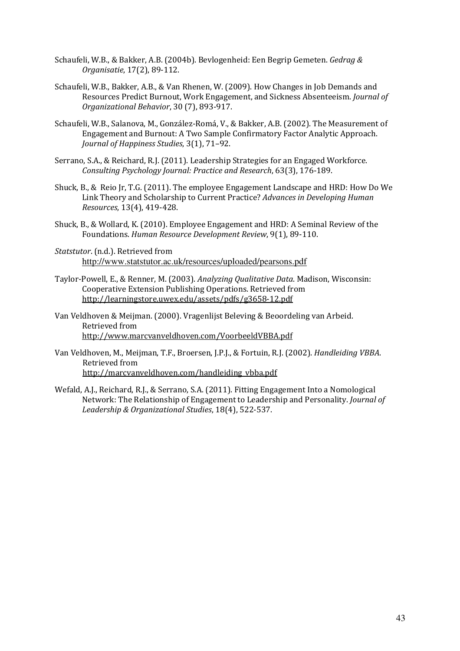- Schaufeli, W.B., & Bakker, A.B. (2004b). Bevlogenheid: Een Begrip Gemeten. Gedrag & Organisatie, 17(2), 89-112.
- Schaufeli, W.B., Bakker, A.B., & Van Rhenen, W. (2009). How Changes in Job Demands and Resources Predict Burnout, Work Engagement, and Sickness Absenteeism. Journal of Organizational Behavior, 30 (7), 893-917.
- Schaufeli, W.B., Salanova, M., González-Romá, V., & Bakker, A.B. (2002). The Measurement of Engagement and Burnout: A Two Sample Confirmatory Factor Analytic Approach. Journal of Happiness Studies, 3(1), 71–92.
- Serrano, S.A., & Reichard, R.J. (2011). Leadership Strategies for an Engaged Workforce. Consulting Psychology Journal: Practice and Research, 63(3), 176-189.
- Shuck, B., & Reio Jr, T.G. (2011). The employee Engagement Landscape and HRD: How Do We Link Theory and Scholarship to Current Practice? Advances in Developing Human Resources, 13(4), 419-428.
- Shuck, B., & Wollard, K. (2010). Employee Engagement and HRD: A Seminal Review of the Foundations. Human Resource Development Review, 9(1), 89-110.
- Statstutor. (n.d.). Retrieved from http://www.statstutor.ac.uk/resources/uploaded/pearsons.pdf
- Taylor-Powell, E., & Renner, M. (2003). Analyzing Qualitative Data. Madison, Wisconsin: Cooperative Extension Publishing Operations. Retrieved from http://learningstore.uwex.edu/assets/pdfs/g3658-12.pdf
- Van Veldhoven & Meijman. (2000). Vragenlijst Beleving & Beoordeling van Arbeid. Retrieved from http://www.marcvanveldhoven.com/VoorbeeldVBBA.pdf
- Van Veldhoven, M., Meijman, T.F., Broersen, J.P.J., & Fortuin, R.J. (2002). Handleiding VBBA. Retrieved from http://marcvanveldhoven.com/handleiding\_vbba.pdf
- Wefald, A.J., Reichard, R.J., & Serrano, S.A. (2011). Fitting Engagement Into a Nomological Network: The Relationship of Engagement to Leadership and Personality. Journal of Leadership & Organizational Studies, 18(4), 522-537.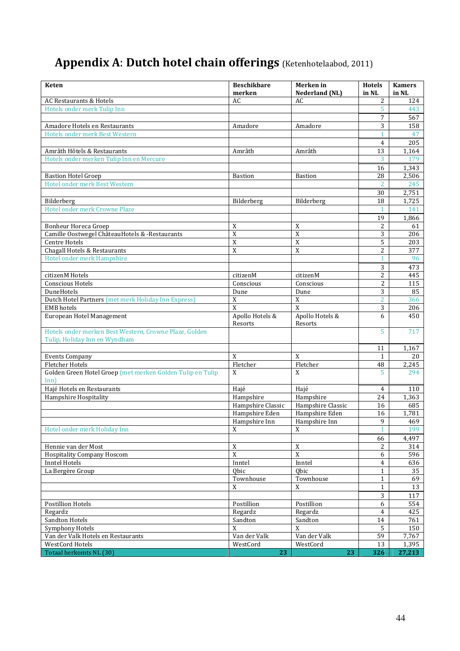# Appendix A: Dutch hotel chain offerings (Ketenhotelaabod, 2011)

| <b>Keten</b>                                               | <b>Beschikbare</b><br>merken | Merken in<br>Nederland (NL) | <b>Hotels</b><br>in NL | <b>Kamers</b><br>in NL |
|------------------------------------------------------------|------------------------------|-----------------------------|------------------------|------------------------|
| <b>AC Restaurants &amp; Hotels</b>                         | AC                           | AC                          | 2                      | 124                    |
| Hotels onder merk Tulip Inn                                |                              |                             | 5                      | 443                    |
|                                                            |                              |                             | 7                      | 567                    |
| Amadore Hotels en Restaurants                              | Amadore                      | Amadore                     | 3                      | 158                    |
| Hotels onder merk Best Western                             |                              |                             | 1                      | 47                     |
|                                                            |                              |                             | 4                      | 205                    |
| Amrâth Hôtels & Restaurants                                | Amrâth                       | Amrâth                      | 13                     | 1,164                  |
| Hotels onder merken Tulip Inn en Mercure                   |                              |                             | 3                      | 179                    |
|                                                            |                              |                             | 16                     | 1,343                  |
| <b>Bastion Hotel Groep</b>                                 | <b>Bastion</b>               | <b>Bastion</b>              | 28                     | 2,506                  |
| Hotel onder merk Best Western                              |                              |                             | $\overline{2}$         | 245                    |
|                                                            |                              |                             | 30                     | 2,751                  |
| Bilderberg                                                 | Bilderberg                   | Bilderberg                  | 18                     | 1,725                  |
| Hotel onder merk Crowne Plaze                              |                              |                             | $\mathbf{1}$           | 141                    |
|                                                            |                              |                             | 19                     | 1,866                  |
| <b>Bonheur Horeca Groep</b>                                | X                            | X                           | 2                      | 61                     |
| Camille Oostwegel ChâteauHotels & -Restaurants             | $\overline{X}$               | $\overline{X}$              | 3                      | 206                    |
| <b>Centre Hotels</b>                                       | $\overline{X}$               | X                           | 5                      | 203                    |
| Chagall Hotels & Restaurants                               | $\overline{X}$               | $\boldsymbol{X}$            | 2                      | 377                    |
| Hotel onder merk Hampshire                                 |                              |                             |                        | 96                     |
|                                                            |                              |                             | 3                      | 473                    |
| citizenM Hotels                                            | citizenM                     | citizenM                    | 2                      | 445                    |
| <b>Conscious Hotels</b>                                    | Conscious                    | Conscious                   | 2                      | 115                    |
| DuneHotels                                                 | Dune                         | Dune                        | 3                      | 85                     |
| Dutch Hotel Partners (met merk Holiday Inn Express)        | X                            | $\mathbf X$                 | $\overline{2}$         | 366                    |
| <b>EMB</b> hotels                                          | $\overline{X}$               | $\mathbf{x}$                | 3                      | 206                    |
| European Hotel Management                                  | Apollo Hotels &              | Apollo Hotels &             | 6                      | 450                    |
|                                                            | Resorts                      | Resorts                     |                        |                        |
| Hotels onder merken Best Western, Crowne Plaze, Golden     |                              |                             | 5                      | 717                    |
| Tulip, Holiday Inn en Wyndham                              |                              |                             |                        |                        |
|                                                            |                              |                             | 11                     | 1,167                  |
| <b>Events Company</b>                                      | X                            | X                           | 1                      | 20                     |
| <b>Fletcher Hotels</b>                                     | Fletcher                     | Fletcher                    | 48                     | 2,245                  |
| Golden Green Hotel Groep (met merken Golden Tulip en Tulip | X                            | X                           | 5                      | 294                    |
| Inn                                                        |                              |                             |                        |                        |
| Hajé Hotels en Restaurants                                 | Hajé                         | Hajé                        | 4                      | 110                    |
| <b>Hampshire Hospitality</b>                               | Hampshire                    | Hampshire                   | 24                     | 1,363                  |
|                                                            | Hampshire Classic            | Hampshire Classic           | 16                     | 685                    |
|                                                            | Hampshire Eden               | Hampshire Eden              | 16                     | 1,781                  |
|                                                            | Hampshire Inn                | Hampshire Inn               | 9                      | 469                    |
| Hotel onder merk Holiday Inn                               | $\mathbf X$                  | X                           |                        | 199                    |
|                                                            |                              |                             | 66                     | 4,497                  |
| Hennie van der Most                                        | $\mathbf X$                  | $\mathbf X$                 | 2                      | 314                    |
| <b>Hospitality Company Hoscom</b>                          | $\overline{X}$               | $\overline{X}$              | 6                      | 596                    |
| <b>Inntel Hotels</b>                                       | Inntel                       | Inntel                      | 4                      | 636                    |
| La Bergère Group                                           | Qbic                         | Obic                        | $\mathbf{1}$           | 35                     |
|                                                            | Townhouse                    | Townhouse                   | $\mathbf{1}$           | 69                     |
|                                                            | X                            | X                           | $\mathbf{1}$           | 13                     |
|                                                            |                              |                             |                        |                        |
| <b>Postillion Hotels</b>                                   | Postillion                   | Postillion                  | 3<br>6                 | 117<br>554             |
| Regardz                                                    | Regardz                      | Regardz                     | $\overline{4}$         | 425                    |
| Sandton Hotels                                             | Sandton                      | Sandton                     |                        |                        |
|                                                            | X                            |                             | 14                     | 761                    |
| Symphony Hotels<br>Van der Valk Hotels en Restaurants      |                              | X                           | 5<br>59                | 150                    |
| WestCord Hotels                                            | Van der Valk<br>WestCord     | Van der Valk<br>WestCord    | 13                     | 7,767<br>1,395         |
| Totaal herkomts NL (30)                                    | 23                           | 23                          | 326                    | 27,213                 |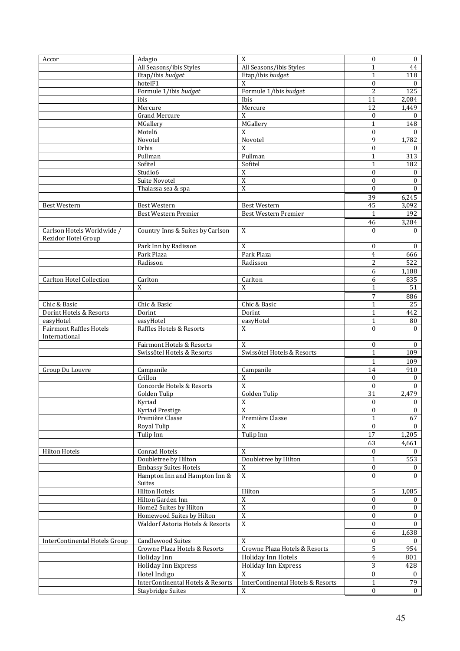| Accor                           | Adagio                            | $\mathbf X$                       | $\boldsymbol{0}$ | $\bf{0}$     |
|---------------------------------|-----------------------------------|-----------------------------------|------------------|--------------|
|                                 |                                   |                                   |                  |              |
|                                 | All Seasons/ibis Styles           | All Seasons/ibis Styles           | 1                | 44           |
|                                 | Etap/ibis budget                  | Etap/ibis budget                  | $\mathbf{1}$     | 118          |
|                                 | hotelF1                           | X                                 | $\boldsymbol{0}$ | $\theta$     |
|                                 | Formule 1/ibis budget             | Formule 1/ibis budget             | $\overline{2}$   | 125          |
|                                 | ibis                              | Ibis                              | 11               | 2,084        |
|                                 |                                   |                                   |                  |              |
|                                 | Mercure                           | Mercure                           | 12               | 1,449        |
|                                 | <b>Grand Mercure</b>              | X                                 | $\bf{0}$         | $\theta$     |
|                                 | MGallery                          | MGallery                          | $\mathbf{1}$     | 148          |
|                                 | Motel6                            | X                                 | $\theta$         | $\Omega$     |
|                                 | Novotel                           | Novotel                           | 9                | 1,782        |
|                                 |                                   |                                   |                  |              |
|                                 | Orbis                             | $\mathbf{x}$                      | $\boldsymbol{0}$ | $\mathbf{0}$ |
|                                 | Pullman                           | Pullman                           | $\mathbf{1}$     | 313          |
|                                 | Sofitel                           | Sofitel                           | $\mathbf{1}$     | 182          |
|                                 | Studio6                           | $\mathbf X$                       | $\boldsymbol{0}$ | $\mathbf{0}$ |
|                                 | Suite Novotel                     | $\mathbf X$                       | $\boldsymbol{0}$ | $\bf{0}$     |
|                                 |                                   |                                   |                  |              |
|                                 | Thalassa sea & spa                | $\overline{X}$                    | $\boldsymbol{0}$ | $\mathbf{0}$ |
|                                 |                                   |                                   | 39               | 6,245        |
| <b>Best Western</b>             | <b>Best Western</b>               | <b>Best Western</b>               | 45               | 3,092        |
|                                 | <b>Best Western Premier</b>       | Best Western Premier              | $\mathbf{1}$     | 192          |
|                                 |                                   |                                   |                  |              |
|                                 |                                   |                                   | 46               | 3,284        |
| Carlson Hotels Worldwide /      | Country Inns & Suites by Carlson  | X                                 | $\theta$         | $\theta$     |
| Rezidor Hotel Group             |                                   |                                   |                  |              |
|                                 | Park Inn by Radisson              | X                                 | $\bf{0}$         | $\mathbf{0}$ |
|                                 | Park Plaza                        | Park Plaza                        | 4                | 666          |
|                                 | Radisson                          | Radisson                          | $\overline{2}$   | 522          |
|                                 |                                   |                                   |                  |              |
|                                 |                                   |                                   | 6                | 1,188        |
| <b>Carlton Hotel Collection</b> | Carlton                           | Carlton                           | 6                | 835          |
|                                 | X                                 | $\mathbf X$                       | 1                | 51           |
|                                 |                                   |                                   | 7                |              |
|                                 |                                   |                                   |                  | 886          |
| Chic & Basic                    | Chic & Basic                      | Chic & Basic                      | $\mathbf{1}$     | 25           |
| Dorint Hotels & Resorts         | Dorint                            | Dorint                            | $\mathbf{1}$     | 442          |
| easyHotel                       | easyHotel                         | easyHotel                         | $\mathbf{1}$     | 80           |
| <b>Fairmont Raffles Hotels</b>  | Raffles Hotels & Resorts          | X                                 | $\theta$         | $\theta$     |
| International                   |                                   |                                   |                  |              |
|                                 |                                   |                                   |                  |              |
|                                 | Fairmont Hotels & Resorts         | X                                 | $\boldsymbol{0}$ | $\bf{0}$     |
|                                 | Swissôtel Hotels & Resorts        | Swissôtel Hotels & Resorts        | $\mathbf{1}$     | 109          |
|                                 |                                   |                                   | $\mathbf{1}$     | 109          |
| Group Du Louvre                 | Campanile                         | Campanile                         | 14               | 910          |
|                                 | Crillon                           | $\overline{X}$                    |                  |              |
|                                 |                                   |                                   | $\theta$         | $\mathbf{0}$ |
|                                 | Concorde Hotels & Resorts         | $\overline{X}$                    | $\Omega$         | $\Omega$     |
|                                 | Golden Tulip                      | Golden Tulip                      | 31               | 2,479        |
|                                 | Kyriad                            | X                                 | $\mathbf{0}$     | $\mathbf{0}$ |
|                                 | Kyriad Prestige                   | $\mathbf{x}$                      | $\Omega$         | $\theta$     |
|                                 | Première Classe                   |                                   |                  |              |
|                                 |                                   | Première Classe                   | 1                | 67           |
|                                 | Royal Tulip                       | X                                 | $\mathbf{0}$     | $\mathbf{0}$ |
|                                 | Tulip Inn                         | Tulip Inn                         | 17               | 1,205        |
|                                 |                                   |                                   | 63               | 4,661        |
| <b>Hilton Hotels</b>            | Conrad Hotels                     | $\mathbf X$                       | $\bf{0}$         | $\theta$     |
|                                 |                                   |                                   |                  |              |
|                                 | Doubletree by Hilton              | Doubletree by Hilton              | $\mathbf{1}$     | 553          |
|                                 | <b>Embassy Suites Hotels</b>      | X                                 | $\bf{0}$         | 0            |
|                                 | Hampton Inn and Hampton Inn &     | $\overline{X}$                    | $\boldsymbol{0}$ | $\Omega$     |
|                                 | Suites                            |                                   |                  |              |
|                                 | <b>Hilton Hotels</b>              | Hilton                            | 5                | 1,085        |
|                                 | Hilton Garden Inn                 | $\mathbf X$                       | $\mathbf{0}$     | $\bf{0}$     |
|                                 | Home2 Suites by Hilton            | $\overline{X}$                    | $\theta$         |              |
|                                 |                                   |                                   |                  | $\mathbf{0}$ |
|                                 | Homewood Suites by Hilton         | $\overline{\text{X}}$             | $\mathbf{0}$     | $\mathbf{0}$ |
|                                 | Waldorf Astoria Hotels & Resorts  | $\overline{\text{X}}$             | $\mathbf{0}$     | $\theta$     |
|                                 |                                   |                                   | 6                | 1,638        |
| InterContinental Hotels Group   | <b>Candlewood Suites</b>          | $\mathbf X$                       | $\mathbf{0}$     | $\mathbf{0}$ |
|                                 |                                   |                                   |                  |              |
|                                 | Crowne Plaza Hotels & Resorts     | Crowne Plaza Hotels & Resorts     | $\overline{5}$   | 954          |
|                                 | Holiday Inn                       | Holiday Inn Hotels                | $\overline{4}$   | 801          |
|                                 | Holiday Inn Express               | Holiday Inn Express               | 3                | 428          |
|                                 | Hotel Indigo                      | X                                 | $\boldsymbol{0}$ | $\bf{0}$     |
|                                 |                                   |                                   |                  |              |
|                                 | InterContinental Hotels & Resorts | InterContinental Hotels & Resorts | $\mathbf{1}$     | 79           |
|                                 | <b>Staybridge Suites</b>          | X                                 | $\mathbf{0}$     | $\mathbf{0}$ |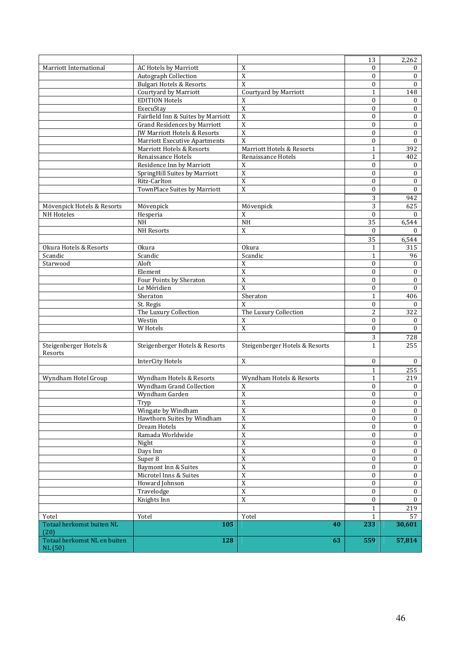|                                         |                                         |                                | 13               | 2,262            |
|-----------------------------------------|-----------------------------------------|--------------------------------|------------------|------------------|
| Marriott International                  | <b>AC Hotels by Marriott</b>            | $\boldsymbol{X}$               | $\Omega$         | $\bf{0}$         |
|                                         | Autograph Collection                    | $\overline{X}$                 | $\Omega$         | $\bf{0}$         |
|                                         | <b>Bulgari Hotels &amp; Resorts</b>     | X                              | $\bf{0}$         | $\mathbf{0}$     |
|                                         | Courtyard by Marriott                   | Courtyard by Marriott          | $\mathbf{1}$     | 148              |
|                                         | <b>EDITION Hotels</b>                   | X                              | $\mathbf{0}$     | $\bf{0}$         |
|                                         | ExecuStay                               | $\overline{X}$                 | $\theta$         | $\mathbf{0}$     |
|                                         | Fairfield Inn & Suites by Marriott      | $\overline{X}$                 | $\bf{0}$         | $\mathbf{0}$     |
|                                         | <b>Grand Residences by Marriott</b>     | $\mathbf X$                    | $\mathbf{0}$     | $\bf{0}$         |
|                                         | <b>JW Marriott Hotels &amp; Resorts</b> | $\overline{X}$                 | $\mathbf{0}$     | $\boldsymbol{0}$ |
|                                         | <b>Marriott Executive Apartments</b>    | $\overline{X}$                 | $\mathbf{0}$     | $\bf{0}$         |
|                                         | Marriott Hotels & Resorts               | Marriott Hotels & Resorts      | $\mathbf{1}$     | 392              |
|                                         | Renaissance Hotels                      | Renaissance Hotels             | $\mathbf{1}$     | 402              |
|                                         | Residence Inn by Marriott               | X                              | $\mathbf{0}$     | $\bf{0}$         |
|                                         | SpringHill Suites by Marriott           | $\overline{X}$                 | $\mathbf{0}$     | $\boldsymbol{0}$ |
|                                         | Ritz-Carlton                            | $\overline{X}$                 | $\bf{0}$         | $\boldsymbol{0}$ |
|                                         | TownPlace Suites by Marriott            | $\overline{X}$                 |                  |                  |
|                                         |                                         |                                | $\mathbf{0}$     | $\boldsymbol{0}$ |
|                                         |                                         |                                | 3                | 942              |
| Mövenpick Hotels & Resorts              | Mövenpick                               | Mövenpick                      | 3                | 625              |
| NH Hoteles                              | Hesperia                                | $\boldsymbol{X}$               | $\Omega$         | 0                |
|                                         | <b>NH</b>                               | $\rm NH$                       | $\overline{35}$  | 6,544            |
|                                         | NH Resorts                              | $\overline{X}$                 | $\mathbf{0}$     | $\Omega$         |
|                                         |                                         |                                | 35               | 6,544            |
| Okura Hotels & Resorts                  | <b>Okura</b>                            | <b>Okura</b>                   | $\mathbf{1}$     | 315              |
| Scandic                                 | Scandic                                 | Scandic                        | $\mathbf{1}$     | 96               |
| Starwood                                | Aloft                                   | $\mathbf X$                    | $\mathbf{0}$     | $\mathbf{0}$     |
|                                         | Element                                 | $\overline{X}$                 | $\bf{0}$         | $\bf{0}$         |
|                                         | Four Points by Sheraton                 | $\overline{X}$                 | $\mathbf{0}$     | $\boldsymbol{0}$ |
|                                         | Le Méridien                             | $\boldsymbol{X}$               | $\bf{0}$         | $\boldsymbol{0}$ |
|                                         | Sheraton                                | Sheraton                       | $\mathbf{1}$     | 406              |
|                                         | St. Regis                               | $\boldsymbol{X}$               | $\mathbf{0}$     | $\mathbf{0}$     |
|                                         | The Luxury Collection                   | The Luxury Collection          | $\overline{c}$   | 322              |
|                                         | Westin                                  | $\mathbf X$                    | $\mathbf{0}$     | $\bf{0}$         |
|                                         | W Hotels                                | $\overline{X}$                 | $\mathbf{0}$     | $\mathbf{0}$     |
|                                         |                                         |                                | 3                | 728              |
| Steigenberger Hotels &<br>Resorts       | Steigenberger Hotels & Resorts          | Steigenberger Hotels & Resorts | $\mathbf{1}$     | 255              |
|                                         | <b>InterCity Hotels</b>                 | $\mathbf X$                    | $\mathbf{0}$     | $\mathbf{0}$     |
|                                         |                                         |                                | $\mathbf{1}$     | 255              |
| Wyndham Hotel Group                     | Wyndham Hotels & Resorts                | Wyndham Hotels & Resorts       | $\mathbf{1}$     | 219              |
|                                         | Wyndham Grand Collection                | X                              | $\bf{0}$         | 0                |
|                                         | Wyndham Garden                          | $\overline{X}$                 | $\boldsymbol{0}$ | $\boldsymbol{0}$ |
|                                         | Tryp                                    | $\overline{X}$                 | $\bf{0}$         | $\overline{0}$   |
|                                         | Wingate by Windham                      | $\overline{X}$                 | $\mathbf{0}$     | $\mathbf{0}$     |
|                                         | Hawthorn Suites by Windham              | $\overline{X}$                 | 0                | $\mathbf{0}$     |
|                                         | Dream Hotels                            | $\overline{\text{X}}$          | $\mathbf{0}$     | $\mathbf{0}$     |
|                                         | Ramada Worldwide                        | $\overline{X}$                 | $\bf{0}$         | $\bf{0}$         |
|                                         | Night                                   | $\overline{X}$                 | $\mathbf{0}$     | $\mathbf{0}$     |
|                                         | Days Inn                                | $\overline{X}$                 | $\boldsymbol{0}$ | $\bf{0}$         |
|                                         | Super 8                                 | $\overline{X}$                 | $\mathbf{0}$     | $\bf{0}$         |
|                                         | Baymont Inn & Suites                    | $\overline{\text{X}}$          | $\mathbf{0}$     | $\bf{0}$         |
|                                         | Microtel Inns & Suites                  | $\overline{X}$                 | $\mathbf{0}$     | $\boldsymbol{0}$ |
|                                         | Howard Johnson                          | $\overline{X}$                 | $\mathbf{0}$     | $\mathbf{0}$     |
|                                         | Travelodge                              | $\overline{X}$                 | 0                | $\mathbf{0}$     |
|                                         | Knights Inn                             | $\overline{X}$                 | $\mathbf{0}$     | $\Omega$         |
|                                         |                                         |                                | $\mathbf{1}$     | 219              |
|                                         | Yotel                                   | Yotel                          | $\mathbf{1}$     | 57               |
| Yotel<br>Totaal herkomst buiten NL      | 105                                     | 40                             | 233              | 30,601           |
| (20)                                    |                                         |                                |                  |                  |
| Totaal herkomst NL en buiten<br>NL (50) | 128                                     | 63                             | 559              | 57,814           |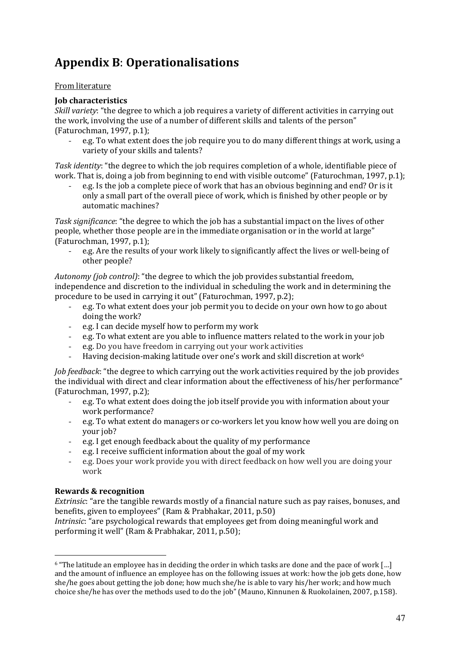## Appendix B: Operationalisations

#### From literature

## Job characteristics

Skill variety: "the degree to which a job requires a variety of different activities in carrying out the work, involving the use of a number of different skills and talents of the person" (Faturochman, 1997, p.1);

e.g. To what extent does the job require you to do many different things at work, using a variety of your skills and talents?

Task identity: "the degree to which the job requires completion of a whole, identifiable piece of work. That is, doing a job from beginning to end with visible outcome" (Faturochman. 1997. n.1):

- e.g. Is the job a complete piece of work that has an obvious beginning and end? Or is it only a small part of the overall piece of work, which is finished by other people or by automatic machines?

Task significance: "the degree to which the job has a substantial impact on the lives of other people, whether those people are in the immediate organisation or in the world at large" (Faturochman, 1997, p.1);

- e.g. Are the results of your work likely to significantly affect the lives or well-being of other people?

Autonomy (job control): "the degree to which the job provides substantial freedom, independence and discretion to the individual in scheduling the work and in determining the procedure to be used in carrying it out" (Faturochman, 1997, p.2);

- e.g. To what extent does your job permit you to decide on your own how to go about doing the work?
- e.g. I can decide myself how to perform my work
- e.g. To what extent are you able to influence matters related to the work in your job
- e.g. Do you have freedom in carrying out your work activities
- Having decision-making latitude over one's work and skill discretion at work<sup>6</sup>

Job feedback: "the degree to which carrying out the work activities required by the job provides the individual with direct and clear information about the effectiveness of his/her performance" (Faturochman, 1997, p.2);

- e.g. To what extent does doing the job itself provide you with information about your work performance?
- e.g. To what extent do managers or co-workers let you know how well you are doing on your job?
- e.g. I get enough feedback about the quality of my performance
- e.g. I receive sufficient information about the goal of my work
- e.g. Does your work provide you with direct feedback on how well you are doing your work

## Rewards & recognition

 $\overline{a}$ 

Extrinsic: "are the tangible rewards mostly of a financial nature such as pay raises, bonuses, and benefits, given to employees" (Ram & Prabhakar, 2011, p.50)

Intrinsic: "are psychological rewards that employees get from doing meaningful work and performing it well" (Ram & Prabhakar, 2011, p.50);

<sup>6</sup> "The latitude an employee has in deciding the order in which tasks are done and the pace of work […] and the amount of influence an employee has on the following issues at work: how the job gets done, how she/he goes about getting the job done; how much she/he is able to vary his/her work; and how much choice she/he has over the methods used to do the job" (Mauno, Kinnunen & Ruokolainen, 2007, p.158).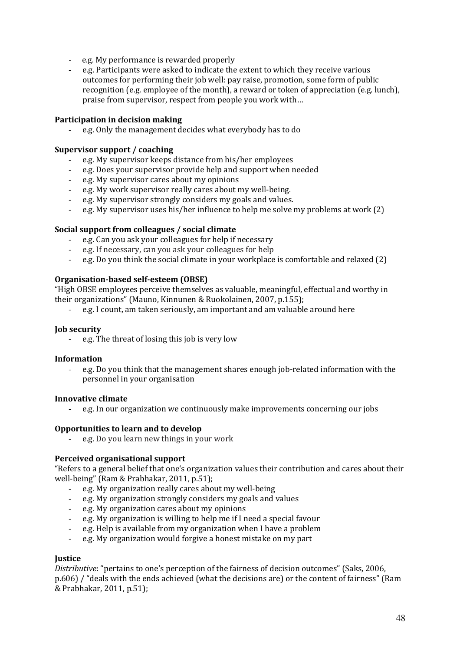- e.g. My performance is rewarded properly
- e.g. Participants were asked to indicate the extent to which they receive various outcomes for performing their job well: pay raise, promotion, some form of public recognition (e.g. employee of the month), a reward or token of appreciation (e.g. lunch), praise from supervisor, respect from people you work with…

#### Participation in decision making

- e.g. Only the management decides what everybody has to do

#### Supervisor support / coaching

- e.g. My supervisor keeps distance from his/her employees
- e.g. Does your supervisor provide help and support when needed
- e.g. My supervisor cares about my opinions
- e.g. My work supervisor really cares about my well-being.
- e.g. My supervisor strongly considers my goals and values.
- e.g. My supervisor uses his/her influence to help me solve my problems at work (2)

#### Social support from colleagues / social climate

- e.g. Can you ask your colleagues for help if necessary
- e.g. If necessary, can you ask your colleagues for help
- e.g. Do you think the social climate in your workplace is comfortable and relaxed (2)

#### Organisation-based self-esteem (OBSE)

"High OBSE employees perceive themselves as valuable, meaningful, effectual and worthy in their organizations" (Mauno, Kinnunen & Ruokolainen, 2007, p.155);

- e.g. I count, am taken seriously, am important and am valuable around here

#### Job security

- e.g. The threat of losing this job is very low

#### Information

- e.g. Do you think that the management shares enough job-related information with the personnel in your organisation

#### Innovative climate

- e.g. In our organization we continuously make improvements concerning our jobs

#### Opportunities to learn and to develop

e.g. Do you learn new things in your work

#### Perceived organisational support

"Refers to a general belief that one's organization values their contribution and cares about their well-being" (Ram & Prabhakar, 2011, p.51);

- e.g. My organization really cares about my well-being
- e.g. My organization strongly considers my goals and values
- e.g. My organization cares about my opinions
- e.g. My organization is willing to help me if I need a special favour
- e.g. Help is available from my organization when I have a problem
- e.g. My organization would forgive a honest mistake on my part

#### **Iustice**

Distributive: "pertains to one's perception of the fairness of decision outcomes" (Saks, 2006, p.606) / "deals with the ends achieved (what the decisions are) or the content of fairness" (Ram & Prabhakar, 2011, p.51);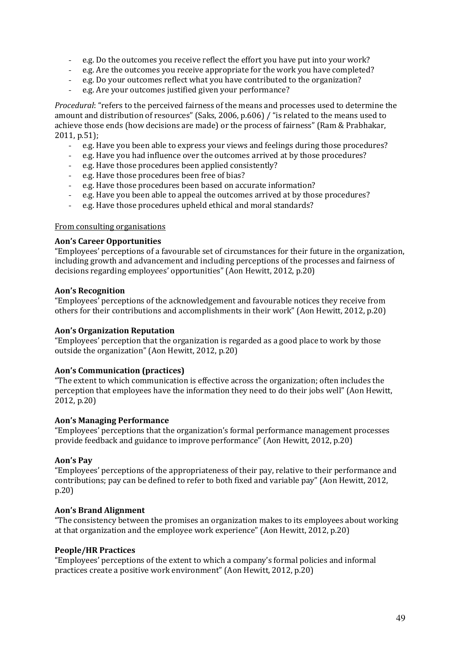- e.g. Do the outcomes you receive reflect the effort you have put into your work?
- e.g. Are the outcomes you receive appropriate for the work you have completed?
- e.g. Do your outcomes reflect what you have contributed to the organization?
- e.g. Are your outcomes justified given your performance?

Procedural: "refers to the perceived fairness of the means and processes used to determine the amount and distribution of resources" (Saks, 2006, p.606) / "is related to the means used to achieve those ends (how decisions are made) or the process of fairness" (Ram & Prabhakar, 2011, p.51);

- e.g. Have you been able to express your views and feelings during those procedures?
- e.g. Have you had influence over the outcomes arrived at by those procedures?
- e.g. Have those procedures been applied consistently?
- e.g. Have those procedures been free of bias?
- e.g. Have those procedures been based on accurate information?
- e.g. Have you been able to appeal the outcomes arrived at by those procedures?
- e.g. Have those procedures upheld ethical and moral standards?

#### From consulting organisations

#### Aon's Career Opportunities

"Employees' perceptions of a favourable set of circumstances for their future in the organization, including growth and advancement and including perceptions of the processes and fairness of decisions regarding employees' opportunities" (Aon Hewitt, 2012, p.20)

#### Aon's Recognition

"Employees' perceptions of the acknowledgement and favourable notices they receive from others for their contributions and accomplishments in their work" (Aon Hewitt, 2012, p.20)

#### Aon's Organization Reputation

"Employees' perception that the organization is regarded as a good place to work by those outside the organization" (Aon Hewitt, 2012, p.20)

#### Aon's Communication (practices)

"The extent to which communication is effective across the organization; often includes the perception that employees have the information they need to do their jobs well" (Aon Hewitt, 2012, p.20)

#### Aon's Managing Performance

"Employees' perceptions that the organization's formal performance management processes provide feedback and guidance to improve performance" (Aon Hewitt, 2012, p.20)

#### Aon's Pay

"Employees' perceptions of the appropriateness of their pay, relative to their performance and contributions; pay can be defined to refer to both fixed and variable pay" (Aon Hewitt, 2012, p.20)

#### Aon's Brand Alignment

"The consistency between the promises an organization makes to its employees about working at that organization and the employee work experience" (Aon Hewitt, 2012, p.20)

#### People/HR Practices

"Employees' perceptions of the extent to which a company's formal policies and informal practices create a positive work environment" (Aon Hewitt, 2012, p.20)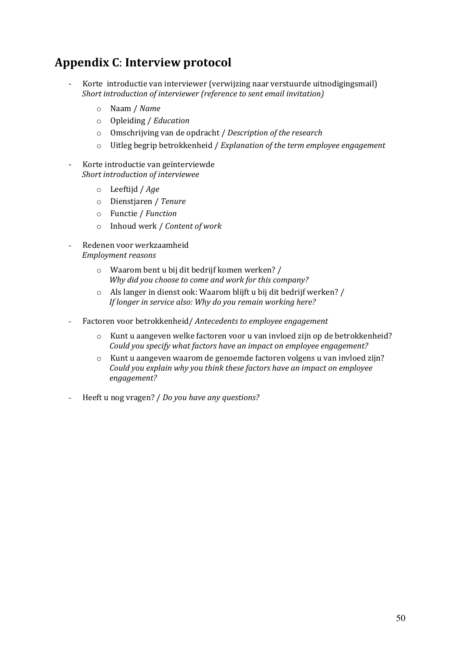## Appendix C: Interview protocol

- Korte introductie van interviewer (verwijzing naar verstuurde uitnodigingsmail) Short introduction of interviewer (reference to sent email invitation)
	- o Naam / Name
	- o Opleiding / Education
	- o Omschrijving van de opdracht / Description of the research
	- $\circ$  Uitleg begrip betrokkenheid / Explanation of the term employee engagement
- Korte introductie van geïnterviewde Short introduction of interviewee
	- o Leeftijd / Age
	- o Dienstjaren / Tenure
	- o Functie / Function
	- o Inhoud werk / Content of work
- Redenen voor werkzaamheid Employment reasons
	- o Waarom bent u bij dit bedrijf komen werken? / Why did you choose to come and work for this company?
	- o Als langer in dienst ook: Waarom blijft u bij dit bedrijf werken? / If longer in service also: Why do you remain working here?
- Factoren voor betrokkenheid/ Antecedents to employee engagement
	- $\circ$  Kunt u aangeven welke factoren voor u van invloed zijn op de betrokkenheid? Could you specify what factors have an impact on employee engagement?
	- o Kunt u aangeven waarom de genoemde factoren volgens u van invloed zijn? Could you explain why you think these factors have an impact on employee engagement?
- Heeft u nog vragen? / Do you have any questions?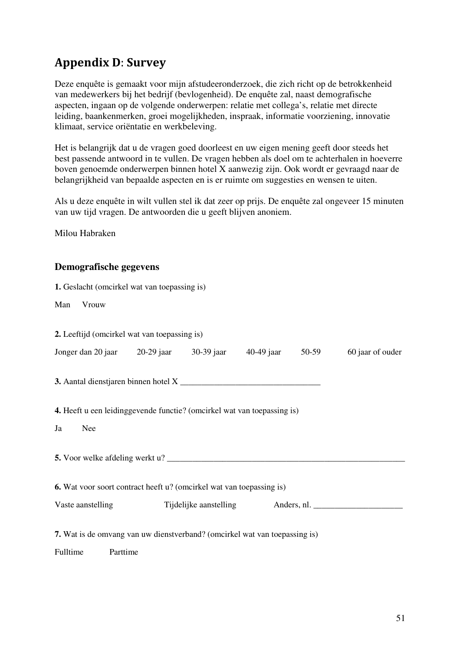## Appendix D: Survey

Deze enquête is gemaakt voor mijn afstudeeronderzoek, die zich richt op de betrokkenheid van medewerkers bij het bedrijf (bevlogenheid). De enquête zal, naast demografische aspecten, ingaan op de volgende onderwerpen: relatie met collega's, relatie met directe leiding, baankenmerken, groei mogelijkheden, inspraak, informatie voorziening, innovatie klimaat, service oriëntatie en werkbeleving.

Het is belangrijk dat u de vragen goed doorleest en uw eigen mening geeft door steeds het best passende antwoord in te vullen. De vragen hebben als doel om te achterhalen in hoeverre boven genoemde onderwerpen binnen hotel X aanwezig zijn. Ook wordt er gevraagd naar de belangrijkheid van bepaalde aspecten en is er ruimte om suggesties en wensen te uiten.

Als u deze enquête in wilt vullen stel ik dat zeer op prijs. De enquête zal ongeveer 15 minuten van uw tijd vragen. De antwoorden die u geeft blijven anoniem.

Milou Habraken

## **Demografische gegevens**

|          |          | <b>1.</b> Geslacht (omcirkel wat van toepassing is) |                                                                             |  |                                                                                   |
|----------|----------|-----------------------------------------------------|-----------------------------------------------------------------------------|--|-----------------------------------------------------------------------------------|
| Man      | Vrouw    |                                                     |                                                                             |  |                                                                                   |
|          |          | 2. Leeftijd (omcirkel wat van toepassing is)        |                                                                             |  |                                                                                   |
|          |          |                                                     | Jonger dan 20 jaar 20-29 jaar 30-39 jaar 40-49 jaar 50-59                   |  | 60 jaar of ouder                                                                  |
|          |          |                                                     |                                                                             |  |                                                                                   |
|          |          |                                                     | 4. Heeft u een leidinggevende functie? (omcirkel wat van toepassing is)     |  |                                                                                   |
| Ja       | Nee      |                                                     |                                                                             |  |                                                                                   |
|          |          |                                                     |                                                                             |  |                                                                                   |
|          |          |                                                     | <b>6.</b> Wat voor soort contract heeft u? (omcirkel wat van toepassing is) |  |                                                                                   |
|          |          |                                                     |                                                                             |  | Vaste aanstelling Tijdelijke aanstelling Anders, nl. ____________________________ |
| Fulltime | Parttime |                                                     | 7. Wat is de omvang van uw dienstverband? (omcirkel wat van toepassing is)  |  |                                                                                   |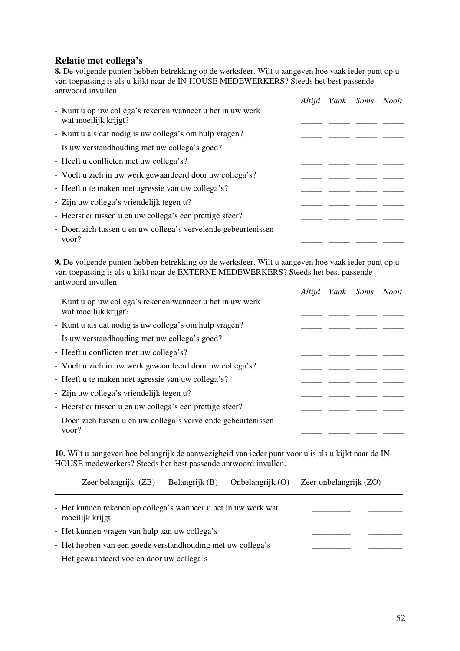## **Relatie met collega's**

**8.** De volgende punten hebben betrekking op de werksfeer. Wilt u aangeven hoe vaak ieder punt op u van toepassing is als u kijkt naar de IN-HOUSE MEDEWERKERS? Steeds het best passende antwoord invullen.

|                                                                                   | Altijd | Vaak Soms Nooit |  |
|-----------------------------------------------------------------------------------|--------|-----------------|--|
| - Kunt u op uw collega's rekenen wanneer u het in uw werk<br>wat moeilijk krijgt? |        |                 |  |
| - Kunt u als dat nodig is uw collega's om hulp vragen?                            |        |                 |  |
| - Is uw verstandhouding met uw collega's goed?                                    |        |                 |  |
| - Heeft u conflicten met uw collega's?                                            |        |                 |  |
| - Voelt u zich in uw werk gewaardeerd door uw collega's?                          |        |                 |  |
| - Heeft u te maken met agressie van uw collega's?                                 |        |                 |  |
| - Zijn uw collega's vriendelijk tegen u?                                          |        |                 |  |
| - Heerst er tussen u en uw collega's een prettige sfeer?                          |        |                 |  |
| - Doen zich tussen u en uw collega's vervelende gebeurtenissen<br>voor?           |        |                 |  |

**9.** De volgende punten hebben betrekking op de werksfeer. Wilt u aangeven hoe vaak ieder punt op u van toepassing is als u kijkt naar de EXTERNE MEDEWERKERS? Steeds het best passende antwoord invullen.

|                                                                                   | Altijd | Vaak Soms Nooit |  |
|-----------------------------------------------------------------------------------|--------|-----------------|--|
| - Kunt u op uw collega's rekenen wanneer u het in uw werk<br>wat moeilijk krijgt? |        |                 |  |
| - Kunt u als dat nodig is uw collega's om hulp vragen?                            |        |                 |  |
| - Is uw verstandhouding met uw collega's goed?                                    |        |                 |  |
| - Heeft u conflicten met uw collega's?                                            |        |                 |  |
| - Voelt u zich in uw werk gewaardeerd door uw collega's?                          |        |                 |  |
| - Heeft u te maken met agressie van uw collega's?                                 |        |                 |  |
| - Zijn uw collega's vriendelijk tegen u?                                          |        |                 |  |
| - Heerst er tussen u en uw collega's een prettige sfeer?                          |        |                 |  |
| - Doen zich tussen u en uw collega's vervelende gebeurtenissen<br>voor?           |        |                 |  |

**10.** Wilt u aangeven hoe belangrijk de aanwezigheid van ieder punt voor u is als u kijkt naar de IN-HOUSE medewerkers? Steeds het best passende antwoord invullen.

| Zeer belangrijk (ZB)                                                              | Belangrijk (B) | Onbelangrijk $(O)$ | Zeer onbelangrijk (ZO) |
|-----------------------------------------------------------------------------------|----------------|--------------------|------------------------|
| - Het kunnen rekenen op collega's wanneer u het in uw werk wat<br>moeilijk krijgt |                |                    |                        |
| - Het kunnen vragen van hulp aan uw collega's                                     |                |                    |                        |
| - Het hebben van een goede verstandhouding met uw collega's                       |                |                    |                        |
| - Het gewaardeerd voelen door uw collega's                                        |                |                    |                        |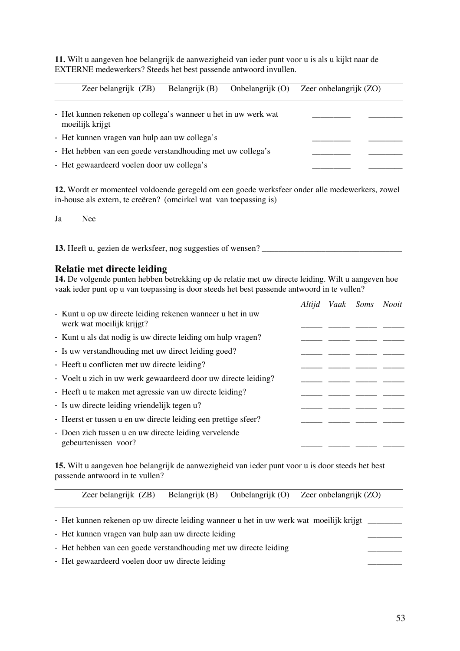**11.** Wilt u aangeven hoe belangrijk de aanwezigheid van ieder punt voor u is als u kijkt naar de EXTERNE medewerkers? Steeds het best passende antwoord invullen.

Zeer belangrijk (ZB) Belangrijk (B) Onbelangrijk (O) Zeer onbelangrijk (ZO) - Het kunnen rekenen op collega's wanneer u het in uw werk wat moeilijk krijgt - Het kunnen vragen van hulp aan uw collega's \_\_\_\_\_\_\_\_\_\_\_\_\_\_\_\_\_\_\_\_\_\_\_\_\_\_\_\_\_\_\_\_\_\_ - Het hebben van een goede verstandhouding met uw collega's

- Het gewaardeerd voelen door uw collega's

**12.** Wordt er momenteel voldoende geregeld om een goede werksfeer onder alle medewerkers, zowel in-house als extern, te creëren? (omcirkel wat van toepassing is)

Ja Nee

**13.** Heeft u, gezien de werksfeer, nog suggesties of wensen?

#### **Relatie met directe leiding**

**14.** De volgende punten hebben betrekking op de relatie met uw directe leiding. Wilt u aangeven hoe vaak ieder punt op u van toepassing is door steeds het best passende antwoord in te vullen?

|                                                                                         | Altijd | Vaak Soms | <i>Nooit</i> |
|-----------------------------------------------------------------------------------------|--------|-----------|--------------|
| - Kunt u op uw directe leiding rekenen wanneer u het in uw<br>werk wat moeilijk krijgt? |        |           |              |
| - Kunt u als dat nodig is uw directe leiding om hulp vragen?                            |        |           |              |
| - Is uw verstandhouding met uw direct leiding goed?                                     |        |           |              |
| - Heeft u conflicten met uw directe leiding?                                            |        |           |              |
| - Voelt u zich in uw werk gewaardeerd door uw directe leiding?                          |        |           |              |
| - Heeft u te maken met agressie van uw directe leiding?                                 |        |           |              |
| - Is uw directe leiding vriendelijk tegen u?                                            |        |           |              |
| - Heerst er tussen u en uw directe leiding een prettige sfeer?                          |        |           |              |
| - Doen zich tussen u en uw directe leiding vervelende<br>gebeurtenissen voor?           |        |           |              |

**15.** Wilt u aangeven hoe belangrijk de aanwezigheid van ieder punt voor u is door steeds het best passende antwoord in te vullen?

|  |  |  | Zeer belangrijk (ZB) Belangrijk (B) Onbelangrijk (O) Zeer onbelangrijk (ZO) |  |
|--|--|--|-----------------------------------------------------------------------------|--|
|--|--|--|-----------------------------------------------------------------------------|--|

- Het kunnen rekenen op uw directe leiding wanneer u het in uw werk wat moeilijk krijgt

- Het kunnen vragen van hulp aan uw directe leiding

- Het hebben van een goede verstandhouding met uw directe leiding

- Het gewaardeerd voelen door uw directe leiding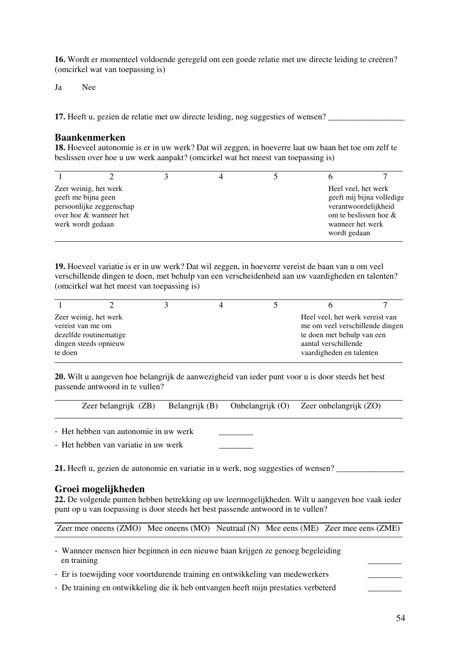**16.** Wordt er momenteel voldoende geregeld om een goede relatie met uw directe leiding te creëren? (omcirkel wat van toepassing is)

Ja Nee

**17.** Heeft u, gezien de relatie met uw directe leiding, nog suggesties of wensen?

#### **Baankenmerken**

**18.** Hoeveel autonomie is er in uw werk? Dat wil zeggen, in hoeverre laat uw baan het toe om zelf te beslissen over hoe u uw werk aanpakt? (omcirkel wat het meest van toepassing is)

| werk wordt gedaan | Zeer weinig, het werk<br>geeft me bijna geen<br>persoonlijke zeggenschap<br>over hoe & wanneer het |  | wanneer het werk<br>wordt gedaan | Heel yeel, het werk<br>geeft mij bijna volledige<br>verantwoordelijkheid<br>om te beslissen hoe $\&$ |
|-------------------|----------------------------------------------------------------------------------------------------|--|----------------------------------|------------------------------------------------------------------------------------------------------|

**19.** Hoeveel variatie is er in uw werk? Dat wil zeggen, in hoeverre vereist de baan van u om veel verschillende dingen te doen, met behulp van een verscheidenheid aan uw vaardigheden en talenten? (omcirkel wat het meest van toepassing is)

| Zeer weinig, het werk<br>Heel veel, het werk vereist van<br>me om veel verschillende dingen<br>vereist van me om<br>dezelfde routinematige<br>te doen met behulp van een |  |  |  |  |
|--------------------------------------------------------------------------------------------------------------------------------------------------------------------------|--|--|--|--|
| dingen steeds opnieuw<br>aantal verschillende<br>vaardigheden en talenten<br>te doen                                                                                     |  |  |  |  |

**20.** Wilt u aangeven hoe belangrijk de aanwezigheid van ieder punt voor u is door steeds het best passende antwoord in te vullen?

| Zeer belangrijk (ZB) | Belangrijk (B) | Onbelangrijk (O) | Zeer onbelangrijk (ZO) |
|----------------------|----------------|------------------|------------------------|
|                      |                |                  |                        |

- Het hebben van autonomie in uw werk
- Het hebben van variatie in uw werk

**21.** Heeft u, gezien de autonomie en variatie in u werk, nog suggesties of wensen?

#### **Groei mogelijkheden**

**22.** De volgende punten hebben betrekking op uw leermogelijkheden. Wilt u aangeven hoe vaak ieder punt op u van toepassing is door steeds het best passende antwoord in te vullen?

Zeer mee oneens (ZMO) Mee oneens (MO) Neutraal (N) Mee eens (ME) Zeer mee eens (ZME)

- Wanneer mensen hier beginnen in een nieuwe baan krijgen ze genoeg begeleiding en training the contract of the contract of the contract of the contract of the contract of the contract of the contract of the contract of the contract of the contract of the contract of the contract of the contract of th
- Er is toewijding voor voortdurende training en ontwikkeling van medewerkers
- De training en ontwikkeling die ik heb ontvangen heeft mijn prestaties verbeterd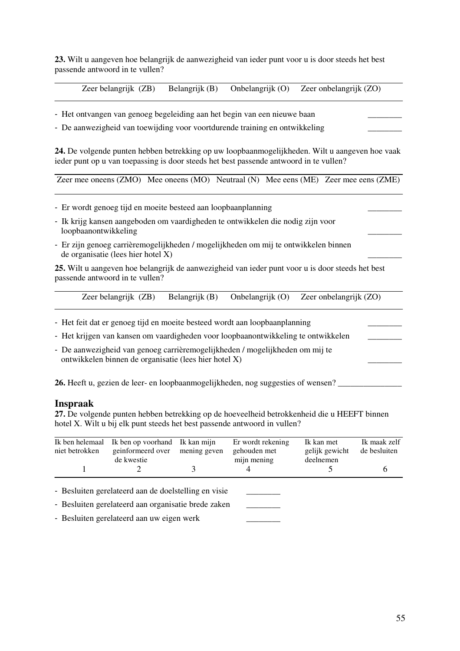**23.** Wilt u aangeven hoe belangrijk de aanwezigheid van ieder punt voor u is door steeds het best passende antwoord in te vullen?

Zeer belangrijk (ZB) Belangrijk (B) Onbelangrijk (O) Zeer onbelangrijk (ZO)

Ι - Het ontvangen van genoeg begeleiding aan het begin van een nieuwe baan

- De aanwezigheid van toewijding voor voortdurende training en ontwikkeling

**24.** De volgende punten hebben betrekking op uw loopbaanmogelijkheden. Wilt u aangeven hoe vaak ieder punt op u van toepassing is door steeds het best passende antwoord in te vullen?

Zeer mee oneens (ZMO) Mee oneens (MO) Neutraal (N) Mee eens (ME) Zeer mee eens (ZME)

- Er wordt genoeg tijd en moeite besteed aan loopbaanplanning
- Ik krijg kansen aangeboden om vaardigheden te ontwikkelen die nodig zijn voor loopbaanontwikkeling \_\_\_\_\_\_\_\_
- Er zijn genoeg carrièremogelijkheden / mogelijkheden om mij te ontwikkelen binnen de organisatie (lees hier hotel  $X$ )

**25.** Wilt u aangeven hoe belangrijk de aanwezigheid van ieder punt voor u is door steeds het best passende antwoord in te vullen?

| Zeer belangrijk (ZB) | Belangrijk (B) | Onbelangrijk (O) | Zeer onbelangrijk (ZO) |
|----------------------|----------------|------------------|------------------------|
|                      |                |                  |                        |

- ٦ - Het feit dat er genoeg tijd en moeite besteed wordt aan loopbaanplanning
- Het krijgen van kansen om vaardigheden voor loopbaanontwikkeling te ontwikkelen
- De aanwezigheid van genoeg carrièremogelijkheden / mogelijkheden om mij te ontwikkelen binnen de organisatie (lees hier hotel X) \_\_\_\_\_\_\_\_

**26.** Heeft u, gezien de leer- en loopbaanmogelijkheden, nog suggesties of wensen?

#### **Inspraak**

**27.** De volgende punten hebben betrekking op de hoeveelheid betrokkenheid die u HEEFT binnen hotel X. Wilt u bij elk punt steeds het best passende antwoord in vullen?

| Ik ben helemaal<br>niet betrokken | Ik ben op voorhand<br>geinformeerd over<br>de kwestie                                                       | Ik kan mijn<br>mening geven | Er wordt rekening<br>gehouden met<br>mijn mening | Ik kan met<br>gelijk gewicht<br>deelnemen | Ik maak zelf<br>de besluiten |
|-----------------------------------|-------------------------------------------------------------------------------------------------------------|-----------------------------|--------------------------------------------------|-------------------------------------------|------------------------------|
|                                   |                                                                                                             |                             |                                                  |                                           |                              |
|                                   | - Besluiten gerelateerd aan de doelstelling en visie<br>- Besluiten gerelateerd aan organisatie brede zaken |                             |                                                  |                                           |                              |

- Besluiten gerelateerd aan uw eigen werk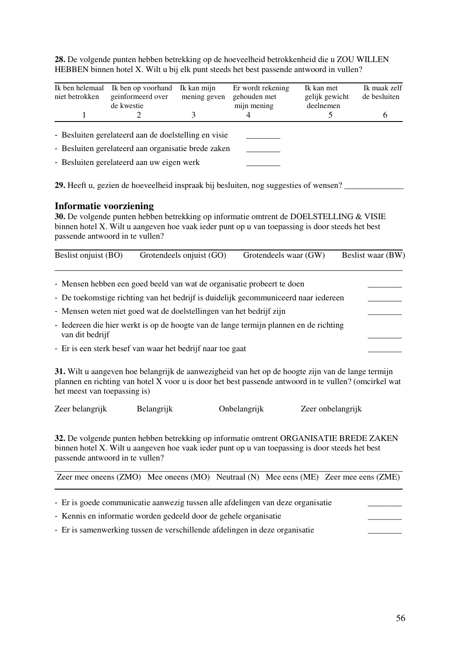**28.** De volgende punten hebben betrekking op de hoeveelheid betrokkenheid die u ZOU WILLEN HEBBEN binnen hotel X. Wilt u bij elk punt steeds het best passende antwoord in vullen?

| Ik ben helemaal<br>niet betrokken | Ik ben op voorhand<br>geinformeerd over<br>de kwestie | Ik kan mijn<br>mening geven | Er wordt rekening<br>gehouden met<br>mijn mening | Ik kan met<br>gelijk gewicht<br>deelnemen | Ik maak zelf<br>de besluiten |
|-----------------------------------|-------------------------------------------------------|-----------------------------|--------------------------------------------------|-------------------------------------------|------------------------------|
|                                   |                                                       |                             |                                                  |                                           | b                            |
|                                   | - Besluiten gerelateerd aan de doelstelling en visie  |                             |                                                  |                                           |                              |
|                                   | - Besluiten gerelateerd aan organisatie brede zaken   |                             |                                                  |                                           |                              |
|                                   | - Besluiten gerelateerd aan uw eigen werk             |                             |                                                  |                                           |                              |

**29.** Heeft u, gezien de hoeveelheid inspraak bij besluiten, nog suggesties of wensen? \_\_\_\_\_\_\_\_\_\_\_\_\_\_

#### **Informatie voorziening**

**30.** De volgende punten hebben betrekking op informatie omtrent de DOELSTELLING & VISIE binnen hotel X. Wilt u aangeven hoe vaak ieder punt op u van toepassing is door steeds het best passende antwoord in te vullen?

| Beslist onjuist (BO) | Grotendeels onjuist (GO)                                                              | Grotendeels waar (GW) | Beslist waar (BW) |
|----------------------|---------------------------------------------------------------------------------------|-----------------------|-------------------|
|                      | - Mensen hebben een goed beeld van wat de organisatie probeert te doen                |                       |                   |
|                      | - De toekomstige richting van het bedrijf is duidelijk gecommuniceerd naar iedereen   |                       |                   |
|                      | - Mensen weten niet goed wat de doelstellingen van het bedrijf zijn                   |                       |                   |
| van dit bedrijf      | - Iedereen die hier werkt is op de hoogte van de lange termijn plannen en de richting |                       |                   |

- Er is een sterk besef van waar het bedrijf naar toe gaat

**31.** Wilt u aangeven hoe belangrijk de aanwezigheid van het op de hoogte zijn van de lange termijn plannen en richting van hotel X voor u is door het best passende antwoord in te vullen? (omcirkel wat het meest van toepassing is)

Zeer belangrijk Belangrijk Onbelangrijk Zeer onbelangrijk

**32.** De volgende punten hebben betrekking op informatie omtrent ORGANISATIE BREDE ZAKEN binnen hotel X. Wilt u aangeven hoe vaak ieder punt op u van toepassing is door steeds het best passende antwoord in te vullen?

| Zeer mee oneens (ZMO) Mee oneens (MO) Neutraal (N) Mee eens (ME) Zeer mee eens (ZME) |  |  |
|--------------------------------------------------------------------------------------|--|--|
|                                                                                      |  |  |

- Er is goede communicatie aanwezig tussen alle afdelingen van deze organisatie
- Kennis en informatie worden gedeeld door de gehele organisatie
- Er is samenwerking tussen de verschillende afdelingen in deze organisatie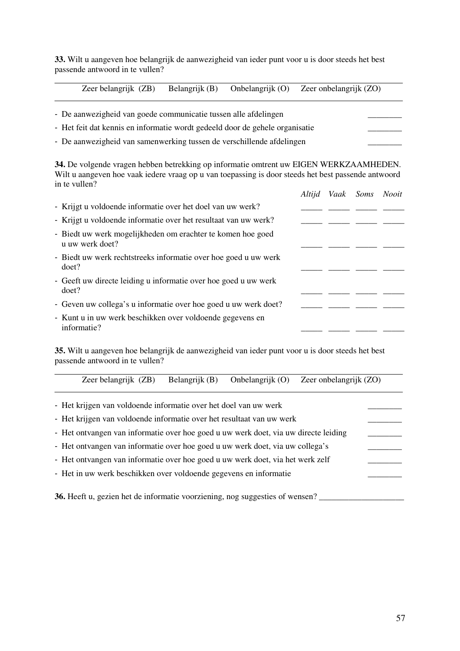**33.** Wilt u aangeven hoe belangrijk de aanwezigheid van ieder punt voor u is door steeds het best passende antwoord in te vullen?

Ι

Zeer belangrijk (ZB) Belangrijk (B) Onbelangrijk (O) Zeer onbelangrijk (ZO)

| - De aanwezigheid van goede communicatie tussen alle afdelingen              |  |
|------------------------------------------------------------------------------|--|
| - Het feit dat kennis en informatie wordt gedeeld door de gehele organisatie |  |
| - De aanwezigheid van samenwerking tussen de verschillende afdelingen        |  |

**34.** De volgende vragen hebben betrekking op informatie omtrent uw EIGEN WERKZAAMHEDEN. Wilt u aangeven hoe vaak iedere vraag op u van toepassing is door steeds het best passende antwoord in te vullen?

|                                                                                | Altijd | Vaak Soms | Nooit |
|--------------------------------------------------------------------------------|--------|-----------|-------|
| - Krijgt u voldoende informatie over het doel van uw werk?                     |        |           |       |
| - Krijgt u voldoende informatie over het resultaat van uw werk?                |        |           |       |
| - Biedt uw werk mogelijkheden om erachter te komen hoe goed<br>u uw werk doet? |        |           |       |
| - Biedt uw werk rechtstreeks informatie over hoe goed u uw werk<br>doet?       |        |           |       |
| - Geeft uw directe leiding u informatie over hoe goed u uw werk<br>doet?       |        |           |       |
| - Geven uw collega's u informatie over hoe goed u uw werk doet?                |        |           |       |
| - Kunt u in uw werk beschikken over voldoende gegevens en<br>informatie?       |        |           |       |

**35.** Wilt u aangeven hoe belangrijk de aanwezigheid van ieder punt voor u is door steeds het best passende antwoord in te vullen?

| Zeer belangrijk (ZB)                                                               | Belangrijk (B) | Onbelangrijk $(O)$ | Zeer onbelangrijk (ZO) |  |  |
|------------------------------------------------------------------------------------|----------------|--------------------|------------------------|--|--|
| - Het krijgen van voldoende informatie over het doel van uw werk                   |                |                    |                        |  |  |
| - Het krijgen van voldoende informatie over het resultaat van uw werk              |                |                    |                        |  |  |
| - Het ontvangen van informatie over hoe goed uuw werk doet, via uw directe leiding |                |                    |                        |  |  |
| - Het ontvangen van informatie over hoe goed u uw werk doet, via uw collega's      |                |                    |                        |  |  |
| - Het ontvangen van informatie over hoe goed u uw werk doet, via het werk zelf     |                |                    |                        |  |  |
| - Het in uw werk beschikken over voldoende gegevens en informatie                  |                |                    |                        |  |  |
|                                                                                    |                |                    |                        |  |  |
| 36. Heeft u, gezien het de informatie voorziening, nog suggesties of wensen?       |                |                    |                        |  |  |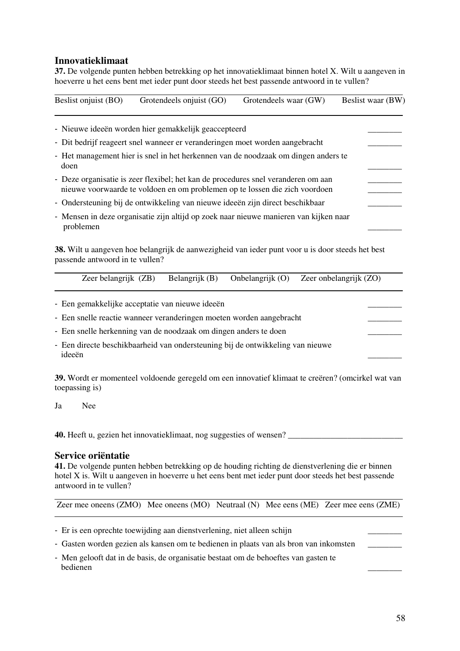## **Innovatieklimaat**

**37.** De volgende punten hebben betrekking op het innovatieklimaat binnen hotel X. Wilt u aangeven in hoeverre u het eens bent met ieder punt door steeds het best passende antwoord in te vullen?

| Beslist onjuist (BO) | Grotendeels onjuist (GO)                                                                                                                                         | Grotendeels waar (GW) | Beslist waar (BW) |
|----------------------|------------------------------------------------------------------------------------------------------------------------------------------------------------------|-----------------------|-------------------|
|                      | - Nieuwe ideeën worden hier gemakkelijk geaccepteerd                                                                                                             |                       |                   |
|                      | - Dit bedrijf reageert snel wanneer er veranderingen moet worden aangebracht                                                                                     |                       |                   |
| doen                 | - Het management hier is snel in het herkennen van de noodzaak om dingen anders te                                                                               |                       |                   |
|                      | - Deze organisatie is zeer flexibel; het kan de procedures snel veranderen om aan<br>nieuwe voorwaarde te voldoen en om problemen op te lossen die zich voordoen |                       |                   |
|                      | - Ondersteuning bij de ontwikkeling van nieuwe ideeën zijn direct beschikbaar                                                                                    |                       |                   |
| problemen            | - Mensen in deze organisatie zijn altijd op zoek naar nieuwe manieren van kijken naar                                                                            |                       |                   |

**38.** Wilt u aangeven hoe belangrijk de aanwezigheid van ieder punt voor u is door steeds het best passende antwoord in te vullen?

|  | Zeer belangrijk (ZB) Belangrijk (B) Onbelangrijk (O) Zeer onbelangrijk (ZO) |
|--|-----------------------------------------------------------------------------|
|  |                                                                             |

- Een gemakkelijke acceptatie van nieuwe ideeën
- Een snelle reactie wanneer veranderingen moeten worden aangebracht
- Een snelle herkenning van de noodzaak om dingen anders te doen
- Een directe beschikbaarheid van ondersteuning bij de ontwikkeling van nieuwe ideeën zoorte en de verskeien waar de verskeien van de verskeien van de verskeien van de verskeien van de vers<br>Gebeure

**39.** Wordt er momenteel voldoende geregeld om een innovatief klimaat te creëren? (omcirkel wat van toepassing is)

Ja Nee

**40.** Heeft u, gezien het innovatieklimaat, nog suggesties of wensen?

#### **Service oriëntatie**

**41.** De volgende punten hebben betrekking op de houding richting de dienstverlening die er binnen hotel X is. Wilt u aangeven in hoeverre u het eens bent met ieder punt door steeds het best passende antwoord in te vullen?

Zeer mee oneens (ZMO) Mee oneens (MO) Neutraal (N) Mee eens (ME) Zeer mee eens (ZME)

- Er is een oprechte toewijding aan dienstverlening, niet alleen schijn
- Gasten worden gezien als kansen om te bedienen in plaats van als bron van inkomsten
- Men gelooft dat in de basis, de organisatie bestaat om de behoeftes van gasten te bedienen zur der antalten aus der antalten aus der antalten aus der antalten aus der antalten aus der antalten aus der antalten aus der antalten aus der antalten aus der antalten aus der antalten aus der antalten aus der a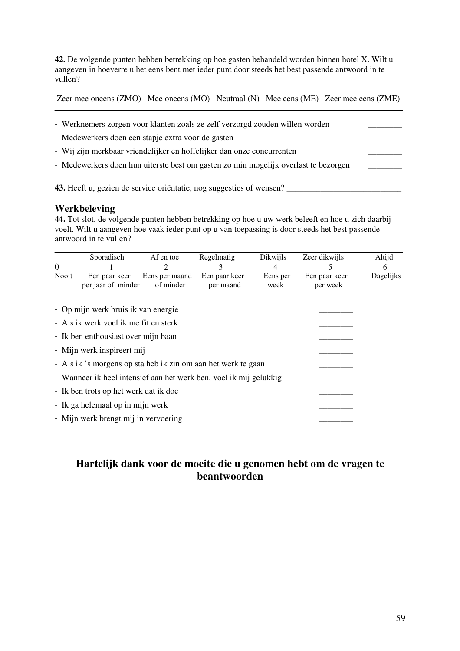**42.** De volgende punten hebben betrekking op hoe gasten behandeld worden binnen hotel X. Wilt u aangeven in hoeverre u het eens bent met ieder punt door steeds het best passende antwoord in te vullen?

Zeer mee oneens (ZMO) Mee oneens (MO) Neutraal (N) Mee eens (ME) Zeer mee eens (ZME)

| - Werknemers zorgen voor klanten zoals ze zelf verzorgd zouden willen worden        |  |
|-------------------------------------------------------------------------------------|--|
| - Medewerkers doen een stapje extra voor de gasten                                  |  |
| - Wij zijn merkbaar vriendelijker en hoffelijker dan onze concurrenten              |  |
| - Medewerkers doen hun uiterste best om gasten zo min mogelijk overlast te bezorgen |  |
| 43. Heeft u, gezien de service orientatie, nog suggesties of wensen?                |  |

## **Werkbeleving**

**44.** Tot slot, de volgende punten hebben betrekking op hoe u uw werk beleeft en hoe u zich daarbij voelt. Wilt u aangeven hoe vaak ieder punt op u van toepassing is door steeds het best passende antwoord in te vullen?

|                                                                    | Sporadisch                           | Af en toe                   | Regelmatig                 | <b>Dikwijls</b>  | Zeer dikwijls             | Altijd    |
|--------------------------------------------------------------------|--------------------------------------|-----------------------------|----------------------------|------------------|---------------------------|-----------|
| $\Omega$                                                           |                                      |                             |                            | 4                |                           | h         |
| Nooit                                                              | Een paar keer<br>per jaar of minder  | Eens per maand<br>of minder | Een paar keer<br>per maand | Eens per<br>week | Een paar keer<br>per week | Dagelijks |
|                                                                    | - Op mijn werk bruis ik van energie  |                             |                            |                  |                           |           |
| - Als ik werk voel ik me fit en sterk                              |                                      |                             |                            |                  |                           |           |
| - Ik ben enthousiast over mijn baan                                |                                      |                             |                            |                  |                           |           |
| - Mijn werk inspireert mij                                         |                                      |                             |                            |                  |                           |           |
| - Als ik's morgens op sta heb ik zin om aan het werk te gaan       |                                      |                             |                            |                  |                           |           |
| - Wanneer ik heel intensief aan het werk ben, voel ik mij gelukkig |                                      |                             |                            |                  |                           |           |
| - Ik ben trots op het werk dat ik doe                              |                                      |                             |                            |                  |                           |           |
| - Ik ga helemaal op in mijn werk                                   |                                      |                             |                            |                  |                           |           |
|                                                                    | - Mijn werk brengt mij in vervoering |                             |                            |                  |                           |           |

## **Hartelijk dank voor de moeite die u genomen hebt om de vragen te beantwoorden**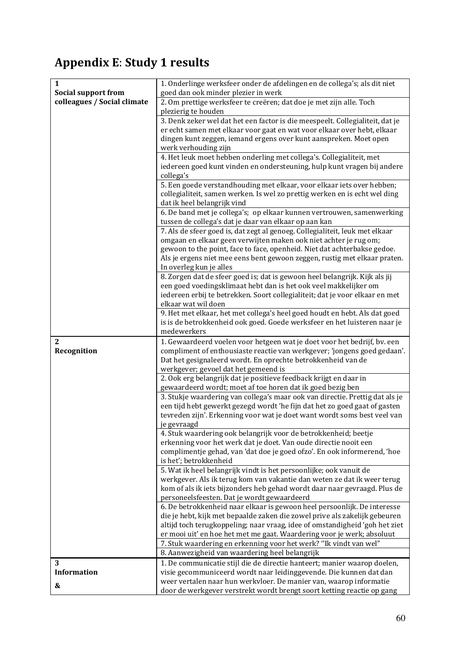# Appendix E: Study 1 results

| $\mathbf{1}$<br><b>Social support from</b> | 1. Onderlinge werksfeer onder de afdelingen en de collega's; als dit niet<br>goed dan ook minder plezier in werk                         |  |
|--------------------------------------------|------------------------------------------------------------------------------------------------------------------------------------------|--|
| colleagues / Social climate                | 2. Om prettige werksfeer te creëren; dat doe je met zijn alle. Toch<br>plezierig te houden                                               |  |
|                                            | 3. Denk zeker wel dat het een factor is die meespeelt. Collegialiteit, dat je                                                            |  |
|                                            | er echt samen met elkaar voor gaat en wat voor elkaar over hebt, elkaar                                                                  |  |
|                                            | dingen kunt zeggen, iemand ergens over kunt aanspreken. Moet open                                                                        |  |
|                                            | werk verhouding zijn                                                                                                                     |  |
|                                            | 4. Het leuk moet hebben onderling met collega's. Collegialiteit, met                                                                     |  |
|                                            | iedereen goed kunt vinden en ondersteuning, hulp kunt vragen bij andere                                                                  |  |
|                                            | collega's                                                                                                                                |  |
|                                            | 5. Een goede verstandhouding met elkaar, voor elkaar iets over hebben;                                                                   |  |
|                                            | collegialiteit, samen werken. Is wel zo prettig werken en is echt wel ding                                                               |  |
|                                            | dat ik heel belangrijk vind                                                                                                              |  |
|                                            | 6. De band met je collega's; op elkaar kunnen vertrouwen, samenwerking<br>tussen de collega's dat je daar van elkaar op aan kan          |  |
|                                            | 7. Als de sfeer goed is, dat zegt al genoeg. Collegialiteit, leuk met elkaar                                                             |  |
|                                            | omgaan en elkaar geen verwijten maken ook niet achter je rug om;                                                                         |  |
|                                            | gewoon to the point, face to face, openheid. Niet dat achterbakse gedoe.                                                                 |  |
|                                            | Als je ergens niet mee eens bent gewoon zeggen, rustig met elkaar praten.                                                                |  |
|                                            | In overleg kun je alles                                                                                                                  |  |
|                                            | 8. Zorgen dat de sfeer goed is; dat is gewoon heel belangrijk. Kijk als jij                                                              |  |
|                                            | een goed voedingsklimaat hebt dan is het ook veel makkelijker om                                                                         |  |
|                                            | iedereen erbij te betrekken. Soort collegialiteit; dat je voor elkaar en met                                                             |  |
|                                            | elkaar wat wil doen                                                                                                                      |  |
|                                            | 9. Het met elkaar, het met collega's heel goed houdt en hebt. Als dat goed                                                               |  |
|                                            | is is de betrokkenheid ook goed. Goede werksfeer en het luisteren naar je                                                                |  |
|                                            | medewerkers                                                                                                                              |  |
|                                            |                                                                                                                                          |  |
| $\mathbf{2}$                               | 1. Gewaardeerd voelen voor hetgeen wat je doet voor het bedrijf, bv. een                                                                 |  |
| Recognition                                | compliment of enthousiaste reactie van werkgever; 'jongens goed gedaan'.                                                                 |  |
|                                            | Dat het gesignaleerd wordt. En oprechte betrokkenheid van de                                                                             |  |
|                                            | werkgever; gevoel dat het gemeend is                                                                                                     |  |
|                                            | 2. Ook erg belangrijk dat je positieve feedback krijgt en daar in                                                                        |  |
|                                            | gewaardeerd wordt; moet af toe horen dat ik goed bezig ben                                                                               |  |
|                                            | 3. Stukje waardering van collega's maar ook van directie. Prettig dat als je                                                             |  |
|                                            | een tijd hebt gewerkt gezegd wordt 'he fijn dat het zo goed gaat of gasten                                                               |  |
|                                            | tevreden zijn'. Erkenning voor wat je doet want wordt soms best veel van<br>je gevraagd                                                  |  |
|                                            | 4. Stuk waardering ook belangrijk voor de betrokkenheid; beetje                                                                          |  |
|                                            | erkenning voor het werk dat je doet. Van oude directie nooit een                                                                         |  |
|                                            | complimentje gehad, van 'dat doe je goed ofzo'. En ook informerend, 'hoe                                                                 |  |
|                                            | is het'; betrokkenheid                                                                                                                   |  |
|                                            | 5. Wat ik heel belangrijk vindt is het persoonlijke; ook vanuit de                                                                       |  |
|                                            | werkgever. Als ik terug kom van vakantie dan weten ze dat ik weer terug                                                                  |  |
|                                            | kom of als ik iets bijzonders heb gehad wordt daar naar gevraagd. Plus de                                                                |  |
|                                            | personeelsfeesten. Dat je wordt gewaardeerd                                                                                              |  |
|                                            | 6. De betrokkenheid naar elkaar is gewoon heel persoonlijk. De interesse                                                                 |  |
|                                            | die je hebt, kijk met bepaalde zaken die zowel prive als zakelijk gebeuren                                                               |  |
|                                            | altijd toch terugkoppeling; naar vraag, idee of omstandigheid 'goh het ziet                                                              |  |
|                                            | er mooi uit' en hoe het met me gaat. Waardering voor je werk; absoluut                                                                   |  |
|                                            | 7. Stuk waardering en erkenning voor het werk? "Ik vindt van wel"                                                                        |  |
|                                            | 8. Aanwezigheid van waardering heel belangrijk                                                                                           |  |
| 3<br><b>Information</b>                    | 1. De communicatie stijl die de directie hanteert; manier waarop doelen,                                                                 |  |
| &                                          | visie gecommuniceerd wordt naar leidinggevende. Die kunnen dat dan<br>weer vertalen naar hun werkvloer. De manier van, waarop informatie |  |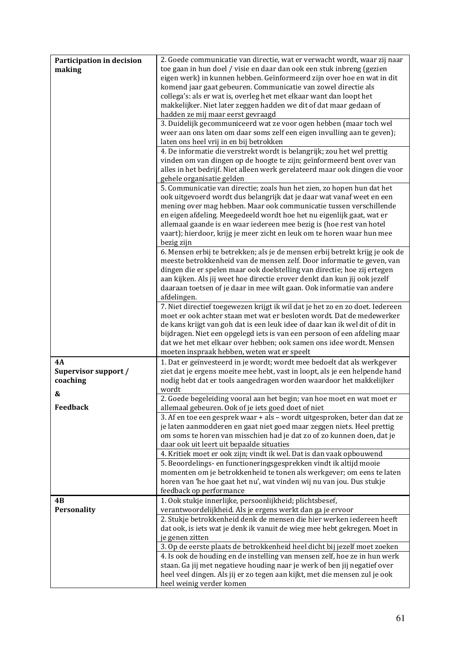| Participation in decision | 2. Goede communicatie van directie, wat er verwacht wordt, waar zij naar                                                                               |
|---------------------------|--------------------------------------------------------------------------------------------------------------------------------------------------------|
| making                    | toe gaan in hun doel / visie en daar dan ook een stuk inbreng (gezien                                                                                  |
|                           | eigen werk) in kunnen hebben. Geïnformeerd zijn over hoe en wat in dit                                                                                 |
|                           | komend jaar gaat gebeuren. Communicatie van zowel directie als                                                                                         |
|                           | collega's: als er wat is, overleg het met elkaar want dan loopt het                                                                                    |
|                           | makkelijker. Niet later zeggen hadden we dit of dat maar gedaan of<br>hadden ze mij maar eerst gevraagd                                                |
|                           | 3. Duidelijk gecommuniceerd wat ze voor ogen hebben (maar toch wel                                                                                     |
|                           | weer aan ons laten om daar soms zelf een eigen invulling aan te geven);                                                                                |
|                           | laten ons heel vrij in en bij betrokken                                                                                                                |
|                           | 4. De informatie die verstrekt wordt is belangrijk; zou het wel prettig                                                                                |
|                           | vinden om van dingen op de hoogte te zijn; geïnformeerd bent over van                                                                                  |
|                           | alles in het bedrijf. Niet alleen werk gerelateerd maar ook dingen die voor                                                                            |
|                           | gehele organisatie gelden                                                                                                                              |
|                           | 5. Communicatie van directie; zoals hun het zien, zo hopen hun dat het                                                                                 |
|                           | ook uitgevoerd wordt dus belangrijk dat je daar wat vanaf weet en een                                                                                  |
|                           | mening over mag hebben. Maar ook communicatie tussen verschillende<br>en eigen afdeling. Meegedeeld wordt hoe het nu eigenlijk gaat, wat er            |
|                           | allemaal gaande is en waar iedereen mee bezig is (hoe rest van hotel                                                                                   |
|                           | vaart); hierdoor, krijg je meer zicht en leuk om te horen waar hun mee                                                                                 |
|                           | bezig zijn                                                                                                                                             |
|                           | 6. Mensen erbij te betrekken; als je de mensen erbij betrekt krijg je ook de                                                                           |
|                           | meeste betrokkenheid van de mensen zelf. Door informatie te geven, van                                                                                 |
|                           | dingen die er spelen maar ook doelstelling van directie; hoe zij ertegen                                                                               |
|                           | aan kijken. Als jij weet hoe directie erover denkt dan kun jij ook jezelf                                                                              |
|                           | daaraan toetsen of je daar in mee wilt gaan. Ook informatie van andere                                                                                 |
|                           | afdelingen.                                                                                                                                            |
|                           | 7. Niet directief toegewezen krijgt ik wil dat je het zo en zo doet. Iedereen<br>moet er ook achter staan met wat er besloten wordt. Dat de medewerker |
|                           | de kans krijgt van goh dat is een leuk idee of daar kan ik wel dit of dit in                                                                           |
|                           | bijdragen. Niet een opgelegd iets is van een persoon of een afdeling maar                                                                              |
|                           | dat we het met elkaar over hebben; ook samen ons idee wordt. Mensen                                                                                    |
|                           | moeten inspraak hebben, weten wat er speelt                                                                                                            |
| 4A                        | 1. Dat er geïnvesteerd in je wordt; wordt mee bedoelt dat als werkgever                                                                                |
| Supervisor support /      | ziet dat je ergens moeite mee hebt, vast in loopt, als je een helpende hand                                                                            |
| coaching                  | nodig hebt dat er tools aangedragen worden waardoor het makkelijker                                                                                    |
| &                         | wordt                                                                                                                                                  |
|                           | 2. Goede begeleiding vooral aan het begin; van hoe moet en wat moet er                                                                                 |
| <b>Feedback</b>           | allemaal gebeuren. Ook of je iets goed doet of niet<br>3. Af en toe een gesprek waar + als - wordt uitgesproken, beter dan dat ze                      |
|                           | je laten aanmodderen en gaat niet goed maar zeggen niets. Heel prettig                                                                                 |
|                           | om soms te horen van misschien had je dat zo of zo kunnen doen, dat je                                                                                 |
|                           | daar ook uit leert uit bepaalde situaties                                                                                                              |
|                           | 4. Kritiek moet er ook zijn; vindt ik wel. Dat is dan vaak opbouwend                                                                                   |
|                           | 5. Beoordelings- en functioneringsgesprekken vindt ik altijd mooie                                                                                     |
|                           | momenten om je betrokkenheid te tonen als werkgever; om eens te laten                                                                                  |
|                           | horen van 'he hoe gaat het nu', wat vinden wij nu van jou. Dus stukje                                                                                  |
|                           | feedback op performance                                                                                                                                |
| 4B                        | 1. Ook stukje innerlijke, persoonlijkheid; plichtsbesef,                                                                                               |
| Personality               | verantwoordelijkheid. Als je ergens werkt dan ga je ervoor                                                                                             |
|                           | 2. Stukje betrokkenheid denk de mensen die hier werken iedereen heeft                                                                                  |
|                           | dat ook, is iets wat je denk ik vanuit de wieg mee hebt gekregen. Moet in<br>je genen zitten                                                           |
|                           | 3. Op de eerste plaats de betrokkenheid heel dicht bij jezelf moet zoeken                                                                              |
|                           | 4. Is ook de houding en de instelling van mensen zelf, hoe ze in hun werk                                                                              |
|                           | staan. Ga jij met negatieve houding naar je werk of ben jij negatief over                                                                              |
|                           | heel veel dingen. Als jij er zo tegen aan kijkt, met die mensen zul je ook                                                                             |
|                           | heel weinig verder komen                                                                                                                               |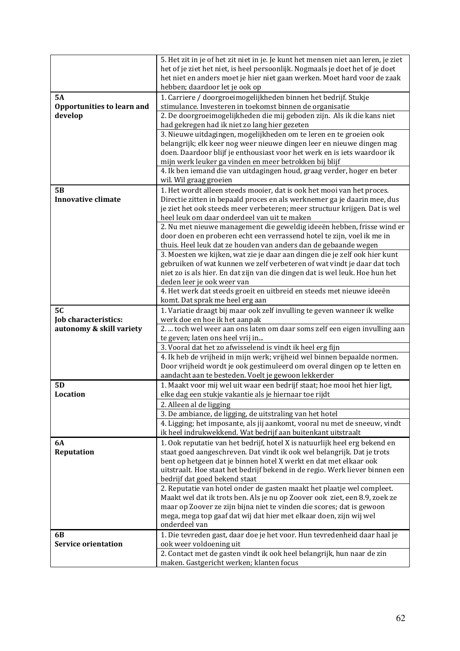|                                   | 5. Het zit in je of het zit niet in je. Je kunt het mensen niet aan leren, je ziet                                                                 |
|-----------------------------------|----------------------------------------------------------------------------------------------------------------------------------------------------|
|                                   | het of je ziet het niet, is heel persoonlijk. Nogmaals je doet het of je doet                                                                      |
|                                   | het niet en anders moet je hier niet gaan werken. Moet hard voor de zaak                                                                           |
|                                   | hebben; daardoor let je ook op                                                                                                                     |
| <b>5A</b>                         | 1. Carriere / doorgroeimogelijkheden binnen het bedrijf. Stukje                                                                                    |
| <b>Opportunities to learn and</b> | stimulance. Investeren in toekomst binnen de organisatie                                                                                           |
| develop                           | 2. De doorgroeimogelijkheden die mij geboden zijn. Als ik die kans niet                                                                            |
|                                   | had gekregen had ik niet zo lang hier gezeten                                                                                                      |
|                                   | 3. Nieuwe uitdagingen, mogelijkheden om te leren en te groeien ook                                                                                 |
|                                   | belangrijk; elk keer nog weer nieuwe dingen leer en nieuwe dingen mag                                                                              |
|                                   | doen. Daardoor blijf je enthousiast voor het werk en is iets waardoor ik                                                                           |
|                                   | mijn werk leuker ga vinden en meer betrokken bij blijf                                                                                             |
|                                   | 4. Ik ben iemand die van uitdagingen houd, graag verder, hoger en beter                                                                            |
| <b>5B</b>                         | wil. Wil graag groeien                                                                                                                             |
| <b>Innovative climate</b>         | 1. Het wordt alleen steeds mooier, dat is ook het mooi van het proces.<br>Directie zitten in bepaald proces en als werknemer ga je daarin mee, dus |
|                                   | je ziet het ook steeds meer verbeteren; meer structuur krijgen. Dat is wel                                                                         |
|                                   | heel leuk om daar onderdeel van uit te maken                                                                                                       |
|                                   | 2. Nu met nieuwe management die geweldig ideeën hebben, frisse wind er                                                                             |
|                                   | door doen en proberen echt een verrassend hotel te zijn, voel ik me in                                                                             |
|                                   | thuis. Heel leuk dat ze houden van anders dan de gebaande wegen                                                                                    |
|                                   | 3. Moesten we kijken, wat zie je daar aan dingen die je zelf ook hier kunt                                                                         |
|                                   | gebruiken of wat kunnen we zelf verbeteren of wat vindt je daar dat toch                                                                           |
|                                   | niet zo is als hier. En dat zijn van die dingen dat is wel leuk. Hoe hun het                                                                       |
|                                   | deden leer je ook weer van                                                                                                                         |
|                                   | 4. Het werk dat steeds groeit en uitbreid en steeds met nieuwe ideeën                                                                              |
|                                   | komt. Dat sprak me heel erg aan                                                                                                                    |
| <b>5C</b>                         | 1. Variatie draagt bij maar ook zelf invulling te geven wanneer ik welke                                                                           |
| Job characteristics:              | werk doe en hoe ik het aanpak                                                                                                                      |
| autonomy & skill variety          | 2.  toch wel weer aan ons laten om daar soms zelf een eigen invulling aan                                                                          |
|                                   | te geven; laten ons heel vrij in                                                                                                                   |
|                                   | 3. Vooral dat het zo afwisselend is vindt ik heel erg fijn<br>4. Ik heb de vrijheid in mijn werk; vrijheid wel binnen bepaalde normen.             |
|                                   | Door vrijheid wordt je ook gestimuleerd om overal dingen op te letten en                                                                           |
|                                   | aandacht aan te besteden. Voelt je gewoon lekkerder                                                                                                |
| 5 <sub>D</sub>                    | 1. Maakt voor mij wel uit waar een bedrijf staat; hoe mooi het hier ligt,                                                                          |
| <b>Location</b>                   | elke dag een stukje vakantie als je hiernaar toe rijdt                                                                                             |
|                                   | 2. Alleen al de ligging                                                                                                                            |
|                                   | 3. De ambiance, de ligging, de uitstraling van het hotel                                                                                           |
|                                   | 4. Ligging; het imposante, als jij aankomt, vooral nu met de sneeuw, vindt                                                                         |
|                                   | ik heel indrukwekkend. Wat bedrijf aan buitenkant uitstraalt                                                                                       |
| <b>6A</b>                         | 1. Ook reputatie van het bedrijf, hotel X is natuurlijk heel erg bekend en                                                                         |
| Reputation                        | staat goed aangeschreven. Dat vindt ik ook wel belangrijk. Dat je trots                                                                            |
|                                   | bent op hetgeen dat je binnen hotel X werkt en dat met elkaar ook                                                                                  |
|                                   | uitstraalt. Hoe staat het bedrijf bekend in de regio. Werk liever binnen een                                                                       |
|                                   | bedrijf dat goed bekend staat                                                                                                                      |
|                                   | 2. Reputatie van hotel onder de gasten maakt het plaatje wel compleet.                                                                             |
|                                   | Maakt wel dat ik trots ben. Als je nu op Zoover ook ziet, een 8.9, zoek ze                                                                         |
|                                   | maar op Zoover ze zijn bijna niet te vinden die scores; dat is gewoon<br>mega, mega top gaaf dat wij dat hier met elkaar doen, zijn wij wel        |
|                                   | onderdeel van                                                                                                                                      |
| 6 <b>B</b>                        | 1. Die tevreden gast, daar doe je het voor. Hun tevredenheid daar haal je                                                                          |
| <b>Service orientation</b>        | ook weer voldoening uit                                                                                                                            |
|                                   | 2. Contact met de gasten vindt ik ook heel belangrijk, hun naar de zin                                                                             |
|                                   | maken. Gastgericht werken; klanten focus                                                                                                           |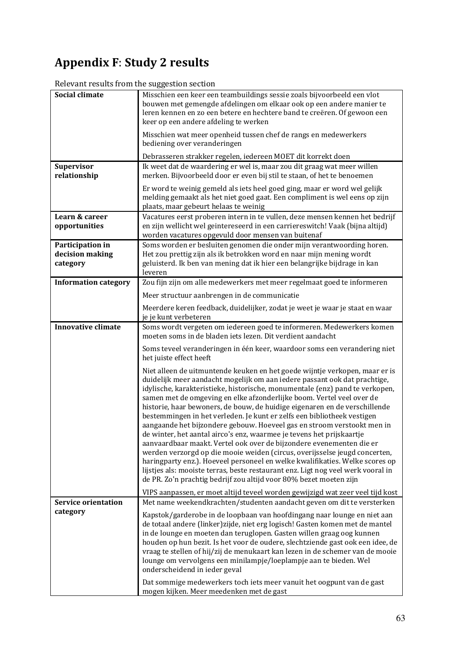# Appendix F: Study 2 results

Relevant results from the suggestion section

| <b>Social climate</b>                           | Misschien een keer een teambuildings sessie zoals bijvoorbeeld een vlot<br>bouwen met gemengde afdelingen om elkaar ook op een andere manier te<br>leren kennen en zo een betere en hechtere band te creëren. Of gewoon een<br>keer op een andere afdeling te werken                                                                                                                                                                                                                                                                                                                                                                                                                                                                                                                                                                                                                                                                                                                                                           |
|-------------------------------------------------|--------------------------------------------------------------------------------------------------------------------------------------------------------------------------------------------------------------------------------------------------------------------------------------------------------------------------------------------------------------------------------------------------------------------------------------------------------------------------------------------------------------------------------------------------------------------------------------------------------------------------------------------------------------------------------------------------------------------------------------------------------------------------------------------------------------------------------------------------------------------------------------------------------------------------------------------------------------------------------------------------------------------------------|
|                                                 | Misschien wat meer openheid tussen chef de rangs en medewerkers<br>bediening over veranderingen                                                                                                                                                                                                                                                                                                                                                                                                                                                                                                                                                                                                                                                                                                                                                                                                                                                                                                                                |
|                                                 | Debrasseren strakker regelen, iedereen MOET dit korrekt doen                                                                                                                                                                                                                                                                                                                                                                                                                                                                                                                                                                                                                                                                                                                                                                                                                                                                                                                                                                   |
| <b>Supervisor</b><br>relationship               | Ik weet dat de waardering er wel is, maar zou dit graag wat meer willen<br>merken. Bijvoorbeeld door er even bij stil te staan, of het te benoemen                                                                                                                                                                                                                                                                                                                                                                                                                                                                                                                                                                                                                                                                                                                                                                                                                                                                             |
|                                                 | Er word te weinig gemeld als iets heel goed ging, maar er word wel gelijk<br>melding gemaakt als het niet goed gaat. Een compliment is wel eens op zijn<br>plaats, maar gebeurt helaas te weinig                                                                                                                                                                                                                                                                                                                                                                                                                                                                                                                                                                                                                                                                                                                                                                                                                               |
| Learn & career<br>opportunities                 | Vacatures eerst proberen intern in te vullen, deze mensen kennen het bedrijf<br>en zijn wellicht wel geintereseerd in een carriereswitch! Vaak (bijna altijd)<br>worden vacatures opgevuld door mensen van buitenaf                                                                                                                                                                                                                                                                                                                                                                                                                                                                                                                                                                                                                                                                                                                                                                                                            |
| Participation in<br>decision making<br>category | Soms worden er besluiten genomen die onder mijn verantwoording horen.<br>Het zou prettig zijn als ik betrokken word en naar mijn mening wordt<br>geluisterd. Ik ben van mening dat ik hier een belangrijke bijdrage in kan<br>leveren                                                                                                                                                                                                                                                                                                                                                                                                                                                                                                                                                                                                                                                                                                                                                                                          |
| <b>Information category</b>                     | Zou fijn zijn om alle medewerkers met meer regelmaat goed te informeren                                                                                                                                                                                                                                                                                                                                                                                                                                                                                                                                                                                                                                                                                                                                                                                                                                                                                                                                                        |
|                                                 | Meer structuur aanbrengen in de communicatie                                                                                                                                                                                                                                                                                                                                                                                                                                                                                                                                                                                                                                                                                                                                                                                                                                                                                                                                                                                   |
|                                                 | Meerdere keren feedback, duidelijker, zodat je weet je waar je staat en waar<br>je je kunt verbeteren                                                                                                                                                                                                                                                                                                                                                                                                                                                                                                                                                                                                                                                                                                                                                                                                                                                                                                                          |
| <b>Innovative climate</b>                       | Soms wordt vergeten om iedereen goed te informeren. Medewerkers komen<br>moeten soms in de bladen iets lezen. Dit verdient aandacht                                                                                                                                                                                                                                                                                                                                                                                                                                                                                                                                                                                                                                                                                                                                                                                                                                                                                            |
|                                                 | Soms teveel veranderingen in één keer, waardoor soms een verandering niet<br>het juiste effect heeft                                                                                                                                                                                                                                                                                                                                                                                                                                                                                                                                                                                                                                                                                                                                                                                                                                                                                                                           |
|                                                 | Niet alleen de uitmuntende keuken en het goede wijntje verkopen, maar er is<br>duidelijk meer aandacht mogelijk om aan iedere passant ook dat prachtige,<br>idylische, karakteristieke, historische, monumentale (enz) pand te verkopen,<br>samen met de omgeving en elke afzonderlijke boom. Vertel veel over de<br>historie, haar bewoners, de bouw, de huidige eigenaren en de verschillende<br>bestemmingen in het verleden. Je kunt er zelfs een bibliotheek vestigen<br>aangaande het bijzondere gebouw. Hoeveel gas en stroom verstookt men in<br>de winter, het aantal airco's enz, waarmee je tevens het prijskaartje<br>aanvaardbaar maakt. Vertel ook over de bijzondere evenementen die er<br>werden verzorgd op die mooie weiden (circus, overijsselse jeugd concerten,<br>haringparty enz.). Hoeveel personeel en welke kwalifikaties. Welke scores op<br>lijstjes als: mooiste terras, beste restaurant enz. Ligt nog veel werk vooral in<br>de PR. Zo'n prachtig bedrijf zou altijd voor 80% bezet moeten zijn |
|                                                 | VIPS aanpassen, er moet altijd teveel worden gewijzigd wat zeer veel tijd kost                                                                                                                                                                                                                                                                                                                                                                                                                                                                                                                                                                                                                                                                                                                                                                                                                                                                                                                                                 |
| <b>Service orientation</b><br>category          | Met name weekendkrachten/studenten aandacht geven om dit te versterken<br>Kapstok/garderobe in de loopbaan van hoofdingang naar lounge en niet aan<br>de totaal andere (linker) zijde, niet erg logisch! Gasten komen met de mantel<br>in de lounge en moeten dan teruglopen. Gasten willen graag oog kunnen<br>houden op hun bezit. Is het voor de oudere, slechtziende gast ook een idee, de<br>vraag te stellen of hij/zij de menukaart kan lezen in de schemer van de mooie<br>lounge om vervolgens een minilampje/loeplampje aan te bieden. Wel<br>onderscheidend in ieder geval                                                                                                                                                                                                                                                                                                                                                                                                                                          |
|                                                 | Dat sommige medewerkers toch iets meer vanuit het oogpunt van de gast<br>mogen kijken. Meer meedenken met de gast                                                                                                                                                                                                                                                                                                                                                                                                                                                                                                                                                                                                                                                                                                                                                                                                                                                                                                              |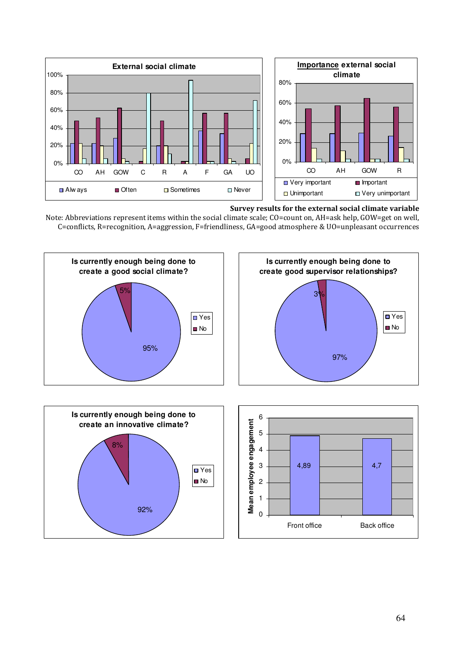

#### Survey results for the external social climate variable

Note: Abbreviations represent items within the social climate scale; CO=count on, AH=ask help, GOW=get on well, C=conflicts, R=recognition, A=aggression, F=friendliness, GA=good atmosphere & UO=unpleasant occurrences